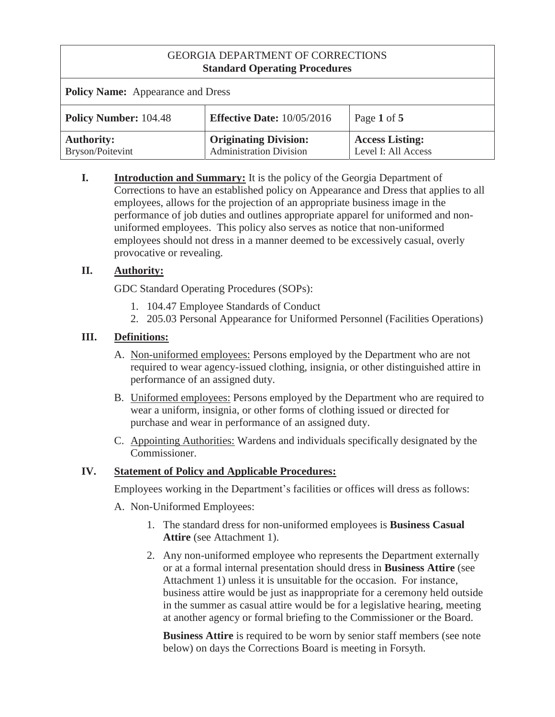| <b>Policy Name:</b> Appearance and Dress |                                                                |                                               |
|------------------------------------------|----------------------------------------------------------------|-----------------------------------------------|
| <b>Policy Number: 104.48</b>             | <b>Effective Date: 10/05/2016</b>                              | Page 1 of 5                                   |
| <b>Authority:</b><br>Bryson/Poitevint    | <b>Originating Division:</b><br><b>Administration Division</b> | <b>Access Listing:</b><br>Level I: All Access |

**I. Introduction and Summary:** It is the policy of the Georgia Department of Corrections to have an established policy on Appearance and Dress that applies to all employees, allows for the projection of an appropriate business image in the performance of job duties and outlines appropriate apparel for uniformed and nonuniformed employees. This policy also serves as notice that non-uniformed employees should not dress in a manner deemed to be excessively casual, overly provocative or revealing.

# **II. Authority:**

GDC Standard Operating Procedures (SOPs):

- 1. 104.47 Employee Standards of Conduct
- 2. 205.03 Personal Appearance for Uniformed Personnel (Facilities Operations)

# **III. Definitions:**

- A. Non-uniformed employees: Persons employed by the Department who are not required to wear agency-issued clothing, insignia, or other distinguished attire in performance of an assigned duty.
- B. Uniformed employees: Persons employed by the Department who are required to wear a uniform, insignia, or other forms of clothing issued or directed for purchase and wear in performance of an assigned duty.
- C. Appointing Authorities: Wardens and individuals specifically designated by the Commissioner.

# **IV. Statement of Policy and Applicable Procedures:**

Employees working in the Department's facilities or offices will dress as follows:

- A. Non-Uniformed Employees:
	- 1. The standard dress for non-uniformed employees is **Business Casual Attire** (see Attachment 1).
	- 2. Any non-uniformed employee who represents the Department externally or at a formal internal presentation should dress in **Business Attire** (see Attachment 1) unless it is unsuitable for the occasion. For instance, business attire would be just as inappropriate for a ceremony held outside in the summer as casual attire would be for a legislative hearing, meeting at another agency or formal briefing to the Commissioner or the Board.

**Business Attire** is required to be worn by senior staff members (see note below) on days the Corrections Board is meeting in Forsyth.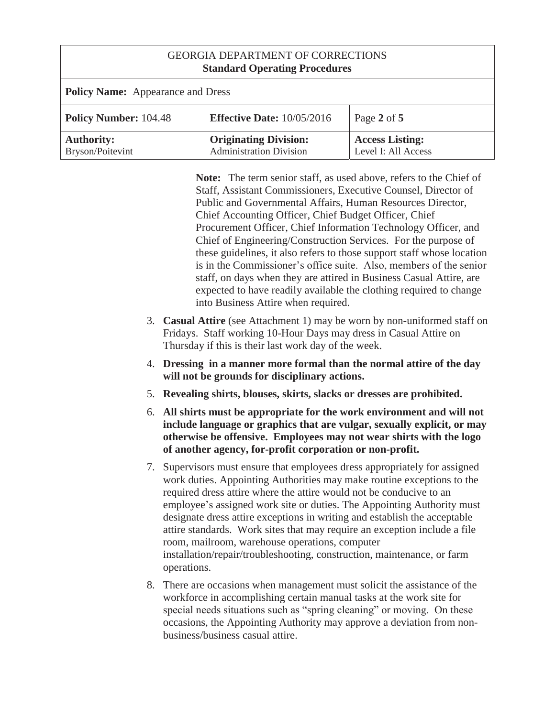| <b>Policy Name:</b> Appearance and Dress |                                                                |                                               |
|------------------------------------------|----------------------------------------------------------------|-----------------------------------------------|
| <b>Policy Number: 104.48</b>             | <b>Effective Date: 10/05/2016</b>                              | Page 2 of $5$                                 |
| <b>Authority:</b><br>Bryson/Poitevint    | <b>Originating Division:</b><br><b>Administration Division</b> | <b>Access Listing:</b><br>Level I: All Access |

**Note:** The term senior staff, as used above, refers to the Chief of Staff, Assistant Commissioners, Executive Counsel, Director of Public and Governmental Affairs, Human Resources Director, Chief Accounting Officer, Chief Budget Officer, Chief Procurement Officer, Chief Information Technology Officer, and Chief of Engineering/Construction Services. For the purpose of these guidelines, it also refers to those support staff whose location is in the Commissioner's office suite. Also, members of the senior staff, on days when they are attired in Business Casual Attire, are expected to have readily available the clothing required to change into Business Attire when required.

- 3. **Casual Attire** (see Attachment 1) may be worn by non-uniformed staff on Fridays. Staff working 10-Hour Days may dress in Casual Attire on Thursday if this is their last work day of the week.
- 4. **Dressing in a manner more formal than the normal attire of the day will not be grounds for disciplinary actions.**
- 5. **Revealing shirts, blouses, skirts, slacks or dresses are prohibited.**
- 6. **All shirts must be appropriate for the work environment and will not include language or graphics that are vulgar, sexually explicit, or may otherwise be offensive. Employees may not wear shirts with the logo of another agency, for-profit corporation or non-profit.**
- 7. Supervisors must ensure that employees dress appropriately for assigned work duties. Appointing Authorities may make routine exceptions to the required dress attire where the attire would not be conducive to an employee's assigned work site or duties. The Appointing Authority must designate dress attire exceptions in writing and establish the acceptable attire standards. Work sites that may require an exception include a file room, mailroom, warehouse operations, computer installation/repair/troubleshooting, construction, maintenance, or farm operations.
- 8. There are occasions when management must solicit the assistance of the workforce in accomplishing certain manual tasks at the work site for special needs situations such as "spring cleaning" or moving. On these occasions, the Appointing Authority may approve a deviation from nonbusiness/business casual attire.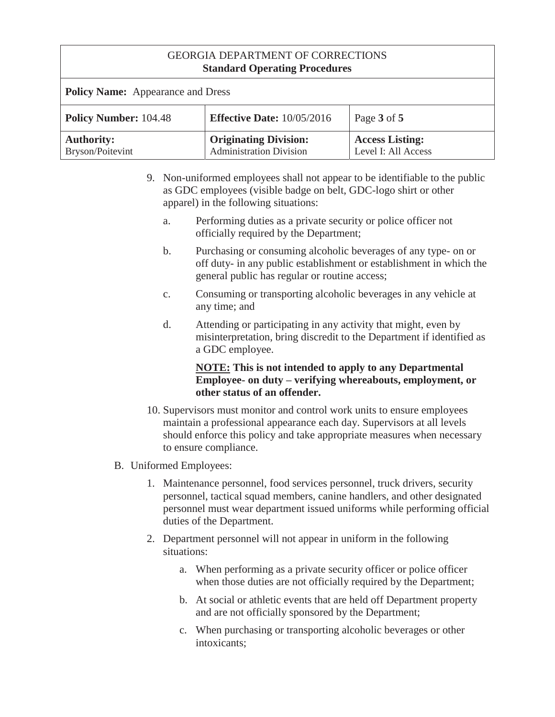| <b>Policy Name:</b> Appearance and Dress |                                                                |                                               |
|------------------------------------------|----------------------------------------------------------------|-----------------------------------------------|
| <b>Policy Number: 104.48</b>             | <b>Effective Date:</b> $10/05/2016$                            | Page 3 of 5                                   |
| <b>Authority:</b><br>Bryson/Poitevint    | <b>Originating Division:</b><br><b>Administration Division</b> | <b>Access Listing:</b><br>Level I: All Access |

- 9. Non-uniformed employees shall not appear to be identifiable to the public as GDC employees (visible badge on belt, GDC-logo shirt or other apparel) in the following situations:
	- a. Performing duties as a private security or police officer not officially required by the Department;
	- b. Purchasing or consuming alcoholic beverages of any type- on or off duty- in any public establishment or establishment in which the general public has regular or routine access;
	- c. Consuming or transporting alcoholic beverages in any vehicle at any time; and
	- d. Attending or participating in any activity that might, even by misinterpretation, bring discredit to the Department if identified as a GDC employee.

#### **NOTE: This is not intended to apply to any Departmental Employee- on duty – verifying whereabouts, employment, or other status of an offender.**

- 10. Supervisors must monitor and control work units to ensure employees maintain a professional appearance each day. Supervisors at all levels should enforce this policy and take appropriate measures when necessary to ensure compliance.
- B. Uniformed Employees:
	- 1. Maintenance personnel, food services personnel, truck drivers, security personnel, tactical squad members, canine handlers, and other designated personnel must wear department issued uniforms while performing official duties of the Department.
	- 2. Department personnel will not appear in uniform in the following situations:
		- a. When performing as a private security officer or police officer when those duties are not officially required by the Department;
		- b. At social or athletic events that are held off Department property and are not officially sponsored by the Department;
		- c. When purchasing or transporting alcoholic beverages or other intoxicants;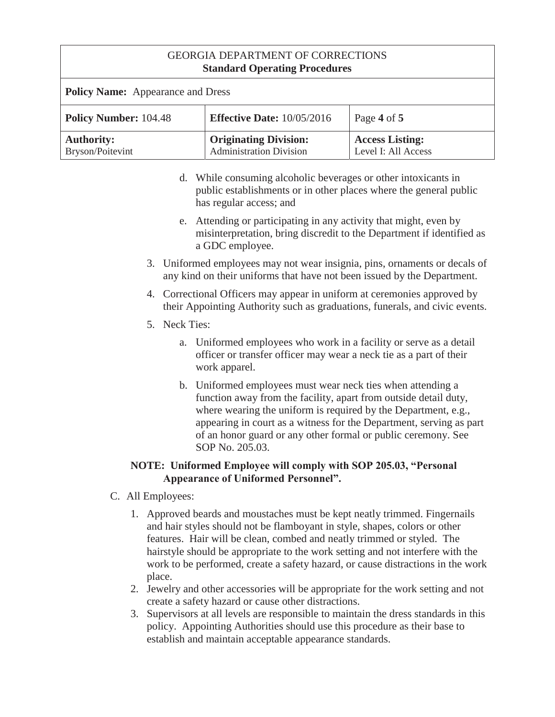| <b>Policy Name:</b> Appearance and Dress |                                                                |                                               |
|------------------------------------------|----------------------------------------------------------------|-----------------------------------------------|
| <b>Policy Number: 104.48</b>             | <b>Effective Date:</b> $10/05/2016$                            | Page 4 of 5                                   |
| <b>Authority:</b><br>Bryson/Poitevint    | <b>Originating Division:</b><br><b>Administration Division</b> | <b>Access Listing:</b><br>Level I: All Access |

- d. While consuming alcoholic beverages or other intoxicants in public establishments or in other places where the general public has regular access; and
- e. Attending or participating in any activity that might, even by misinterpretation, bring discredit to the Department if identified as a GDC employee.
- 3. Uniformed employees may not wear insignia, pins, ornaments or decals of any kind on their uniforms that have not been issued by the Department.
- 4. Correctional Officers may appear in uniform at ceremonies approved by their Appointing Authority such as graduations, funerals, and civic events.
- 5. Neck Ties:
	- a. Uniformed employees who work in a facility or serve as a detail officer or transfer officer may wear a neck tie as a part of their work apparel.
	- b. Uniformed employees must wear neck ties when attending a function away from the facility, apart from outside detail duty, where wearing the uniform is required by the Department, e.g., appearing in court as a witness for the Department, serving as part of an honor guard or any other formal or public ceremony. See SOP No. 205.03.

# **NOTE: Uniformed Employee will comply with SOP 205.03, "Personal Appearance of Uniformed Personnel".**

- C. All Employees:
	- 1. Approved beards and moustaches must be kept neatly trimmed. Fingernails and hair styles should not be flamboyant in style, shapes, colors or other features. Hair will be clean, combed and neatly trimmed or styled. The hairstyle should be appropriate to the work setting and not interfere with the work to be performed, create a safety hazard, or cause distractions in the work place.
	- 2. Jewelry and other accessories will be appropriate for the work setting and not create a safety hazard or cause other distractions.
	- 3. Supervisors at all levels are responsible to maintain the dress standards in this policy. Appointing Authorities should use this procedure as their base to establish and maintain acceptable appearance standards.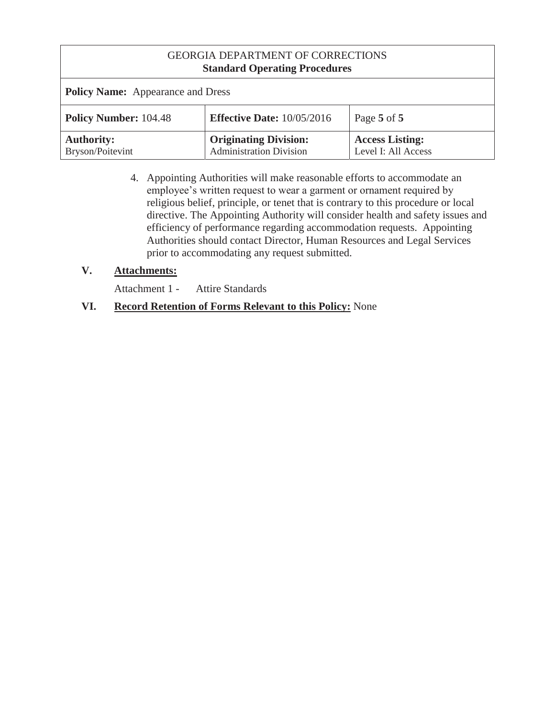| <b>Policy Name:</b> Appearance and Dress |                                                                |                                               |
|------------------------------------------|----------------------------------------------------------------|-----------------------------------------------|
| <b>Policy Number: 104.48</b>             | <b>Effective Date: 10/05/2016</b>                              | Page 5 of 5                                   |
| <b>Authority:</b><br>Bryson/Poitevint    | <b>Originating Division:</b><br><b>Administration Division</b> | <b>Access Listing:</b><br>Level I: All Access |

4. Appointing Authorities will make reasonable efforts to accommodate an employee's written request to wear a garment or ornament required by religious belief, principle, or tenet that is contrary to this procedure or local directive. The Appointing Authority will consider health and safety issues and efficiency of performance regarding accommodation requests. Appointing Authorities should contact Director, Human Resources and Legal Services prior to accommodating any request submitted.

# **V. Attachments:**

Attachment 1 - Attire Standards

# **VI. Record Retention of Forms Relevant to this Policy:** None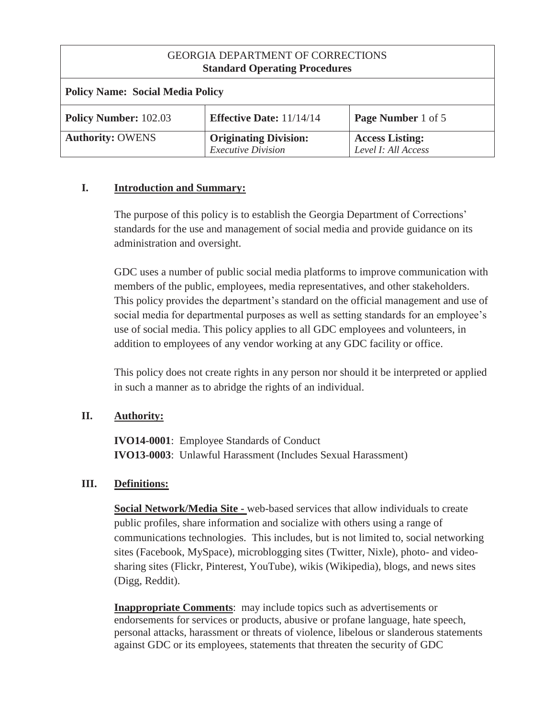| <b>GEORGIA DEPARTMENT OF CORRECTIONS</b><br><b>Standard Operating Procedures</b> |                                               |  |
|----------------------------------------------------------------------------------|-----------------------------------------------|--|
| <b>Policy Name: Social Media Policy</b>                                          |                                               |  |
| <b>Effective Date:</b> $11/14/14$                                                | <b>Page Number 1 of 5</b>                     |  |
| <b>Originating Division:</b>                                                     | <b>Access Listing:</b><br>Level I: All Access |  |
|                                                                                  | <b>Executive Division</b>                     |  |

#### **I. Introduction and Summary:**

The purpose of this policy is to establish the Georgia Department of Corrections' standards for the use and management of social media and provide guidance on its administration and oversight.

GDC uses a number of public social media platforms to improve communication with members of the public, employees, media representatives, and other stakeholders. This policy provides the department's standard on the official management and use of social media for departmental purposes as well as setting standards for an employee's use of social media. This policy applies to all GDC employees and volunteers, in addition to employees of any vendor working at any GDC facility or office.

This policy does not create rights in any person nor should it be interpreted or applied in such a manner as to abridge the rights of an individual.

#### **II. Authority:**

**IVO14-0001**: Employee Standards of Conduct **IVO13-0003**: Unlawful Harassment (Includes Sexual Harassment)

#### **III. Definitions:**

**Social Network/Media Site -** web-based services that allow individuals to create public profiles, share information and socialize with others using a range of communications technologies. This includes, but is not limited to, social networking sites (Facebook, MySpace), microblogging sites (Twitter, Nixle), photo- and videosharing sites (Flickr, Pinterest, YouTube), wikis (Wikipedia), blogs, and news sites (Digg, Reddit).

**Inappropriate Comments:** may include topics such as advertisements or endorsements for services or products, abusive or profane language, hate speech, personal attacks, harassment or threats of violence, libelous or slanderous statements against GDC or its employees, statements that threaten the security of GDC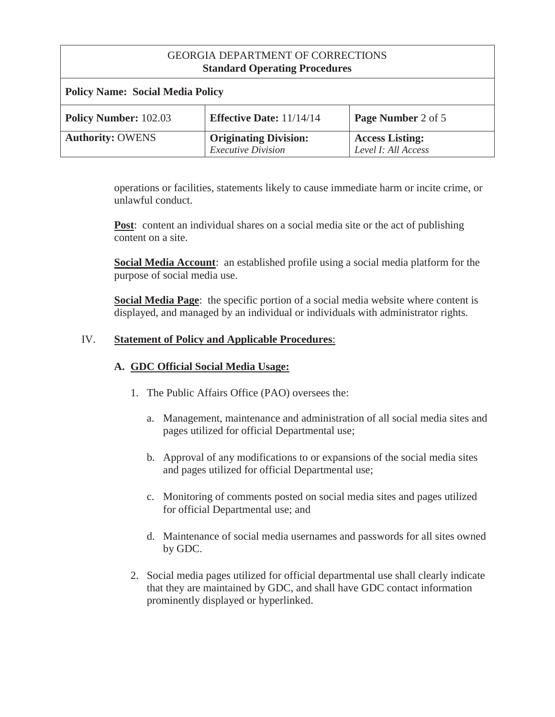| <b>Policy Name: Social Media Policy</b> |                                                           |                                               |
|-----------------------------------------|-----------------------------------------------------------|-----------------------------------------------|
| <b>Policy Number: 102.03</b>            | <b>Effective Date: 11/14/14</b>                           | Page Number 2 of 5                            |
| <b>Authority: OWENS</b>                 | <b>Originating Division:</b><br><b>Executive Division</b> | <b>Access Listing:</b><br>Level I: All Access |

operations or facilities, statements likely to cause immediate harm or incite crime, or unlawful conduct.

**Post:** content an individual shares on a social media site or the act of publishing content on a site.

**Social Media Account**: an established profile using a social media platform for the purpose of social media use.

**Social Media Page**: the specific portion of a social media website where content is displayed, and managed by an individual or individuals with administrator rights.

# IV. **Statement of Policy and Applicable Procedures**:

#### **A. GDC Official Social Media Usage:**

- 1. The Public Affairs Office (PAO) oversees the:
	- a. Management, maintenance and administration of all social media sites and pages utilized for official Departmental use;
	- b. Approval of any modifications to or expansions of the social media sites and pages utilized for official Departmental use;
	- c. Monitoring of comments posted on social media sites and pages utilized for official Departmental use; and
	- d. Maintenance of social media usernames and passwords for all sites owned by GDC.
- 2. Social media pages utilized for official departmental use shall clearly indicate that they are maintained by GDC, and shall have GDC contact information prominently displayed or hyperlinked.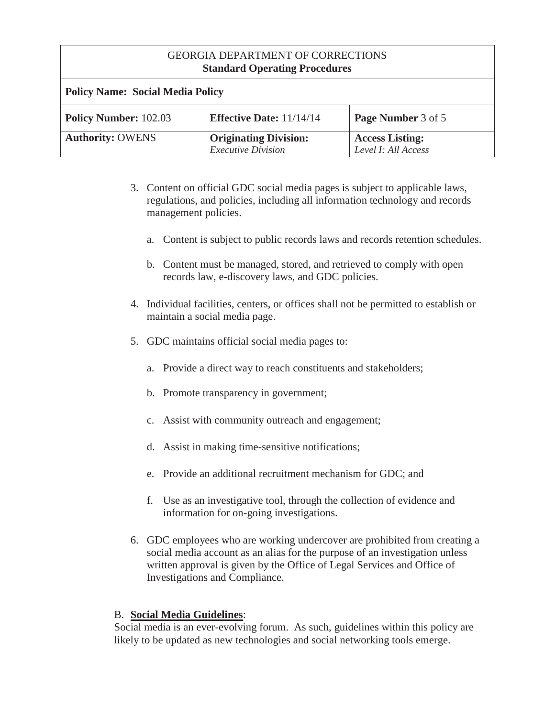| <b>Policy Name: Social Media Policy</b> |                                                           |                                               |
|-----------------------------------------|-----------------------------------------------------------|-----------------------------------------------|
| <b>Policy Number: 102.03</b>            | <b>Effective Date:</b> $11/14/14$                         | Page Number 3 of 5                            |
| <b>Authority: OWENS</b>                 | <b>Originating Division:</b><br><b>Executive Division</b> | <b>Access Listing:</b><br>Level I: All Access |

- 3. Content on official GDC social media pages is subject to applicable laws, regulations, and policies, including all information technology and records management policies.
	- a. Content is subject to public records laws and records retention schedules.
	- b. Content must be managed, stored, and retrieved to comply with open records law, e-discovery laws, and GDC policies.
- 4. Individual facilities, centers, or offices shall not be permitted to establish or maintain a social media page.
- 5. GDC maintains official social media pages to:
	- a. Provide a direct way to reach constituents and stakeholders;
	- b. Promote transparency in government;
	- c. Assist with community outreach and engagement;
	- d. Assist in making time-sensitive notifications;
	- e. Provide an additional recruitment mechanism for GDC; and
	- f. Use as an investigative tool, through the collection of evidence and information for on-going investigations.
- 6. GDC employees who are working undercover are prohibited from creating a social media account as an alias for the purpose of an investigation unless written approval is given by the Office of Legal Services and Office of Investigations and Compliance.

#### B. **Social Media Guidelines**:

Social media is an ever-evolving forum. As such, guidelines within this policy are likely to be updated as new technologies and social networking tools emerge.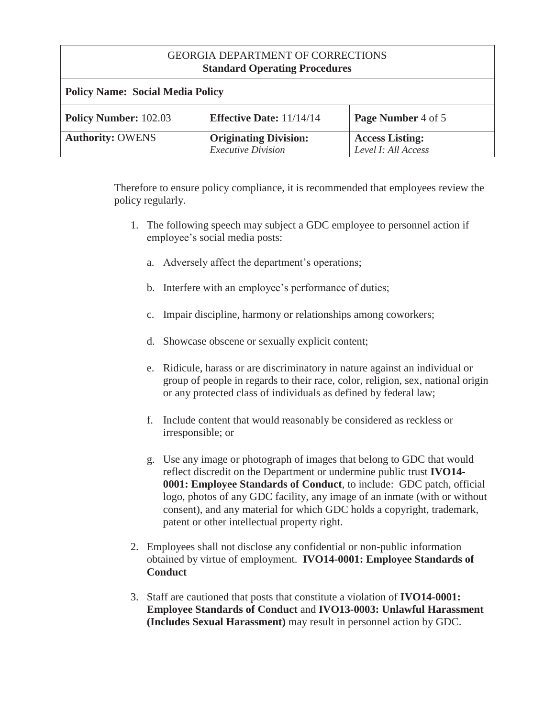| <b>Policy Name: Social Media Policy</b> |                                                           |                                               |
|-----------------------------------------|-----------------------------------------------------------|-----------------------------------------------|
| <b>Policy Number: 102.03</b>            | <b>Effective Date:</b> $11/14/14$                         | Page Number 4 of 5                            |
| <b>Authority: OWENS</b>                 | <b>Originating Division:</b><br><b>Executive Division</b> | <b>Access Listing:</b><br>Level I: All Access |

Therefore to ensure policy compliance, it is recommended that employees review the policy regularly.

- 1. The following speech may subject a GDC employee to personnel action if employee's social media posts:
	- a. Adversely affect the department's operations;
	- b. Interfere with an employee's performance of duties;
	- c. Impair discipline, harmony or relationships among coworkers;
	- d. Showcase obscene or sexually explicit content;
	- e. Ridicule, harass or are discriminatory in nature against an individual or group of people in regards to their race, color, religion, sex, national origin or any protected class of individuals as defined by federal law;
	- f. Include content that would reasonably be considered as reckless or irresponsible; or
	- g. Use any image or photograph of images that belong to GDC that would reflect discredit on the Department or undermine public trust **IVO14- 0001: Employee Standards of Conduct**, to include: GDC patch, official logo, photos of any GDC facility, any image of an inmate (with or without consent), and any material for which GDC holds a copyright, trademark, patent or other intellectual property right.
- 2. Employees shall not disclose any confidential or non-public information obtained by virtue of employment. **IVO14-0001: Employee Standards of Conduct**
- 3. Staff are cautioned that posts that constitute a violation of **IVO14-0001: Employee Standards of Conduct** and **IVO13-0003: Unlawful Harassment (Includes Sexual Harassment)** may result in personnel action by GDC.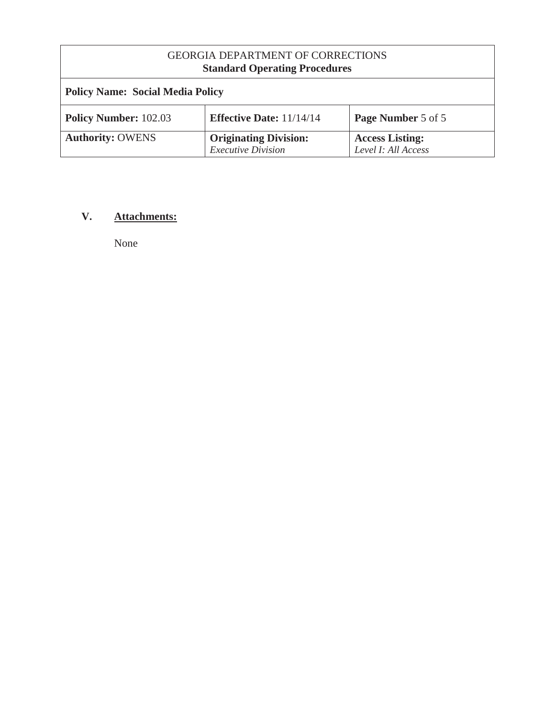| <b>Policy Name: Social Media Policy</b> |                                                           |                                               |
|-----------------------------------------|-----------------------------------------------------------|-----------------------------------------------|
| <b>Policy Number: 102.03</b>            | <b>Effective Date:</b> $11/14/14$                         | Page Number 5 of 5                            |
| <b>Authority: OWENS</b>                 | <b>Originating Division:</b><br><b>Executive Division</b> | <b>Access Listing:</b><br>Level I: All Access |

# **V. Attachments:**

None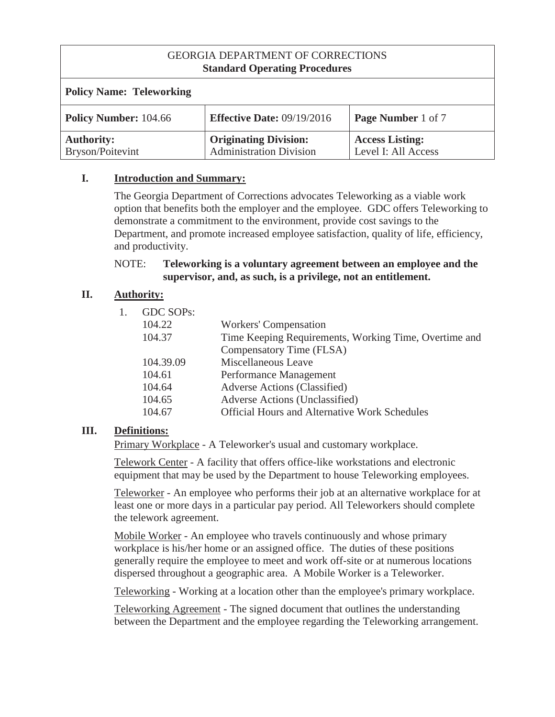| <b>Policy Name: Teleworking</b>       |                                                                |                                               |
|---------------------------------------|----------------------------------------------------------------|-----------------------------------------------|
| <b>Policy Number: 104.66</b>          | <b>Effective Date:</b> $09/19/2016$                            | <b>Page Number 1 of 7</b>                     |
| <b>Authority:</b><br>Bryson/Poitevint | <b>Originating Division:</b><br><b>Administration Division</b> | <b>Access Listing:</b><br>Level I: All Access |

### **I. Introduction and Summary:**

The Georgia Department of Corrections advocates Teleworking as a viable work option that benefits both the employer and the employee. GDC offers Teleworking to demonstrate a commitment to the environment, provide cost savings to the Department, and promote increased employee satisfaction, quality of life, efficiency, and productivity.

#### NOTE: **Teleworking is a voluntary agreement between an employee and the supervisor, and, as such, is a privilege, not an entitlement.**

# **II. Authority:**

| GDC SOPs: |                                                       |
|-----------|-------------------------------------------------------|
| 104.22    | <b>Workers' Compensation</b>                          |
| 104.37    | Time Keeping Requirements, Working Time, Overtime and |
|           | Compensatory Time (FLSA)                              |
| 104.39.09 | Miscellaneous Leave                                   |
| 104.61    | Performance Management                                |
| 104.64    | <b>Adverse Actions (Classified)</b>                   |
| 104.65    | Adverse Actions (Unclassified)                        |
| 104.67    | <b>Official Hours and Alternative Work Schedules</b>  |
|           |                                                       |

# **III. Definitions:**

Primary Workplace - A Teleworker's usual and customary workplace.

Telework Center - A facility that offers office-like workstations and electronic equipment that may be used by the Department to house Teleworking employees.

Teleworker - An employee who performs their job at an alternative workplace for at least one or more days in a particular pay period. All Teleworkers should complete the telework agreement.

Mobile Worker - An employee who travels continuously and whose primary workplace is his/her home or an assigned office. The duties of these positions generally require the employee to meet and work off-site or at numerous locations dispersed throughout a geographic area. A Mobile Worker is a Teleworker.

Teleworking - Working at a location other than the employee's primary workplace.

Teleworking Agreement - The signed document that outlines the understanding between the Department and the employee regarding the Teleworking arrangement.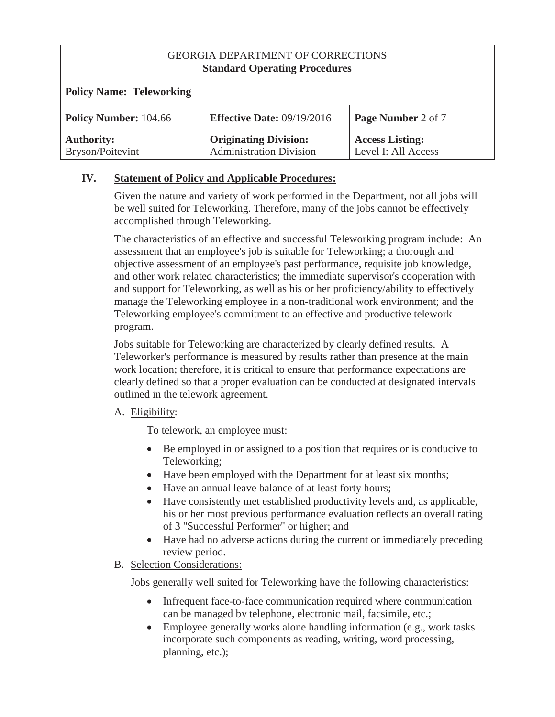| <b>Policy Name: Teleworking</b>       |                                                                |                                               |
|---------------------------------------|----------------------------------------------------------------|-----------------------------------------------|
| <b>Policy Number: 104.66</b>          | <b>Effective Date: 09/19/2016</b>                              | Page Number 2 of 7                            |
| <b>Authority:</b><br>Bryson/Poitevint | <b>Originating Division:</b><br><b>Administration Division</b> | <b>Access Listing:</b><br>Level I: All Access |

# **IV. Statement of Policy and Applicable Procedures:**

Given the nature and variety of work performed in the Department, not all jobs will be well suited for Teleworking. Therefore, many of the jobs cannot be effectively accomplished through Teleworking.

The characteristics of an effective and successful Teleworking program include: An assessment that an employee's job is suitable for Teleworking; a thorough and objective assessment of an employee's past performance, requisite job knowledge, and other work related characteristics; the immediate supervisor's cooperation with and support for Teleworking, as well as his or her proficiency/ability to effectively manage the Teleworking employee in a non-traditional work environment; and the Teleworking employee's commitment to an effective and productive telework program.

Jobs suitable for Teleworking are characterized by clearly defined results. A Teleworker's performance is measured by results rather than presence at the main work location; therefore, it is critical to ensure that performance expectations are clearly defined so that a proper evaluation can be conducted at designated intervals outlined in the telework agreement.

#### A. Eligibility:

To telework, an employee must:

- $\bullet$  Be employed in or assigned to a position that requires or is conducive to Teleworking;
- Have been employed with the Department for at least six months;
- Have an annual leave balance of at least forty hours;
- Have consistently met established productivity levels and, as applicable, his or her most previous performance evaluation reflects an overall rating of 3 "Successful Performer" or higher; and
- Have had no adverse actions during the current or immediately preceding review period.
- B. Selection Considerations:

Jobs generally well suited for Teleworking have the following characteristics:

- Infrequent face-to-face communication required where communication can be managed by telephone, electronic mail, facsimile, etc.;
- Employee generally works alone handling information (e.g., work tasks incorporate such components as reading, writing, word processing, planning, etc.);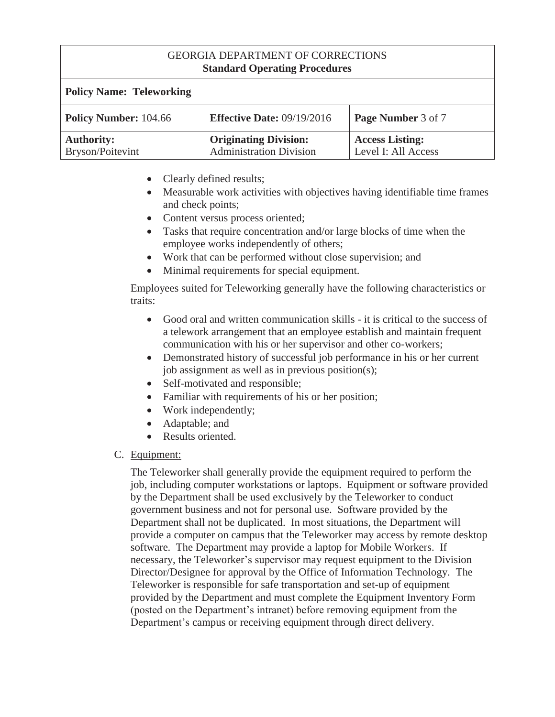| <b>Policy Name: Teleworking</b>       |                                                                |                                               |
|---------------------------------------|----------------------------------------------------------------|-----------------------------------------------|
| <b>Policy Number: 104.66</b>          | <b>Effective Date: 09/19/2016</b>                              | Page Number 3 of 7                            |
| <b>Authority:</b><br>Bryson/Poitevint | <b>Originating Division:</b><br><b>Administration Division</b> | <b>Access Listing:</b><br>Level I: All Access |

- Clearly defined results;
- Measurable work activities with objectives having identifiable time frames and check points;
- Content versus process oriented;
- Tasks that require concentration and/or large blocks of time when the employee works independently of others;
- Work that can be performed without close supervision; and
- Minimal requirements for special equipment.

Employees suited for Teleworking generally have the following characteristics or traits:

- Good oral and written communication skills it is critical to the success of a telework arrangement that an employee establish and maintain frequent communication with his or her supervisor and other co-workers;
- Demonstrated history of successful job performance in his or her current job assignment as well as in previous position(s);
- Self-motivated and responsible;
- Familiar with requirements of his or her position;
- Work independently;
- Adaptable; and
- Results oriented.
- C. Equipment:

The Teleworker shall generally provide the equipment required to perform the job, including computer workstations or laptops. Equipment or software provided by the Department shall be used exclusively by the Teleworker to conduct government business and not for personal use. Software provided by the Department shall not be duplicated. In most situations, the Department will provide a computer on campus that the Teleworker may access by remote desktop software. The Department may provide a laptop for Mobile Workers. If necessary, the Teleworker's supervisor may request equipment to the Division Director/Designee for approval by the Office of Information Technology. The Teleworker is responsible for safe transportation and set-up of equipment provided by the Department and must complete the Equipment Inventory Form (posted on the Department's intranet) before removing equipment from the Department's campus or receiving equipment through direct delivery.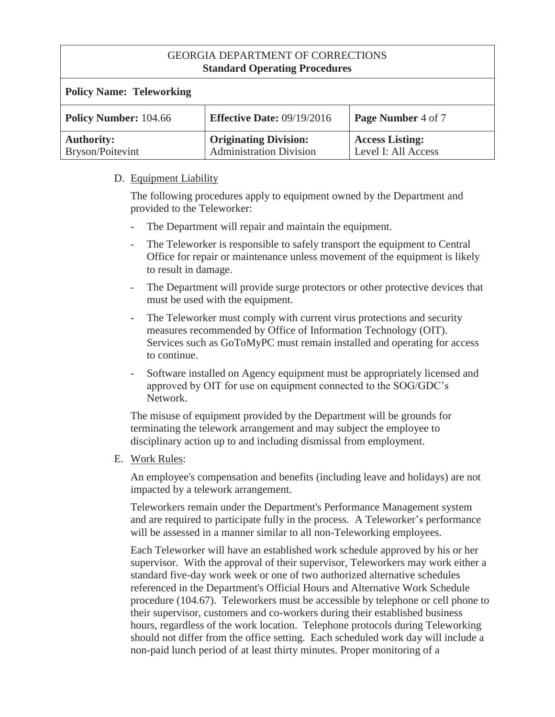| <b>Policy Name: Teleworking</b>       |                                                                |                                               |
|---------------------------------------|----------------------------------------------------------------|-----------------------------------------------|
| <b>Policy Number: 104.66</b>          | <b>Effective Date: 09/19/2016</b>                              | Page Number 4 of 7                            |
| <b>Authority:</b><br>Bryson/Poitevint | <b>Originating Division:</b><br><b>Administration Division</b> | <b>Access Listing:</b><br>Level I: All Access |

#### D. Equipment Liability

The following procedures apply to equipment owned by the Department and provided to the Teleworker:

- The Department will repair and maintain the equipment.
- The Teleworker is responsible to safely transport the equipment to Central Office for repair or maintenance unless movement of the equipment is likely to result in damage.
- The Department will provide surge protectors or other protective devices that must be used with the equipment.
- The Teleworker must comply with current virus protections and security measures recommended by Office of Information Technology (OIT). Services such as GoToMyPC must remain installed and operating for access to continue.
- Software installed on Agency equipment must be appropriately licensed and approved by OIT for use on equipment connected to the SOG/GDC's Network.

The misuse of equipment provided by the Department will be grounds for terminating the telework arrangement and may subject the employee to disciplinary action up to and including dismissal from employment.

E. Work Rules:

An employee's compensation and benefits (including leave and holidays) are not impacted by a telework arrangement.

Teleworkers remain under the Department's Performance Management system and are required to participate fully in the process. A Teleworker's performance will be assessed in a manner similar to all non-Teleworking employees.

Each Teleworker will have an established work schedule approved by his or her supervisor. With the approval of their supervisor, Teleworkers may work either a standard five-day work week or one of two authorized alternative schedules referenced in the Department's Official Hours and Alternative Work Schedule procedure (104.67). Teleworkers must be accessible by telephone or cell phone to their supervisor, customers and co-workers during their established business hours, regardless of the work location. Telephone protocols during Teleworking should not differ from the office setting. Each scheduled work day will include a non-paid lunch period of at least thirty minutes. Proper monitoring of a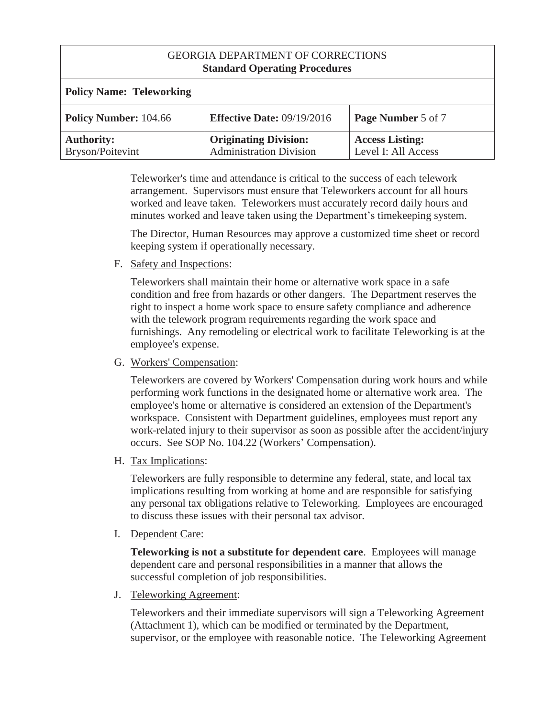| <b>Policy Name: Teleworking</b>       |                                                                |                                               |
|---------------------------------------|----------------------------------------------------------------|-----------------------------------------------|
| <b>Policy Number: 104.66</b>          | <b>Effective Date: 09/19/2016</b>                              | <b>Page Number 5 of 7</b>                     |
| <b>Authority:</b><br>Bryson/Poitevint | <b>Originating Division:</b><br><b>Administration Division</b> | <b>Access Listing:</b><br>Level I: All Access |

Teleworker's time and attendance is critical to the success of each telework arrangement. Supervisors must ensure that Teleworkers account for all hours worked and leave taken. Teleworkers must accurately record daily hours and minutes worked and leave taken using the Department's timekeeping system.

The Director, Human Resources may approve a customized time sheet or record keeping system if operationally necessary.

F. Safety and Inspections:

Teleworkers shall maintain their home or alternative work space in a safe condition and free from hazards or other dangers. The Department reserves the right to inspect a home work space to ensure safety compliance and adherence with the telework program requirements regarding the work space and furnishings. Any remodeling or electrical work to facilitate Teleworking is at the employee's expense.

G. Workers' Compensation:

Teleworkers are covered by Workers' Compensation during work hours and while performing work functions in the designated home or alternative work area. The employee's home or alternative is considered an extension of the Department's workspace. Consistent with Department guidelines, employees must report any work-related injury to their supervisor as soon as possible after the accident/injury occurs. See SOP No. 104.22 (Workers' Compensation).

H. Tax Implications:

Teleworkers are fully responsible to determine any federal, state, and local tax implications resulting from working at home and are responsible for satisfying any personal tax obligations relative to Teleworking. Employees are encouraged to discuss these issues with their personal tax advisor.

I. Dependent Care:

**Teleworking is not a substitute for dependent care**. Employees will manage dependent care and personal responsibilities in a manner that allows the successful completion of job responsibilities.

J. Teleworking Agreement:

Teleworkers and their immediate supervisors will sign a Teleworking Agreement (Attachment 1), which can be modified or terminated by the Department, supervisor, or the employee with reasonable notice. The Teleworking Agreement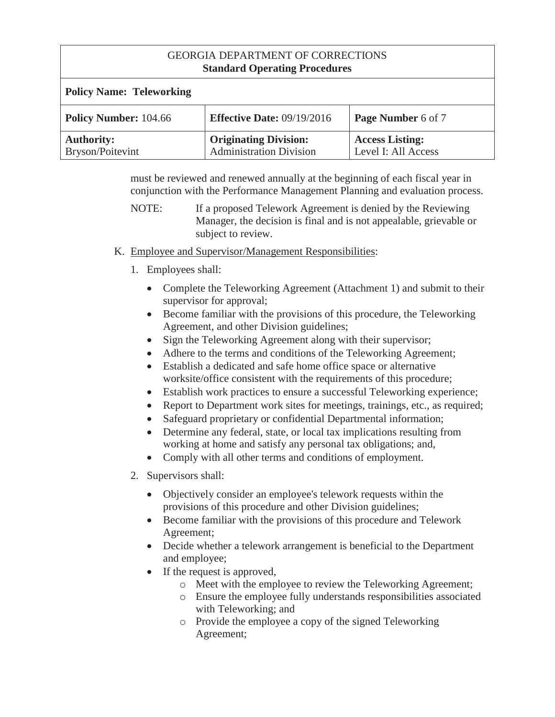| <b>Policy Name: Teleworking</b>       |                                                                |                                               |
|---------------------------------------|----------------------------------------------------------------|-----------------------------------------------|
| <b>Policy Number: 104.66</b>          | <b>Effective Date: 09/19/2016</b>                              | Page Number 6 of 7                            |
| <b>Authority:</b><br>Bryson/Poitevint | <b>Originating Division:</b><br><b>Administration Division</b> | <b>Access Listing:</b><br>Level I: All Access |

must be reviewed and renewed annually at the beginning of each fiscal year in conjunction with the Performance Management Planning and evaluation process.

- K. Employee and Supervisor/Management Responsibilities:
	- 1. Employees shall:
		- Complete the Teleworking Agreement (Attachment 1) and submit to their supervisor for approval;
		- $\bullet$  Become familiar with the provisions of this procedure, the Teleworking Agreement, and other Division guidelines;
		- Sign the Teleworking Agreement along with their supervisor;
		- Adhere to the terms and conditions of the Teleworking Agreement;
		- Establish a dedicated and safe home office space or alternative worksite/office consistent with the requirements of this procedure;
		- Establish work practices to ensure a successful Teleworking experience;
		- Report to Department work sites for meetings, trainings, etc., as required;
		- Safeguard proprietary or confidential Departmental information;
		- Determine any federal, state, or local tax implications resulting from working at home and satisfy any personal tax obligations; and,
		- Comply with all other terms and conditions of employment.
	- 2. Supervisors shall:
		- Objectively consider an employee's telework requests within the provisions of this procedure and other Division guidelines;
		- Become familiar with the provisions of this procedure and Telework Agreement;
		- Decide whether a telework arrangement is beneficial to the Department and employee;
		- If the request is approved,
			- o Meet with the employee to review the Teleworking Agreement;
			- o Ensure the employee fully understands responsibilities associated with Teleworking; and
			- o Provide the employee a copy of the signed Teleworking Agreement;

NOTE: If a proposed Telework Agreement is denied by the Reviewing Manager, the decision is final and is not appealable, grievable or subject to review.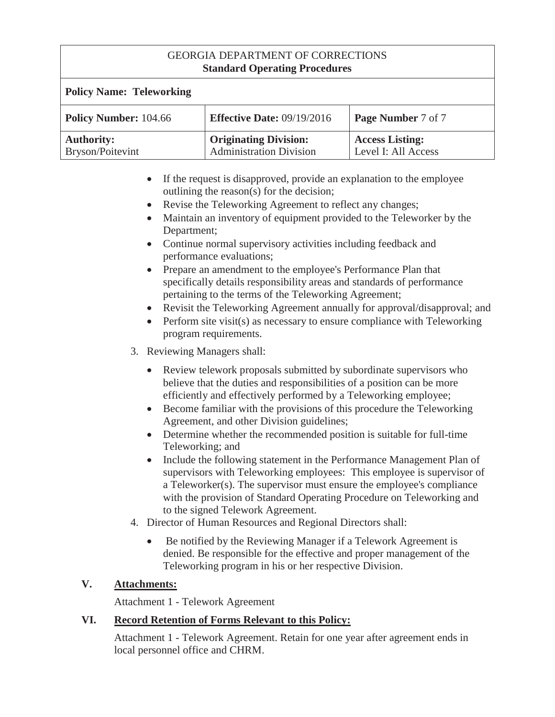| <b>Policy Name: Teleworking</b>       |                                                                |                                               |
|---------------------------------------|----------------------------------------------------------------|-----------------------------------------------|
| <b>Policy Number: 104.66</b>          | <b>Effective Date: 09/19/2016</b>                              | <b>Page Number 7 of 7</b>                     |
| <b>Authority:</b><br>Bryson/Poitevint | <b>Originating Division:</b><br><b>Administration Division</b> | <b>Access Listing:</b><br>Level I: All Access |

- If the request is disapproved, provide an explanation to the employee outlining the reason(s) for the decision;
- Revise the Teleworking Agreement to reflect any changes;
- x Maintain an inventory of equipment provided to the Teleworker by the Department;
- Continue normal supervisory activities including feedback and performance evaluations;
- Prepare an amendment to the employee's Performance Plan that specifically details responsibility areas and standards of performance pertaining to the terms of the Teleworking Agreement;
- Revisit the Teleworking Agreement annually for approval/disapproval; and
- Perform site visit(s) as necessary to ensure compliance with Teleworking program requirements.
- 3. Reviewing Managers shall:
	- Review telework proposals submitted by subordinate supervisors who believe that the duties and responsibilities of a position can be more efficiently and effectively performed by a Teleworking employee;
	- $\bullet$  Become familiar with the provisions of this procedure the Teleworking Agreement, and other Division guidelines;
	- Determine whether the recommended position is suitable for full-time Teleworking; and
	- Include the following statement in the Performance Management Plan of supervisors with Teleworking employees: This employee is supervisor of a Teleworker(s). The supervisor must ensure the employee's compliance with the provision of Standard Operating Procedure on Teleworking and to the signed Telework Agreement.
- 4. Director of Human Resources and Regional Directors shall:
	- Be notified by the Reviewing Manager if a Telework Agreement is denied. Be responsible for the effective and proper management of the Teleworking program in his or her respective Division.

# **V. Attachments:**

Attachment 1 - Telework Agreement

# **VI. Record Retention of Forms Relevant to this Policy:**

Attachment 1 - Telework Agreement. Retain for one year after agreement ends in local personnel office and CHRM.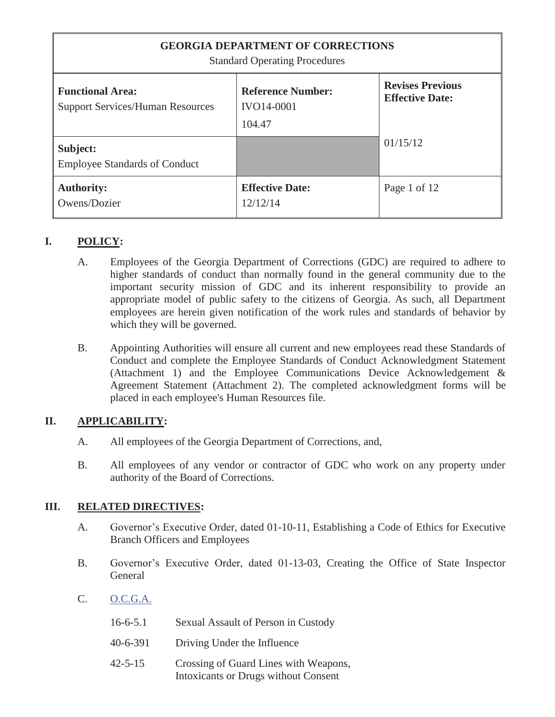| <b>GEORGIA DEPARTMENT OF CORRECTIONS</b><br><b>Standard Operating Procedures</b> |                                                         |                                                   |
|----------------------------------------------------------------------------------|---------------------------------------------------------|---------------------------------------------------|
| <b>Functional Area:</b><br><b>Support Services/Human Resources</b>               | <b>Reference Number:</b><br><b>IVO14-0001</b><br>104.47 | <b>Revises Previous</b><br><b>Effective Date:</b> |
| Subject:<br><b>Employee Standards of Conduct</b>                                 |                                                         | 01/15/12                                          |
| <b>Authority:</b><br>Owens/Dozier                                                | <b>Effective Date:</b><br>12/12/14                      | Page 1 of 12                                      |

# **I. POLICY:**

- A. Employees of the Georgia Department of Corrections (GDC) are required to adhere to higher standards of conduct than normally found in the general community due to the important security mission of GDC and its inherent responsibility to provide an appropriate model of public safety to the citizens of Georgia. As such, all Department employees are herein given notification of the work rules and standards of behavior by which they will be governed.
- B. Appointing Authorities will ensure all current and new employees read these Standards of Conduct and complete the Employee Standards of Conduct Acknowledgment Statement (Attachment 1) and the Employee Communications Device Acknowledgement & Agreement Statement (Attachment 2). The completed acknowledgment forms will be placed in each employee's Human Resources file.

# **II. APPLICABILITY:**

- A. All employees of the Georgia Department of Corrections, and,
- B. All employees of any vendor or contractor of GDC who work on any property under authority of the Board of Corrections.

# **III. RELATED DIRECTIVES:**

- A. Governor's Executive Order, dated 01-10-11, Establishing a Code of Ethics for Executive Branch Officers and Employees
- B. Governor's Executive Order, dated 01-13-03, Creating the Office of State Inspector **General**
- C. O.C.G.A.

| $16-6-5.1$ | Sexual Assault of Person in Custody                                           |
|------------|-------------------------------------------------------------------------------|
| 40-6-391   | Driving Under the Influence                                                   |
| 42-5-15    | Crossing of Guard Lines with Weapons,<br>Intoxicants or Drugs without Consent |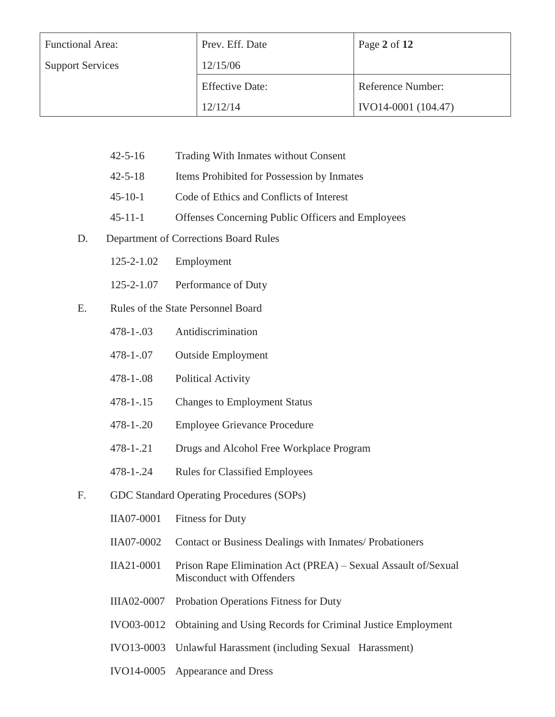| <b>Functional Area:</b> | Prev. Eff. Date        | Page 2 of 12        |
|-------------------------|------------------------|---------------------|
| <b>Support Services</b> | 12/15/06               |                     |
|                         | <b>Effective Date:</b> | Reference Number:   |
|                         | 12/12/14               | IVO14-0001 (104.47) |

- 42-5-16 Trading With Inmates without Consent
- 42-5-18 Items Prohibited for Possession by Inmates
- 45-10-1 Code of Ethics and Conflicts of Interest
- 45-11-1 Offenses Concerning Public Officers and Employees
- D. Department of Corrections Board Rules
	- 125-2-1.02 Employment
	- 125-2-1.07 Performance of Duty
- E. Rules of the State Personnel Board
	- 478-1-.03 Antidiscrimination
	- 478-1-.07 Outside Employment
	- 478-1-.08 Political Activity
	- 478-1-.15 Changes to Employment Status
	- 478-1-.20 Employee Grievance Procedure
	- 478-1-.21 Drugs and Alcohol Free Workplace Program
	- 478-1-.24 Rules for Classified Employees
- F. GDC Standard Operating Procedures (SOPs)
	- IIA07-0001 Fitness for Duty
	- IIA07-0002 Contact or Business Dealings with Inmates/ Probationers
	- IIA21-0001 Prison Rape Elimination Act (PREA) Sexual Assault of/Sexual Misconduct with Offenders
	- IIIA02-0007 Probation Operations Fitness for Duty
	- IVO03-0012 Obtaining and Using Records for Criminal Justice Employment
	- IVO13-0003 Unlawful Harassment (including Sexual Harassment)
	- IVO14-0005 Appearance and Dress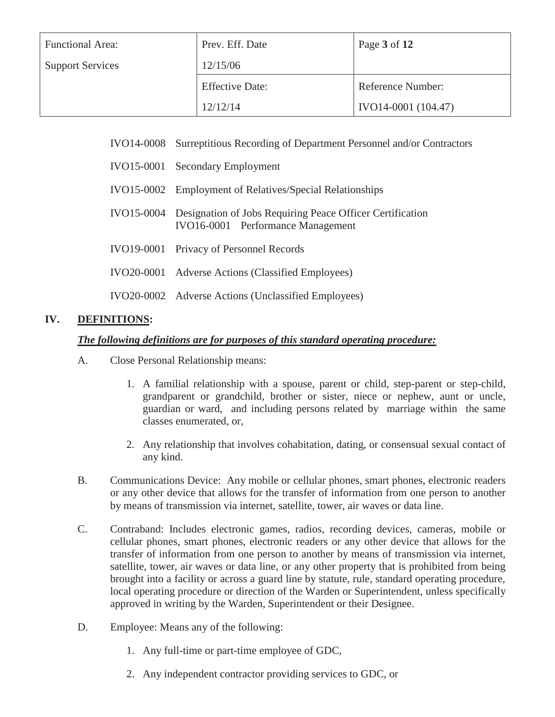| <b>Functional Area:</b> | Prev. Eff. Date        | Page 3 of 12        |
|-------------------------|------------------------|---------------------|
| <b>Support Services</b> | 12/15/06               |                     |
|                         | <b>Effective Date:</b> | Reference Number:   |
|                         | 12/12/14               | IVO14-0001 (104.47) |

- IVO14-0008 Surreptitious Recording of Department Personnel and/or Contractors
- IVO15-0001 Secondary Employment
- IVO15-0002 Employment of Relatives/Special Relationships
- IVO15-0004 Designation of Jobs Requiring Peace Officer Certification IVO16-0001 Performance Management
- IVO19-0001 Privacy of Personnel Records
- IVO20-0001 Adverse Actions (Classified Employees)
- IVO20-0002 Adverse Actions (Unclassified Employees)

#### **IV. DEFINITIONS:**

#### *The following definitions are for purposes of this standard operating procedure:*

- A. Close Personal Relationship means:
	- 1. A familial relationship with a spouse, parent or child, step-parent or step-child, grandparent or grandchild, brother or sister, niece or nephew, aunt or uncle, guardian or ward, and including persons related by marriage within the same classes enumerated, or,
	- 2. Any relationship that involves cohabitation, dating, or consensual sexual contact of any kind.
- B. Communications Device: Any mobile or cellular phones, smart phones, electronic readers or any other device that allows for the transfer of information from one person to another by means of transmission via internet, satellite, tower, air waves or data line.
- C. Contraband: Includes electronic games, radios, recording devices, cameras, mobile or cellular phones, smart phones, electronic readers or any other device that allows for the transfer of information from one person to another by means of transmission via internet, satellite, tower, air waves or data line, or any other property that is prohibited from being brought into a facility or across a guard line by statute, rule, standard operating procedure, local operating procedure or direction of the Warden or Superintendent, unless specifically approved in writing by the Warden, Superintendent or their Designee.
- D. Employee: Means any of the following:
	- 1. Any full-time or part-time employee of GDC,
	- 2. Any independent contractor providing services to GDC, or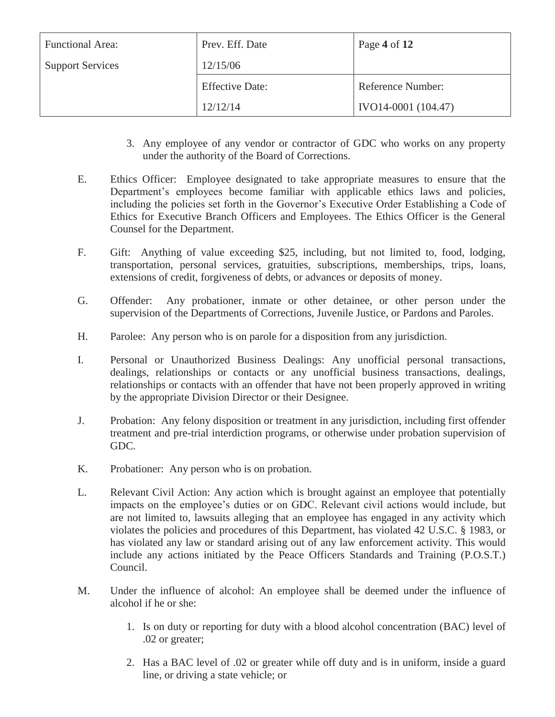| <b>Functional Area:</b> | Prev. Eff. Date        | Page 4 of 12        |
|-------------------------|------------------------|---------------------|
| <b>Support Services</b> | 12/15/06               |                     |
|                         | <b>Effective Date:</b> | Reference Number:   |
|                         | 12/12/14               | IVO14-0001 (104.47) |

- 3. Any employee of any vendor or contractor of GDC who works on any property under the authority of the Board of Corrections.
- E. Ethics Officer: Employee designated to take appropriate measures to ensure that the Department's employees become familiar with applicable ethics laws and policies, including the policies set forth in the Governor's Executive Order Establishing a Code of Ethics for Executive Branch Officers and Employees. The Ethics Officer is the General Counsel for the Department.
- F. Gift: Anything of value exceeding \$25, including, but not limited to, food, lodging, transportation, personal services, gratuities, subscriptions, memberships, trips, loans, extensions of credit, forgiveness of debts, or advances or deposits of money.
- G. Offender: Any probationer, inmate or other detainee, or other person under the supervision of the Departments of Corrections, Juvenile Justice, or Pardons and Paroles.
- H. Parolee: Any person who is on parole for a disposition from any jurisdiction.
- I. Personal or Unauthorized Business Dealings: Any unofficial personal transactions, dealings, relationships or contacts or any unofficial business transactions, dealings, relationships or contacts with an offender that have not been properly approved in writing by the appropriate Division Director or their Designee.
- J. Probation: Any felony disposition or treatment in any jurisdiction, including first offender treatment and pre-trial interdiction programs, or otherwise under probation supervision of GDC.
- K. Probationer: Any person who is on probation.
- L. Relevant Civil Action: Any action which is brought against an employee that potentially impacts on the employee's duties or on GDC. Relevant civil actions would include, but are not limited to, lawsuits alleging that an employee has engaged in any activity which violates the policies and procedures of this Department, has violated 42 U.S.C. § 1983, or has violated any law or standard arising out of any law enforcement activity. This would include any actions initiated by the Peace Officers Standards and Training (P.O.S.T.) Council.
- M. Under the influence of alcohol: An employee shall be deemed under the influence of alcohol if he or she:
	- 1. Is on duty or reporting for duty with a blood alcohol concentration (BAC) level of .02 or greater;
	- 2. Has a BAC level of .02 or greater while off duty and is in uniform, inside a guard line, or driving a state vehicle; or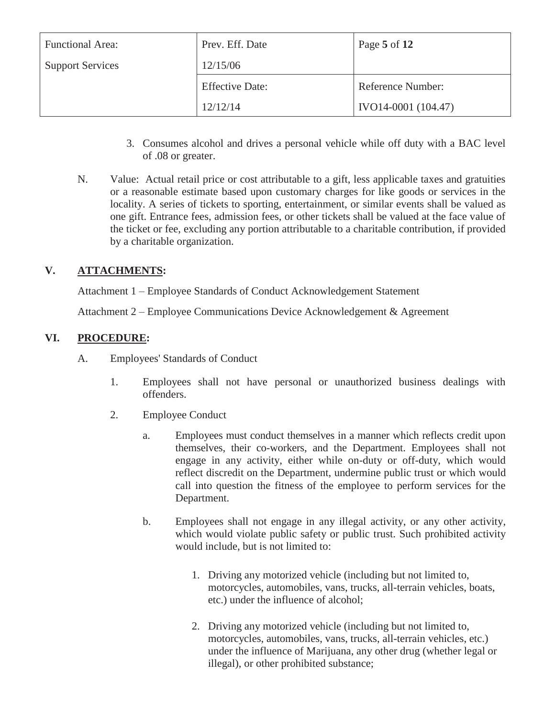| <b>Functional Area:</b> | Prev. Eff. Date        | Page 5 of 12        |
|-------------------------|------------------------|---------------------|
| <b>Support Services</b> | 12/15/06               |                     |
|                         | <b>Effective Date:</b> | Reference Number:   |
|                         | 12/12/14               | IVO14-0001 (104.47) |

- 3. Consumes alcohol and drives a personal vehicle while off duty with a BAC level of .08 or greater.
- N. Value: Actual retail price or cost attributable to a gift, less applicable taxes and gratuities or a reasonable estimate based upon customary charges for like goods or services in the locality. A series of tickets to sporting, entertainment, or similar events shall be valued as one gift. Entrance fees, admission fees, or other tickets shall be valued at the face value of the ticket or fee, excluding any portion attributable to a charitable contribution, if provided by a charitable organization.

# **V. ATTACHMENTS:**

Attachment 1 – Employee Standards of Conduct Acknowledgement Statement

Attachment 2 – Employee Communications Device Acknowledgement & Agreement

#### **VI. PROCEDURE:**

- A. Employees' Standards of Conduct
	- 1. Employees shall not have personal or unauthorized business dealings with offenders.
	- 2. Employee Conduct
		- a. Employees must conduct themselves in a manner which reflects credit upon themselves, their co-workers, and the Department. Employees shall not engage in any activity, either while on-duty or off-duty, which would reflect discredit on the Department, undermine public trust or which would call into question the fitness of the employee to perform services for the Department.
		- b. Employees shall not engage in any illegal activity, or any other activity, which would violate public safety or public trust. Such prohibited activity would include, but is not limited to:
			- 1. Driving any motorized vehicle (including but not limited to, motorcycles, automobiles, vans, trucks, all-terrain vehicles, boats, etc.) under the influence of alcohol;
			- 2. Driving any motorized vehicle (including but not limited to, motorcycles, automobiles, vans, trucks, all-terrain vehicles, etc.) under the influence of Marijuana, any other drug (whether legal or illegal), or other prohibited substance;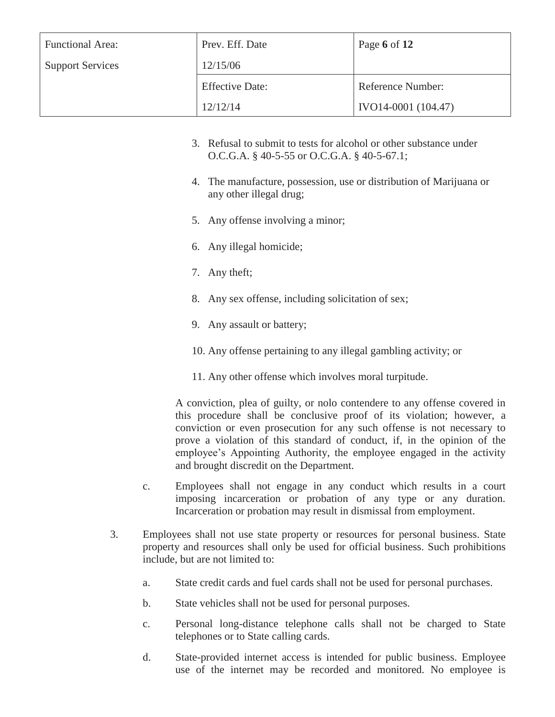| <b>Functional Area:</b> | Prev. Eff. Date        | Page 6 of 12        |
|-------------------------|------------------------|---------------------|
| <b>Support Services</b> | 12/15/06               |                     |
|                         | <b>Effective Date:</b> | Reference Number:   |
|                         | 12/12/14               | IVO14-0001 (104.47) |

- 3. Refusal to submit to tests for alcohol or other substance under O.C.G.A. § 40-5-55 or O.C.G.A. § 40-5-67.1;
- 4. The manufacture, possession, use or distribution of Marijuana or any other illegal drug;
- 5. Any offense involving a minor;
- 6. Any illegal homicide;
- 7. Any theft;
- 8. Any sex offense, including solicitation of sex;
- 9. Any assault or battery;
- 10. Any offense pertaining to any illegal gambling activity; or
- 11. Any other offense which involves moral turpitude.

A conviction, plea of guilty, or nolo contendere to any offense covered in this procedure shall be conclusive proof of its violation; however, a conviction or even prosecution for any such offense is not necessary to prove a violation of this standard of conduct, if, in the opinion of the employee's Appointing Authority, the employee engaged in the activity and brought discredit on the Department.

- c. Employees shall not engage in any conduct which results in a court imposing incarceration or probation of any type or any duration. Incarceration or probation may result in dismissal from employment.
- 3. Employees shall not use state property or resources for personal business. State property and resources shall only be used for official business. Such prohibitions include, but are not limited to:
	- a. State credit cards and fuel cards shall not be used for personal purchases.
	- b. State vehicles shall not be used for personal purposes.
	- c. Personal long-distance telephone calls shall not be charged to State telephones or to State calling cards.
	- d. State-provided internet access is intended for public business. Employee use of the internet may be recorded and monitored. No employee is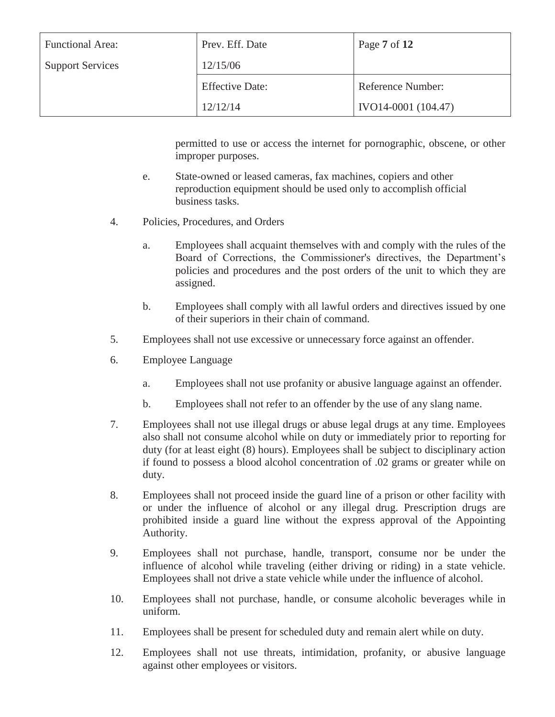| <b>Functional Area:</b> | Prev. Eff. Date        | Page $7 \text{ of } 12$ |
|-------------------------|------------------------|-------------------------|
| <b>Support Services</b> | 12/15/06               |                         |
|                         | <b>Effective Date:</b> | Reference Number:       |
|                         | 12/12/14               | IVO14-0001 (104.47)     |

permitted to use or access the internet for pornographic, obscene, or other improper purposes.

- e. State-owned or leased cameras, fax machines, copiers and other reproduction equipment should be used only to accomplish official business tasks.
- 4. Policies, Procedures, and Orders
	- a. Employees shall acquaint themselves with and comply with the rules of the Board of Corrections, the Commissioner's directives, the Department's policies and procedures and the post orders of the unit to which they are assigned.
	- b. Employees shall comply with all lawful orders and directives issued by one of their superiors in their chain of command.
- 5. Employees shall not use excessive or unnecessary force against an offender.
- 6. Employee Language
	- a. Employees shall not use profanity or abusive language against an offender.
	- b. Employees shall not refer to an offender by the use of any slang name.
- 7. Employees shall not use illegal drugs or abuse legal drugs at any time. Employees also shall not consume alcohol while on duty or immediately prior to reporting for duty (for at least eight (8) hours). Employees shall be subject to disciplinary action if found to possess a blood alcohol concentration of .02 grams or greater while on duty.
- 8. Employees shall not proceed inside the guard line of a prison or other facility with or under the influence of alcohol or any illegal drug. Prescription drugs are prohibited inside a guard line without the express approval of the Appointing Authority.
- 9. Employees shall not purchase, handle, transport, consume nor be under the influence of alcohol while traveling (either driving or riding) in a state vehicle. Employees shall not drive a state vehicle while under the influence of alcohol.
- 10. Employees shall not purchase, handle, or consume alcoholic beverages while in uniform.
- 11. Employees shall be present for scheduled duty and remain alert while on duty.
- 12. Employees shall not use threats, intimidation, profanity, or abusive language against other employees or visitors.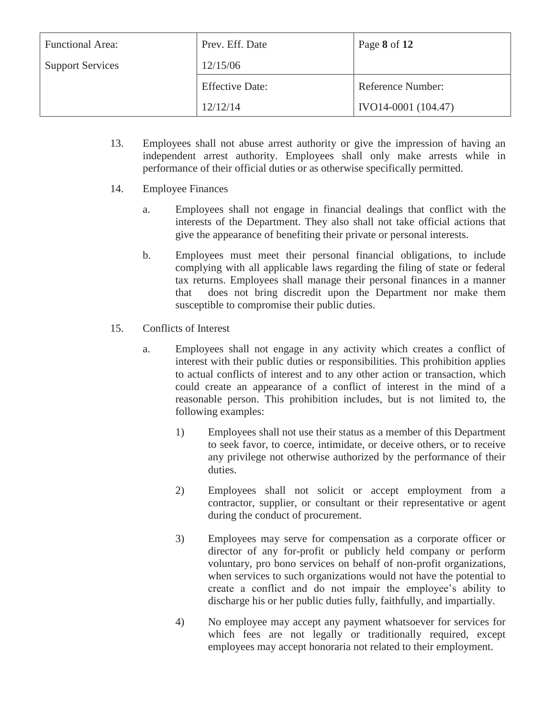| <b>Functional Area:</b> | Prev. Eff. Date        | Page 8 of 12        |
|-------------------------|------------------------|---------------------|
| <b>Support Services</b> | 12/15/06               |                     |
|                         | <b>Effective Date:</b> | Reference Number:   |
|                         | 12/12/14               | IVO14-0001 (104.47) |

- 13. Employees shall not abuse arrest authority or give the impression of having an independent arrest authority. Employees shall only make arrests while in performance of their official duties or as otherwise specifically permitted.
- 14. Employee Finances
	- a. Employees shall not engage in financial dealings that conflict with the interests of the Department. They also shall not take official actions that give the appearance of benefiting their private or personal interests.
	- b. Employees must meet their personal financial obligations, to include complying with all applicable laws regarding the filing of state or federal tax returns. Employees shall manage their personal finances in a manner that does not bring discredit upon the Department nor make them susceptible to compromise their public duties.
- 15. Conflicts of Interest
	- a. Employees shall not engage in any activity which creates a conflict of interest with their public duties or responsibilities. This prohibition applies to actual conflicts of interest and to any other action or transaction, which could create an appearance of a conflict of interest in the mind of a reasonable person. This prohibition includes, but is not limited to, the following examples:
		- 1) Employees shall not use their status as a member of this Department to seek favor, to coerce, intimidate, or deceive others, or to receive any privilege not otherwise authorized by the performance of their duties.
		- 2) Employees shall not solicit or accept employment from a contractor, supplier, or consultant or their representative or agent during the conduct of procurement.
		- 3) Employees may serve for compensation as a corporate officer or director of any for-profit or publicly held company or perform voluntary, pro bono services on behalf of non-profit organizations, when services to such organizations would not have the potential to create a conflict and do not impair the employee's ability to discharge his or her public duties fully, faithfully, and impartially.
		- 4) No employee may accept any payment whatsoever for services for which fees are not legally or traditionally required, except employees may accept honoraria not related to their employment.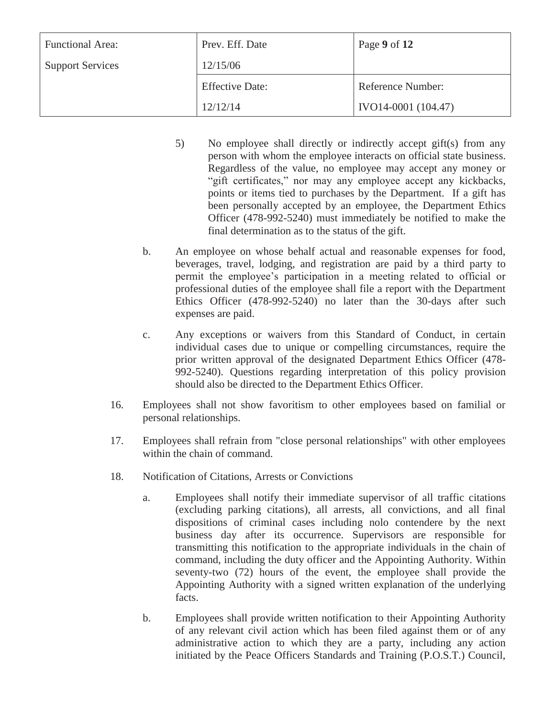| <b>Functional Area:</b> | Prev. Eff. Date        | Page 9 of 12        |
|-------------------------|------------------------|---------------------|
| <b>Support Services</b> | 12/15/06               |                     |
|                         | <b>Effective Date:</b> | Reference Number:   |
|                         | 12/12/14               | IVO14-0001 (104.47) |

- 5) No employee shall directly or indirectly accept gift(s) from any person with whom the employee interacts on official state business. Regardless of the value, no employee may accept any money or "gift certificates," nor may any employee accept any kickbacks, points or items tied to purchases by the Department. If a gift has been personally accepted by an employee, the Department Ethics Officer (478-992-5240) must immediately be notified to make the final determination as to the status of the gift.
- b. An employee on whose behalf actual and reasonable expenses for food, beverages, travel, lodging, and registration are paid by a third party to permit the employee's participation in a meeting related to official or professional duties of the employee shall file a report with the Department Ethics Officer (478-992-5240) no later than the 30-days after such expenses are paid.
- c. Any exceptions or waivers from this Standard of Conduct, in certain individual cases due to unique or compelling circumstances, require the prior written approval of the designated Department Ethics Officer (478- 992-5240). Questions regarding interpretation of this policy provision should also be directed to the Department Ethics Officer.
- 16. Employees shall not show favoritism to other employees based on familial or personal relationships.
- 17. Employees shall refrain from "close personal relationships" with other employees within the chain of command.
- 18. Notification of Citations, Arrests or Convictions
	- a. Employees shall notify their immediate supervisor of all traffic citations (excluding parking citations), all arrests, all convictions, and all final dispositions of criminal cases including nolo contendere by the next business day after its occurrence. Supervisors are responsible for transmitting this notification to the appropriate individuals in the chain of command, including the duty officer and the Appointing Authority. Within seventy-two (72) hours of the event, the employee shall provide the Appointing Authority with a signed written explanation of the underlying facts.
	- b. Employees shall provide written notification to their Appointing Authority of any relevant civil action which has been filed against them or of any administrative action to which they are a party, including any action initiated by the Peace Officers Standards and Training (P.O.S.T.) Council,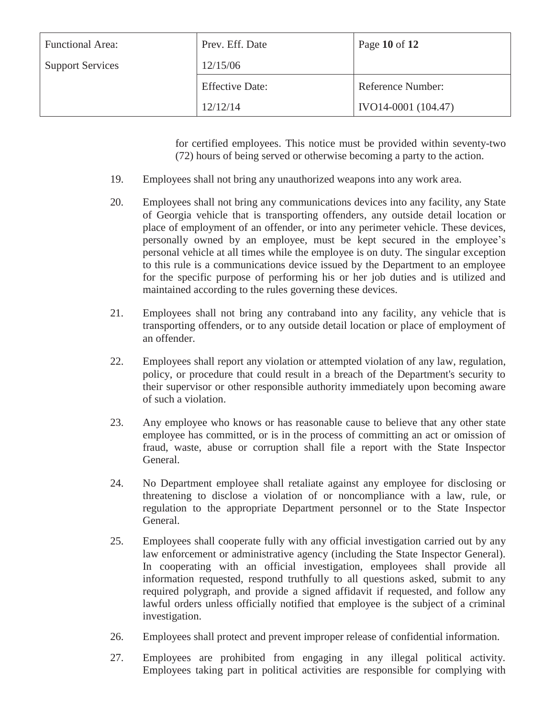| <b>Functional Area:</b> | Prev. Eff. Date        | Page 10 of 12       |
|-------------------------|------------------------|---------------------|
| <b>Support Services</b> | 12/15/06               |                     |
|                         | <b>Effective Date:</b> | Reference Number:   |
|                         | 12/12/14               | IVO14-0001 (104.47) |

for certified employees. This notice must be provided within seventy-two (72) hours of being served or otherwise becoming a party to the action.

- 19. Employees shall not bring any unauthorized weapons into any work area.
- 20. Employees shall not bring any communications devices into any facility, any State of Georgia vehicle that is transporting offenders, any outside detail location or place of employment of an offender, or into any perimeter vehicle. These devices, personally owned by an employee, must be kept secured in the employee's personal vehicle at all times while the employee is on duty. The singular exception to this rule is a communications device issued by the Department to an employee for the specific purpose of performing his or her job duties and is utilized and maintained according to the rules governing these devices.
- 21. Employees shall not bring any contraband into any facility, any vehicle that is transporting offenders, or to any outside detail location or place of employment of an offender.
- 22. Employees shall report any violation or attempted violation of any law, regulation, policy, or procedure that could result in a breach of the Department's security to their supervisor or other responsible authority immediately upon becoming aware of such a violation.
- 23. Any employee who knows or has reasonable cause to believe that any other state employee has committed, or is in the process of committing an act or omission of fraud, waste, abuse or corruption shall file a report with the State Inspector General.
- 24. No Department employee shall retaliate against any employee for disclosing or threatening to disclose a violation of or noncompliance with a law, rule, or regulation to the appropriate Department personnel or to the State Inspector General.
- 25. Employees shall cooperate fully with any official investigation carried out by any law enforcement or administrative agency (including the State Inspector General). In cooperating with an official investigation, employees shall provide all information requested, respond truthfully to all questions asked, submit to any required polygraph, and provide a signed affidavit if requested, and follow any lawful orders unless officially notified that employee is the subject of a criminal investigation.
- 26. Employees shall protect and prevent improper release of confidential information.
- 27. Employees are prohibited from engaging in any illegal political activity. Employees taking part in political activities are responsible for complying with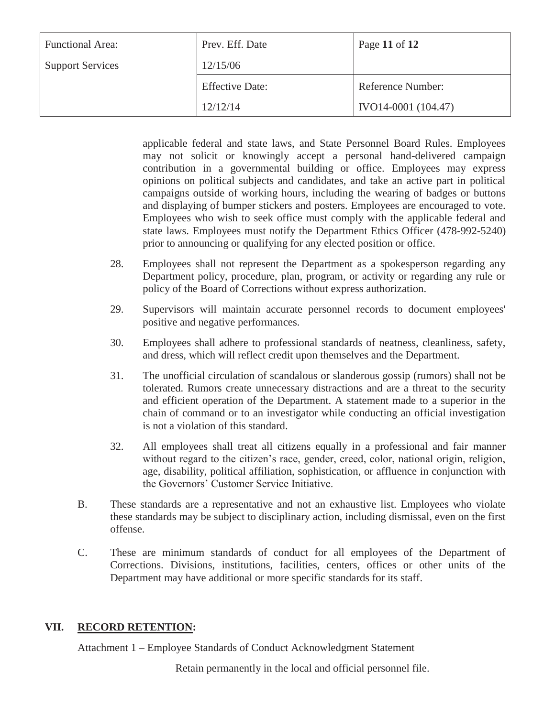| <b>Functional Area:</b> | Prev. Eff. Date        | Page 11 of 12       |
|-------------------------|------------------------|---------------------|
| <b>Support Services</b> | 12/15/06               |                     |
|                         | <b>Effective Date:</b> | Reference Number:   |
|                         | 12/12/14               | IVO14-0001 (104.47) |

applicable federal and state laws, and State Personnel Board Rules. Employees may not solicit or knowingly accept a personal hand-delivered campaign contribution in a governmental building or office. Employees may express opinions on political subjects and candidates, and take an active part in political campaigns outside of working hours, including the wearing of badges or buttons and displaying of bumper stickers and posters. Employees are encouraged to vote. Employees who wish to seek office must comply with the applicable federal and state laws. Employees must notify the Department Ethics Officer (478-992-5240) prior to announcing or qualifying for any elected position or office.

- 28. Employees shall not represent the Department as a spokesperson regarding any Department policy, procedure, plan, program, or activity or regarding any rule or policy of the Board of Corrections without express authorization.
- 29. Supervisors will maintain accurate personnel records to document employees' positive and negative performances.
- 30. Employees shall adhere to professional standards of neatness, cleanliness, safety, and dress, which will reflect credit upon themselves and the Department.
- 31. The unofficial circulation of scandalous or slanderous gossip (rumors) shall not be tolerated. Rumors create unnecessary distractions and are a threat to the security and efficient operation of the Department. A statement made to a superior in the chain of command or to an investigator while conducting an official investigation is not a violation of this standard.
- 32. All employees shall treat all citizens equally in a professional and fair manner without regard to the citizen's race, gender, creed, color, national origin, religion, age, disability, political affiliation, sophistication, or affluence in conjunction with the Governors' Customer Service Initiative.
- B. These standards are a representative and not an exhaustive list. Employees who violate these standards may be subject to disciplinary action, including dismissal, even on the first offense.
- C. These are minimum standards of conduct for all employees of the Department of Corrections. Divisions, institutions, facilities, centers, offices or other units of the Department may have additional or more specific standards for its staff.

#### **VII. RECORD RETENTION:**

Attachment 1 – Employee Standards of Conduct Acknowledgment Statement

Retain permanently in the local and official personnel file.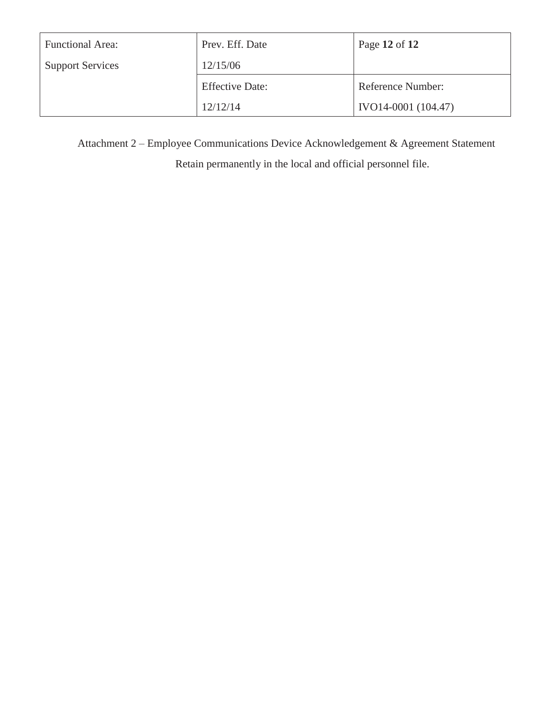| <b>Functional Area:</b> | Prev. Eff. Date        | Page 12 of 12       |
|-------------------------|------------------------|---------------------|
| <b>Support Services</b> | 12/15/06               |                     |
|                         | <b>Effective Date:</b> | Reference Number:   |
|                         | 12/12/14               | IVO14-0001 (104.47) |

Attachment 2 – Employee Communications Device Acknowledgement & Agreement Statement

Retain permanently in the local and official personnel file.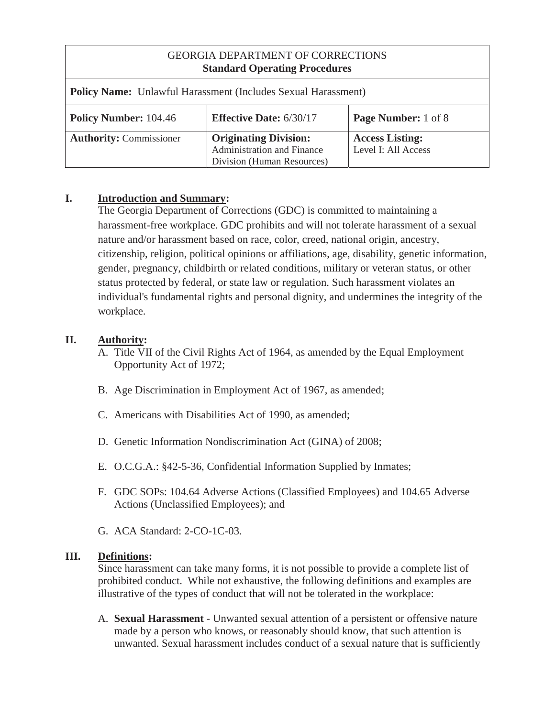| <b>GEORGIA DEPARTMENT OF CORRECTIONS</b><br><b>Standard Operating Procedures</b> |                                                                                          |                                               |
|----------------------------------------------------------------------------------|------------------------------------------------------------------------------------------|-----------------------------------------------|
| <b>Policy Name:</b> Unlawful Harassment (Includes Sexual Harassment)             |                                                                                          |                                               |
| <b>Policy Number: 104.46</b>                                                     | <b>Effective Date: 6/30/17</b>                                                           | <b>Page Number:</b> 1 of 8                    |
| <b>Authority: Commissioner</b>                                                   | <b>Originating Division:</b><br>Administration and Finance<br>Division (Human Resources) | <b>Access Listing:</b><br>Level I: All Access |

#### **I. Introduction and Summary:**

 The Georgia Department of Corrections (GDC) is committed to maintaining a harassment-free workplace. GDC prohibits and will not tolerate harassment of a sexual nature and/or harassment based on race, color, creed, national origin, ancestry, citizenship, religion, political opinions or affiliations, age, disability, genetic information, gender, pregnancy, childbirth or related conditions, military or veteran status, or other status protected by federal, or state law or regulation. Such harassment violates an individual's fundamental rights and personal dignity, and undermines the integrity of the workplace.

#### **II. Authority:**

- A. Title VII of the Civil Rights Act of 1964, as amended by the Equal Employment Opportunity Act of 1972;
- B. Age Discrimination in Employment Act of 1967, as amended;
- C. Americans with Disabilities Act of 1990, as amended;
- D. Genetic Information Nondiscrimination Act (GINA) of 2008;
- E. O.C.G.A.: §42-5-36, Confidential Information Supplied by Inmates;
- F. GDC SOPs: 104.64 Adverse Actions (Classified Employees) and 104.65 Adverse Actions (Unclassified Employees); and
- G. ACA Standard: 2-CO-1C-03.

#### **III. Definitions:**

 Since harassment can take many forms, it is not possible to provide a complete list of prohibited conduct. While not exhaustive, the following definitions and examples are illustrative of the types of conduct that will not be tolerated in the workplace:

A. **Sexual Harassment** - Unwanted sexual attention of a persistent or offensive nature made by a person who knows, or reasonably should know, that such attention is unwanted. Sexual harassment includes conduct of a sexual nature that is sufficiently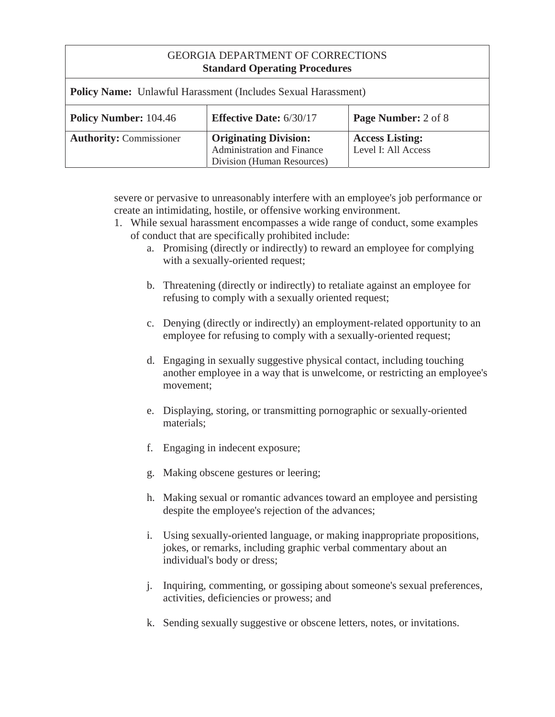| <b>Policy Name:</b> Unlawful Harassment (Includes Sexual Harassment) |                                                                                          |                                               |
|----------------------------------------------------------------------|------------------------------------------------------------------------------------------|-----------------------------------------------|
| <b>Policy Number: 104.46</b>                                         | <b>Effective Date: 6/30/17</b>                                                           | Page Number: 2 of 8                           |
| <b>Authority: Commissioner</b>                                       | <b>Originating Division:</b><br>Administration and Finance<br>Division (Human Resources) | <b>Access Listing:</b><br>Level I: All Access |

severe or pervasive to unreasonably interfere with an employee's job performance or create an intimidating, hostile, or offensive working environment.

- 1. While sexual harassment encompasses a wide range of conduct, some examples of conduct that are specifically prohibited include:
	- a. Promising (directly or indirectly) to reward an employee for complying with a sexually-oriented request;
	- b. Threatening (directly or indirectly) to retaliate against an employee for refusing to comply with a sexually oriented request;
	- c. Denying (directly or indirectly) an employment-related opportunity to an employee for refusing to comply with a sexually-oriented request;
	- d. Engaging in sexually suggestive physical contact, including touching another employee in a way that is unwelcome, or restricting an employee's movement;
	- e. Displaying, storing, or transmitting pornographic or sexually-oriented materials;
	- f. Engaging in indecent exposure;
	- g. Making obscene gestures or leering;
	- h. Making sexual or romantic advances toward an employee and persisting despite the employee's rejection of the advances;
	- i. Using sexually-oriented language, or making inappropriate propositions, jokes, or remarks, including graphic verbal commentary about an individual's body or dress;
	- j. Inquiring, commenting, or gossiping about someone's sexual preferences, activities, deficiencies or prowess; and
	- k. Sending sexually suggestive or obscene letters, notes, or invitations.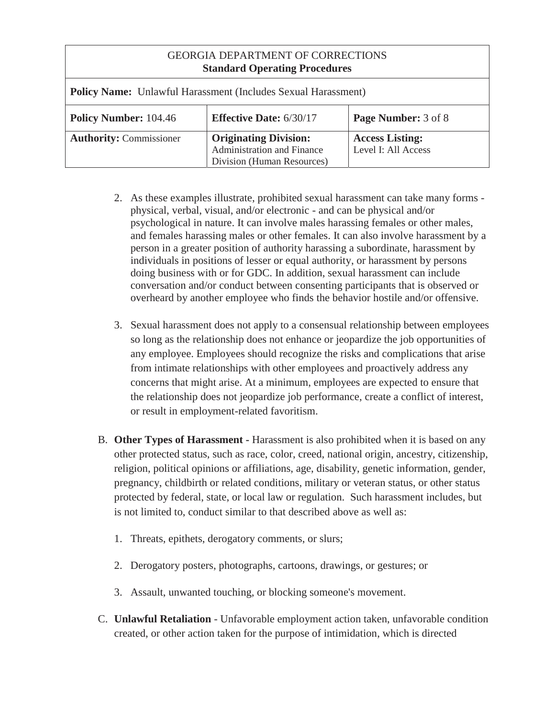| <b>GEORGIA DEPARTMENT OF CORRECTIONS</b><br><b>Standard Operating Procedures</b> |                                                                                                 |                                               |
|----------------------------------------------------------------------------------|-------------------------------------------------------------------------------------------------|-----------------------------------------------|
| <b>Policy Name:</b> Unlawful Harassment (Includes Sexual Harassment)             |                                                                                                 |                                               |
| <b>Policy Number: 104.46</b>                                                     | <b>Effective Date: 6/30/17</b>                                                                  | <b>Page Number:</b> 3 of 8                    |
| <b>Authority: Commissioner</b>                                                   | <b>Originating Division:</b><br><b>Administration and Finance</b><br>Division (Human Resources) | <b>Access Listing:</b><br>Level I: All Access |

- 2. As these examples illustrate, prohibited sexual harassment can take many forms physical, verbal, visual, and/or electronic - and can be physical and/or psychological in nature. It can involve males harassing females or other males, and females harassing males or other females. It can also involve harassment by a person in a greater position of authority harassing a subordinate, harassment by individuals in positions of lesser or equal authority, or harassment by persons doing business with or for GDC. In addition, sexual harassment can include conversation and/or conduct between consenting participants that is observed or overheard by another employee who finds the behavior hostile and/or offensive.
- 3. Sexual harassment does not apply to a consensual relationship between employees so long as the relationship does not enhance or jeopardize the job opportunities of any employee. Employees should recognize the risks and complications that arise from intimate relationships with other employees and proactively address any concerns that might arise. At a minimum, employees are expected to ensure that the relationship does not jeopardize job performance, create a conflict of interest, or result in employment-related favoritism.
- B. **Other Types of Harassment** Harassment is also prohibited when it is based on any other protected status, such as race, color, creed, national origin, ancestry, citizenship, religion, political opinions or affiliations, age, disability, genetic information, gender, pregnancy, childbirth or related conditions, military or veteran status, or other status protected by federal, state, or local law or regulation. Such harassment includes, but is not limited to, conduct similar to that described above as well as:
	- 1. Threats, epithets, derogatory comments, or slurs;
	- 2. Derogatory posters, photographs, cartoons, drawings, or gestures; or
	- 3. Assault, unwanted touching, or blocking someone's movement.
- C. **Unlawful Retaliation** Unfavorable employment action taken, unfavorable condition created, or other action taken for the purpose of intimidation, which is directed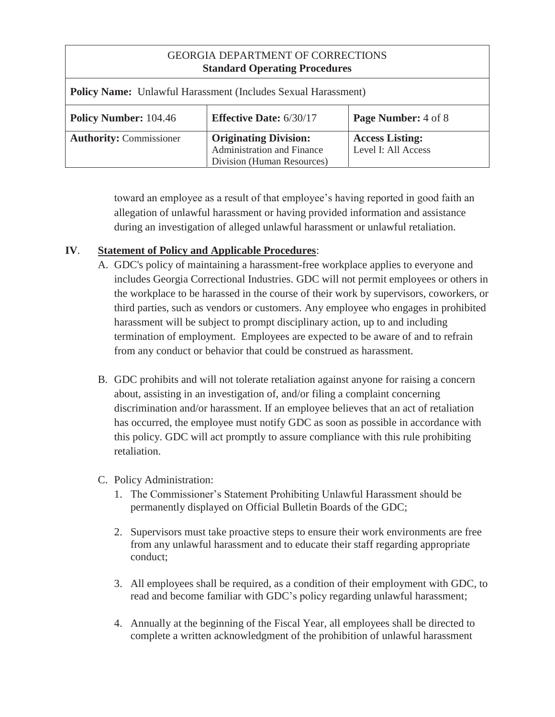| <b>GEORGIA DEPARTMENT OF CORRECTIONS</b><br><b>Standard Operating Procedures</b> |                                                                                                 |                                               |
|----------------------------------------------------------------------------------|-------------------------------------------------------------------------------------------------|-----------------------------------------------|
| <b>Policy Name:</b> Unlawful Harassment (Includes Sexual Harassment)             |                                                                                                 |                                               |
| <b>Policy Number: 104.46</b>                                                     | <b>Effective Date: 6/30/17</b>                                                                  | <b>Page Number:</b> 4 of 8                    |
| <b>Authority: Commissioner</b>                                                   | <b>Originating Division:</b><br><b>Administration and Finance</b><br>Division (Human Resources) | <b>Access Listing:</b><br>Level I: All Access |

toward an employee as a result of that employee's having reported in good faith an allegation of unlawful harassment or having provided information and assistance during an investigation of alleged unlawful harassment or unlawful retaliation.

# **IV**. **Statement of Policy and Applicable Procedures**:

- A. GDC's policy of maintaining a harassment-free workplace applies to everyone and includes Georgia Correctional Industries. GDC will not permit employees or others in the workplace to be harassed in the course of their work by supervisors, coworkers, or third parties, such as vendors or customers. Any employee who engages in prohibited harassment will be subject to prompt disciplinary action, up to and including termination of employment. Employees are expected to be aware of and to refrain from any conduct or behavior that could be construed as harassment.
- B. GDC prohibits and will not tolerate retaliation against anyone for raising a concern about, assisting in an investigation of, and/or filing a complaint concerning discrimination and/or harassment. If an employee believes that an act of retaliation has occurred, the employee must notify GDC as soon as possible in accordance with this policy. GDC will act promptly to assure compliance with this rule prohibiting retaliation.
- C. Policy Administration:
	- 1. The Commissioner's Statement Prohibiting Unlawful Harassment should be permanently displayed on Official Bulletin Boards of the GDC;
	- 2. Supervisors must take proactive steps to ensure their work environments are free from any unlawful harassment and to educate their staff regarding appropriate conduct;
	- 3. All employees shall be required, as a condition of their employment with GDC, to read and become familiar with GDC's policy regarding unlawful harassment;
	- 4. Annually at the beginning of the Fiscal Year, all employees shall be directed to complete a written acknowledgment of the prohibition of unlawful harassment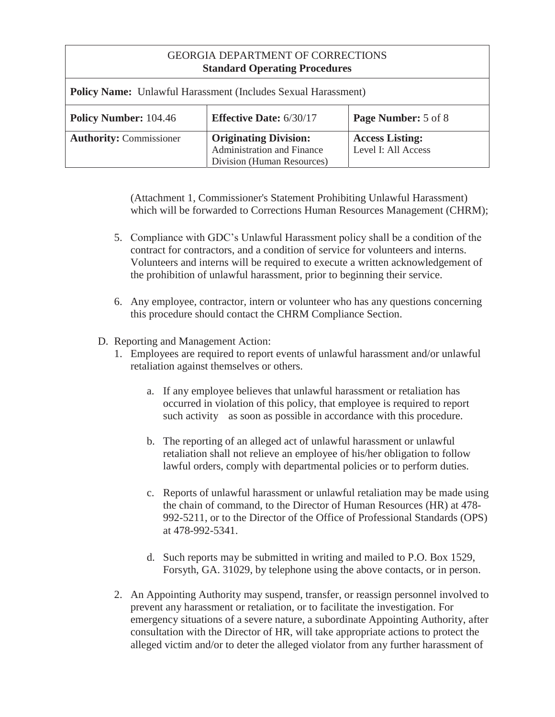| <b>GEORGIA DEPARTMENT OF CORRECTIONS</b><br><b>Standard Operating Procedures</b> |                                                                                          |                                               |
|----------------------------------------------------------------------------------|------------------------------------------------------------------------------------------|-----------------------------------------------|
| <b>Policy Name:</b> Unlawful Harassment (Includes Sexual Harassment)             |                                                                                          |                                               |
| <b>Policy Number: 104.46</b>                                                     | <b>Effective Date: 6/30/17</b>                                                           | <b>Page Number:</b> 5 of 8                    |
| <b>Authority: Commissioner</b>                                                   | <b>Originating Division:</b><br>Administration and Finance<br>Division (Human Resources) | <b>Access Listing:</b><br>Level I: All Access |

(Attachment 1, Commissioner's Statement Prohibiting Unlawful Harassment) which will be forwarded to Corrections Human Resources Management (CHRM);

- 5. Compliance with GDC's Unlawful Harassment policy shall be a condition of the contract for contractors, and a condition of service for volunteers and interns. Volunteers and interns will be required to execute a written acknowledgement of the prohibition of unlawful harassment, prior to beginning their service.
- 6. Any employee, contractor, intern or volunteer who has any questions concerning this procedure should contact the CHRM Compliance Section.
- D. Reporting and Management Action:
	- 1. Employees are required to report events of unlawful harassment and/or unlawful retaliation against themselves or others.
		- a. If any employee believes that unlawful harassment or retaliation has occurred in violation of this policy, that employee is required to report such activity as soon as possible in accordance with this procedure.
		- b. The reporting of an alleged act of unlawful harassment or unlawful retaliation shall not relieve an employee of his/her obligation to follow lawful orders, comply with departmental policies or to perform duties.
		- c. Reports of unlawful harassment or unlawful retaliation may be made using the chain of command, to the Director of Human Resources (HR) at 478- 992-5211, or to the Director of the Office of Professional Standards (OPS) at 478-992-5341.
		- d. Such reports may be submitted in writing and mailed to P.O. Box 1529, Forsyth, GA. 31029, by telephone using the above contacts, or in person.
	- 2. An Appointing Authority may suspend, transfer, or reassign personnel involved to prevent any harassment or retaliation, or to facilitate the investigation. For emergency situations of a severe nature, a subordinate Appointing Authority, after consultation with the Director of HR, will take appropriate actions to protect the alleged victim and/or to deter the alleged violator from any further harassment of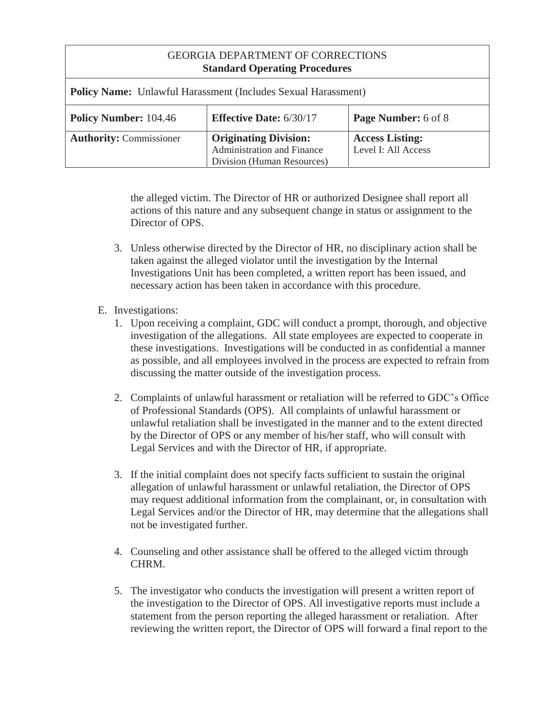| <b>GEORGIA DEPARTMENT OF CORRECTIONS</b><br><b>Standard Operating Procedures</b> |                                                                                          |                                               |  |
|----------------------------------------------------------------------------------|------------------------------------------------------------------------------------------|-----------------------------------------------|--|
| <b>Policy Name:</b> Unlawful Harassment (Includes Sexual Harassment)             |                                                                                          |                                               |  |
| <b>Policy Number: 104.46</b>                                                     | <b>Effective Date: 6/30/17</b>                                                           | Page Number: 6 of 8                           |  |
| <b>Authority: Commissioner</b>                                                   | <b>Originating Division:</b><br>Administration and Finance<br>Division (Human Resources) | <b>Access Listing:</b><br>Level I: All Access |  |

the alleged victim. The Director of HR or authorized Designee shall report all actions of this nature and any subsequent change in status or assignment to the Director of OPS.

- 3. Unless otherwise directed by the Director of HR, no disciplinary action shall be taken against the alleged violator until the investigation by the Internal Investigations Unit has been completed, a written report has been issued, and necessary action has been taken in accordance with this procedure.
- E. Investigations:
	- 1. Upon receiving a complaint, GDC will conduct a prompt, thorough, and objective investigation of the allegations. All state employees are expected to cooperate in these investigations. Investigations will be conducted in as confidential a manner as possible, and all employees involved in the process are expected to refrain from discussing the matter outside of the investigation process.
	- 2. Complaints of unlawful harassment or retaliation will be referred to GDC's Office of Professional Standards (OPS). All complaints of unlawful harassment or unlawful retaliation shall be investigated in the manner and to the extent directed by the Director of OPS or any member of his/her staff, who will consult with Legal Services and with the Director of HR, if appropriate.
	- 3. If the initial complaint does not specify facts sufficient to sustain the original allegation of unlawful harassment or unlawful retaliation, the Director of OPS may request additional information from the complainant, or, in consultation with Legal Services and/or the Director of HR, may determine that the allegations shall not be investigated further.
	- 4. Counseling and other assistance shall be offered to the alleged victim through CHRM.
	- 5. The investigator who conducts the investigation will present a written report of the investigation to the Director of OPS. All investigative reports must include a statement from the person reporting the alleged harassment or retaliation. After reviewing the written report, the Director of OPS will forward a final report to the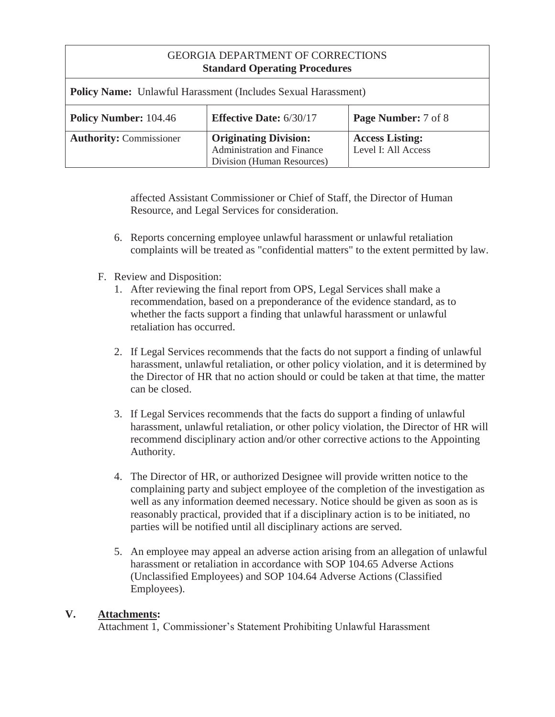| <b>Policy Name:</b> Unlawful Harassment (Includes Sexual Harassment) |                                                                                          |                                               |  |
|----------------------------------------------------------------------|------------------------------------------------------------------------------------------|-----------------------------------------------|--|
| <b>Policy Number: 104.46</b>                                         | <b>Effective Date: 6/30/17</b>                                                           | Page Number: 7 of 8                           |  |
| <b>Authority: Commissioner</b>                                       | <b>Originating Division:</b><br>Administration and Finance<br>Division (Human Resources) | <b>Access Listing:</b><br>Level I: All Access |  |

affected Assistant Commissioner or Chief of Staff, the Director of Human Resource, and Legal Services for consideration.

- 6. Reports concerning employee unlawful harassment or unlawful retaliation complaints will be treated as "confidential matters" to the extent permitted by law.
- F. Review and Disposition:
	- 1. After reviewing the final report from OPS, Legal Services shall make a recommendation, based on a preponderance of the evidence standard, as to whether the facts support a finding that unlawful harassment or unlawful retaliation has occurred.
	- 2. If Legal Services recommends that the facts do not support a finding of unlawful harassment, unlawful retaliation, or other policy violation, and it is determined by the Director of HR that no action should or could be taken at that time, the matter can be closed.
	- 3. If Legal Services recommends that the facts do support a finding of unlawful harassment, unlawful retaliation, or other policy violation, the Director of HR will recommend disciplinary action and/or other corrective actions to the Appointing Authority.
	- 4. The Director of HR, or authorized Designee will provide written notice to the complaining party and subject employee of the completion of the investigation as well as any information deemed necessary. Notice should be given as soon as is reasonably practical, provided that if a disciplinary action is to be initiated, no parties will be notified until all disciplinary actions are served.
	- 5. An employee may appeal an adverse action arising from an allegation of unlawful harassment or retaliation in accordance with SOP 104.65 Adverse Actions (Unclassified Employees) and SOP 104.64 Adverse Actions (Classified Employees).

#### **V. Attachments:**

Attachment 1, Commissioner's Statement Prohibiting Unlawful Harassment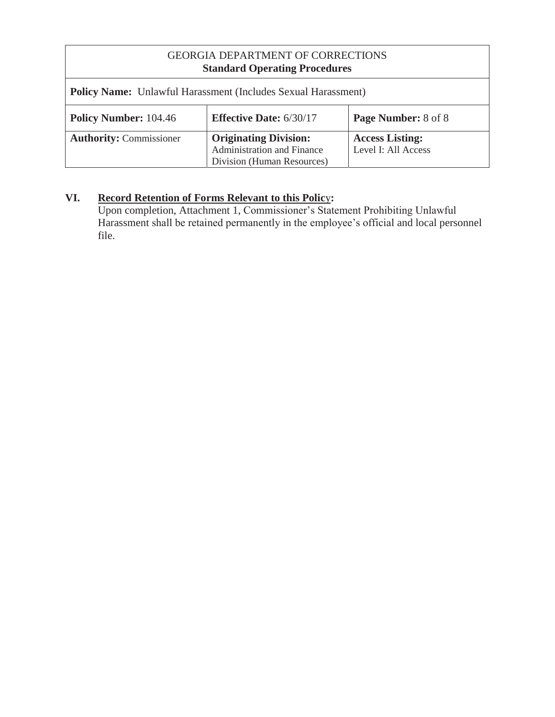| <b>Policy Name:</b> Unlawful Harassment (Includes Sexual Harassment)                         |                                                                                                 |                                               |
|----------------------------------------------------------------------------------------------|-------------------------------------------------------------------------------------------------|-----------------------------------------------|
| <b>Policy Number: 104.46</b><br><b>Effective Date: 6/30/17</b><br><b>Page Number:</b> 8 of 8 |                                                                                                 |                                               |
| <b>Authority: Commissioner</b>                                                               | <b>Originating Division:</b><br><b>Administration and Finance</b><br>Division (Human Resources) | <b>Access Listing:</b><br>Level I: All Access |

# **VI. Record Retention of Forms Relevant to this Polic**y**:**

Upon completion, Attachment 1, Commissioner's Statement Prohibiting Unlawful Harassment shall be retained permanently in the employee's official and local personnel file.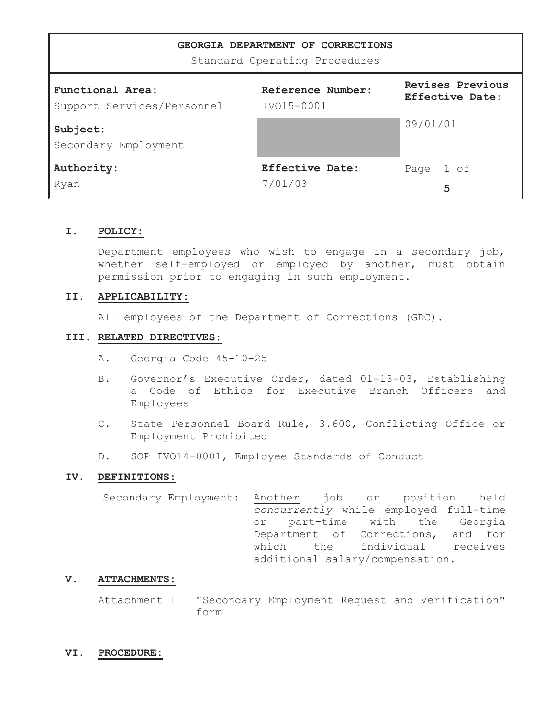| GEORGIA DEPARTMENT OF CORRECTIONS<br>Standard Operating Procedures |                                   |                                     |  |
|--------------------------------------------------------------------|-----------------------------------|-------------------------------------|--|
| Functional Area:<br>Support Services/Personnel                     | Reference Number:<br>IV015-0001   | Revises Previous<br>Effective Date: |  |
| Subject:<br>Secondary Employment                                   |                                   | 09/01/01                            |  |
| Authority:<br>Ryan                                                 | <b>Effective Date:</b><br>7/01/03 | 1 of<br>Page<br>5                   |  |

#### **I. POLICY:**

Department employees who wish to engage in a secondary job, whether self-employed or employed by another, must obtain permission prior to engaging in such employment.

#### **II. APPLICABILITY:**

All employees of the Department of Corrections (GDC).

#### **III. RELATED DIRECTIVES:**

- A. Georgia Code 45-10-25
- B. Governor's Executive Order, dated 01-13-03, Establishing a Code of Ethics for Executive Branch Officers and Employees
- C. State Personnel Board Rule, 3.600, Conflicting Office or Employment Prohibited
- D. SOP IVO14-0001, Employee Standards of Conduct

#### **IV. DEFINITIONS:**

Secondary Employment: Another job or position held *concurrently* while employed full-time or part-time with the Georgia Department of Corrections, and for which the individual receives additional salary/compensation.

#### **V. ATTACHMENTS:**

Attachment 1 "Secondary Employment Request and Verification" form

#### **VI. PROCEDURE:**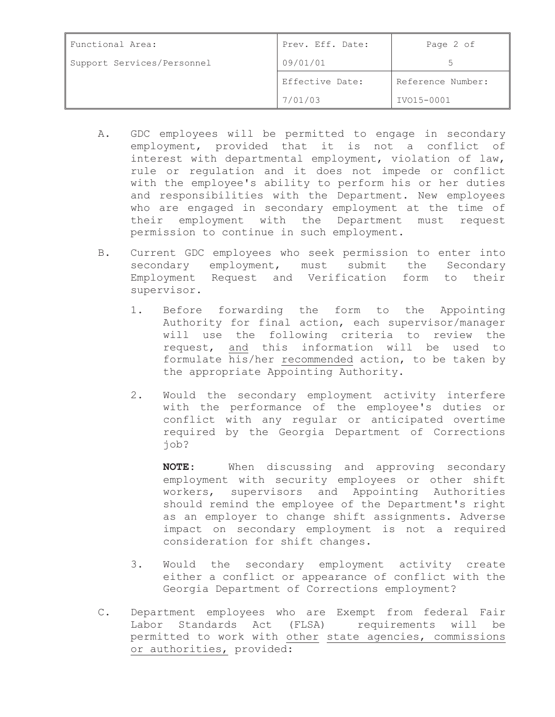| Functional Area:           | Prev. Eff. Date: | Page 2 of         |
|----------------------------|------------------|-------------------|
| Support Services/Personnel | 09/01/01         |                   |
|                            | Effective Date:  | Reference Number: |
|                            | 7/01/03          | IV015-0001        |

- A. GDC employees will be permitted to engage in secondary employment, provided that it is not a conflict of interest with departmental employment, violation of law, rule or regulation and it does not impede or conflict with the employee's ability to perform his or her duties and responsibilities with the Department. New employees who are engaged in secondary employment at the time of their employment with the Department must request permission to continue in such employment.
- B. Current GDC employees who seek permission to enter into secondary employment, must submit the Secondary Employment Request and Verification form to their supervisor.
	- 1. Before forwarding the form to the Appointing Authority for final action, each supervisor/manager will use the following criteria to review the request, and this information will be used to formulate his/her recommended action, to be taken by the appropriate Appointing Authority.
	- 2. Would the secondary employment activity interfere with the performance of the employee's duties or conflict with any regular or anticipated overtime required by the Georgia Department of Corrections job?

**NOTE**: When discussing and approving secondary employment with security employees or other shift workers, supervisors and Appointing Authorities should remind the employee of the Department's right as an employer to change shift assignments. Adverse impact on secondary employment is not a required consideration for shift changes.

- 3. Would the secondary employment activity create either a conflict or appearance of conflict with the Georgia Department of Corrections employment?
- C. Department employees who are Exempt from federal Fair Labor Standards Act (FLSA) requirements will be permitted to work with other state agencies, commissions or authorities, provided: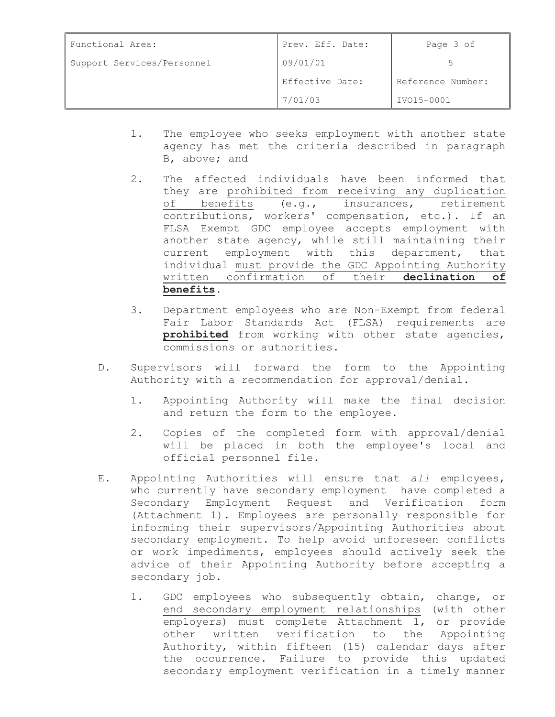| Functional Area:           | Prev. Eff. Date: | Page 3 of         |
|----------------------------|------------------|-------------------|
| Support Services/Personnel | 09/01/01         |                   |
|                            | Effective Date:  | Reference Number: |
|                            | 7/01/03          | IV015-0001        |

- 1. The employee who seeks employment with another state agency has met the criteria described in paragraph B, above; and
- 2. The affected individuals have been informed that they are prohibited from receiving any duplication of benefits (e.g., insurances, retirement contributions, workers' compensation, etc.). If an FLSA Exempt GDC employee accepts employment with another state agency, while still maintaining their current employment with this department, that individual must provide the GDC Appointing Authority written confirmation of their **declination of benefits.**
- 3. Department employees who are Non-Exempt from federal Fair Labor Standards Act (FLSA) requirements are **prohibited** from working with other state agencies, commissions or authorities.
- D. Supervisors will forward the form to the Appointing Authority with a recommendation for approval/denial.
	- 1. Appointing Authority will make the final decision and return the form to the employee.
	- 2. Copies of the completed form with approval/denial will be placed in both the employee's local and official personnel file.
- E. Appointing Authorities will ensure that *all* employees, who currently have secondary employment have completed a Secondary Employment Request and Verification form (Attachment 1). Employees are personally responsible for informing their supervisors/Appointing Authorities about secondary employment. To help avoid unforeseen conflicts or work impediments, employees should actively seek the advice of their Appointing Authority before accepting a secondary job.
	- 1. GDC employees who subsequently obtain, change, or end secondary employment relationships (with other employers) must complete Attachment 1, or provide other written verification to the Appointing Authority, within fifteen (15) calendar days after the occurrence. Failure to provide this updated secondary employment verification in a timely manner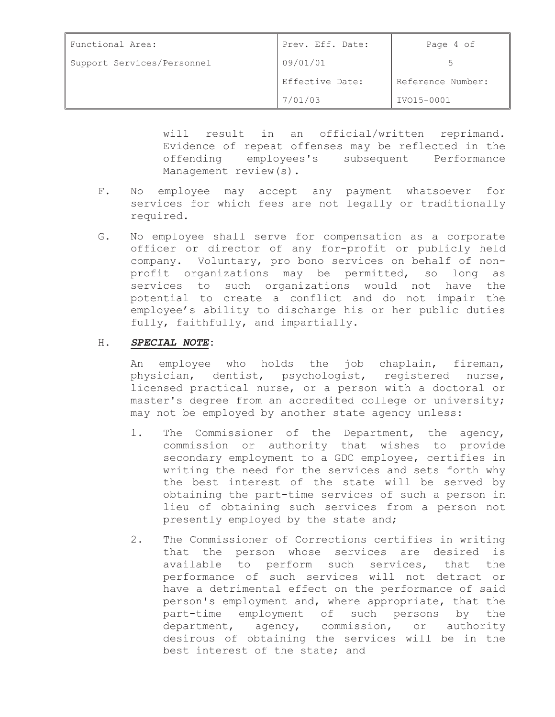| Functional Area:           | Prev. Eff. Date: | Page 4 of         |
|----------------------------|------------------|-------------------|
| Support Services/Personnel | 09/01/01         |                   |
|                            | Effective Date:  | Reference Number: |
|                            | 7/01/03          | IV015-0001        |

will result in an official/written reprimand. Evidence of repeat offenses may be reflected in the offending employees's subsequent Performance Management review(s).

- F. No employee may accept any payment whatsoever for services for which fees are not legally or traditionally required.
- G. No employee shall serve for compensation as a corporate officer or director of any for-profit or publicly held company. Voluntary, pro bono services on behalf of nonprofit organizations may be permitted, so long as services to such organizations would not have the potential to create a conflict and do not impair the employee's ability to discharge his or her public duties fully, faithfully, and impartially.

#### H**.** *SPECIAL NOTE***:**

An employee who holds the job chaplain, fireman, physician, dentist, psychologist, registered nurse, licensed practical nurse, or a person with a doctoral or master's degree from an accredited college or university; may not be employed by another state agency unless:

- 1. The Commissioner of the Department, the agency, commission or authority that wishes to provide secondary employment to a GDC employee, certifies in writing the need for the services and sets forth why the best interest of the state will be served by obtaining the part-time services of such a person in lieu of obtaining such services from a person not presently employed by the state and;
- 2. The Commissioner of Corrections certifies in writing that the person whose services are desired is available to perform such services, that the performance of such services will not detract or have a detrimental effect on the performance of said person's employment and, where appropriate, that the part-time employment of such persons by the department, agency, commission, or authority desirous of obtaining the services will be in the best interest of the state; and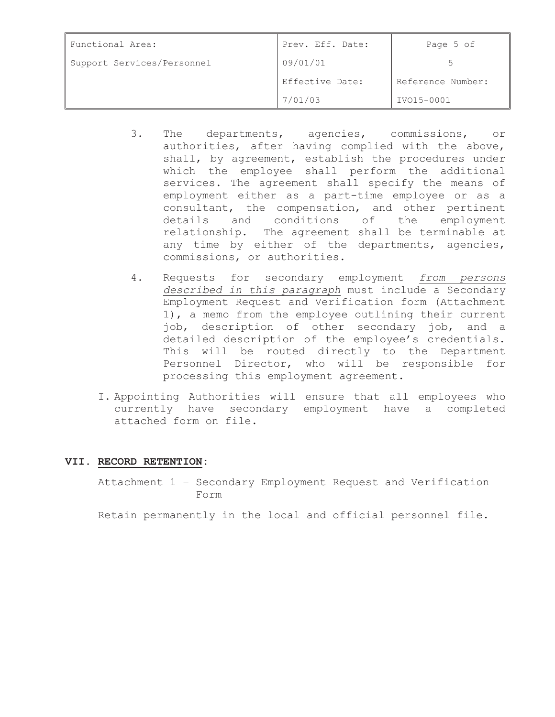| Functional Area:           | Prev. Eff. Date: | Page 5 of         |
|----------------------------|------------------|-------------------|
| Support Services/Personnel | 09/01/01         |                   |
|                            | Effective Date:  | Reference Number: |
|                            | 7/01/03          | IV015-0001        |

- 3. The departments, agencies, commissions, or authorities, after having complied with the above, shall, by agreement, establish the procedures under which the employee shall perform the additional services. The agreement shall specify the means of employment either as a part-time employee or as a consultant, the compensation, and other pertinent details and conditions of the employment relationship. The agreement shall be terminable at any time by either of the departments, agencies, commissions, or authorities.
- 4. Requests for secondary employment *from persons described in this paragraph* must include a Secondary Employment Request and Verification form (Attachment 1), a memo from the employee outlining their current job, description of other secondary job, and a detailed description of the employee's credentials. This will be routed directly to the Department Personnel Director, who will be responsible for processing this employment agreement.
- I. Appointing Authorities will ensure that all employees who currently have secondary employment have a completed attached form on file.

#### **VII. RECORD RETENTION:**

Attachment 1 – Secondary Employment Request and Verification Form

Retain permanently in the local and official personnel file.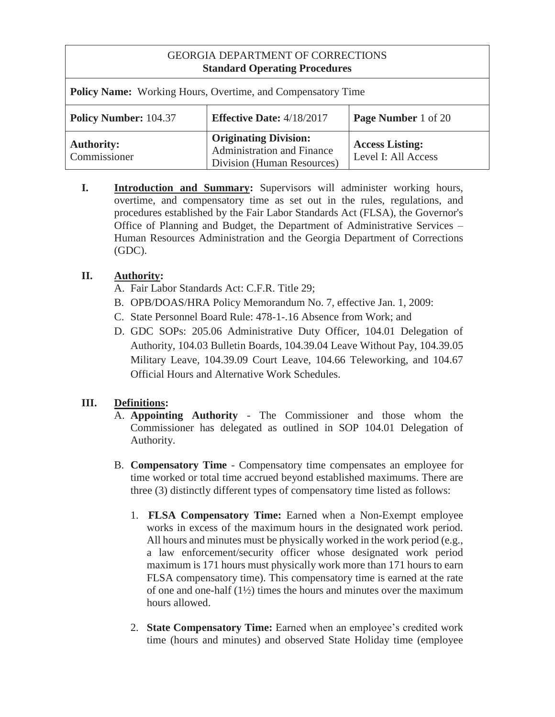| <b>Policy Name:</b> Working Hours, Overtime, and Compensatory Time |                                                                                          |                                               |  |
|--------------------------------------------------------------------|------------------------------------------------------------------------------------------|-----------------------------------------------|--|
| <b>Policy Number: 104.37</b>                                       | <b>Effective Date: 4/18/2017</b>                                                         | <b>Page Number</b> 1 of 20                    |  |
| <b>Authority:</b><br>Commissioner                                  | <b>Originating Division:</b><br>Administration and Finance<br>Division (Human Resources) | <b>Access Listing:</b><br>Level I: All Access |  |

**I. Introduction and Summary:** Supervisors will administer working hours, overtime, and compensatory time as set out in the rules, regulations, and procedures established by the Fair Labor Standards Act (FLSA), the Governor's Office of Planning and Budget, the Department of Administrative Services – Human Resources Administration and the Georgia Department of Corrections (GDC).

# **II. Authority:**

- A. Fair Labor Standards Act: C.F.R. Title 29;
- B. OPB/DOAS/HRA Policy Memorandum No. 7, effective Jan. 1, 2009:
- C. State Personnel Board Rule: 478-1-.16 Absence from Work; and
- D. GDC SOPs: 205.06 Administrative Duty Officer, 104.01 Delegation of Authority, 104.03 Bulletin Boards, 104.39.04 Leave Without Pay, 104.39.05 Military Leave, 104.39.09 Court Leave, 104.66 Teleworking, and 104.67 Official Hours and Alternative Work Schedules.

# **III. Definitions:**

- A. **Appointing Authority**  The Commissioner and those whom the Commissioner has delegated as outlined in SOP 104.01 Delegation of Authority.
- B. **Compensatory Time**  Compensatory time compensates an employee for time worked or total time accrued beyond established maximums. There are three (3) distinctly different types of compensatory time listed as follows:
	- 1. **FLSA Compensatory Time:** Earned when a Non-Exempt employee works in excess of the maximum hours in the designated work period. All hours and minutes must be physically worked in the work period (e.g., a law enforcement/security officer whose designated work period maximum is 171 hours must physically work more than 171 hours to earn FLSA compensatory time). This compensatory time is earned at the rate of one and one-half  $(1\frac{1}{2})$  times the hours and minutes over the maximum hours allowed.
	- 2. **State Compensatory Time:** Earned when an employee's credited work time (hours and minutes) and observed State Holiday time (employee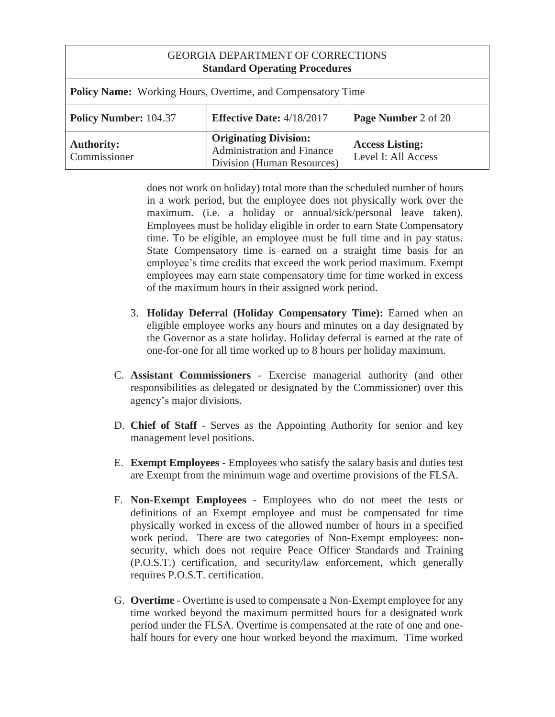| GEORGIA DEPARTMENT OF CORRECTIONS<br><b>Standard Operating Procedures</b> |                                                                                          |                                               |  |
|---------------------------------------------------------------------------|------------------------------------------------------------------------------------------|-----------------------------------------------|--|
| <b>Policy Name:</b> Working Hours, Overtime, and Compensatory Time        |                                                                                          |                                               |  |
| <b>Policy Number: 104.37</b>                                              | <b>Effective Date: 4/18/2017</b>                                                         | Page Number 2 of 20                           |  |
| <b>Authority:</b><br>Commissioner                                         | <b>Originating Division:</b><br>Administration and Finance<br>Division (Human Resources) | <b>Access Listing:</b><br>Level I: All Access |  |

does not work on holiday) total more than the scheduled number of hours in a work period, but the employee does not physically work over the maximum. (i.e. a holiday or annual/sick/personal leave taken). Employees must be holiday eligible in order to earn State Compensatory time. To be eligible, an employee must be full time and in pay status. State Compensatory time is earned on a straight time basis for an employee's time credits that exceed the work period maximum. Exempt employees may earn state compensatory time for time worked in excess of the maximum hours in their assigned work period.

- 3. **Holiday Deferral (Holiday Compensatory Time):** Earned when an eligible employee works any hours and minutes on a day designated by the Governor as a state holiday. Holiday deferral is earned at the rate of one-for-one for all time worked up to 8 hours per holiday maximum.
- C. **Assistant Commissioners**  Exercise managerial authority (and other responsibilities as delegated or designated by the Commissioner) over this agency's major divisions.
- D. **Chief of Staff**  Serves as the Appointing Authority for senior and key management level positions.
- E. **Exempt Employees**  Employees who satisfy the salary basis and duties test are Exempt from the minimum wage and overtime provisions of the FLSA.
- F. **Non-Exempt Employees**  Employees who do not meet the tests or definitions of an Exempt employee and must be compensated for time physically worked in excess of the allowed number of hours in a specified work period. There are two categories of Non-Exempt employees: nonsecurity, which does not require Peace Officer Standards and Training (P.O.S.T.) certification, and security/law enforcement, which generally requires P.O.S.T. certification.
- G. **Overtime** Overtime is used to compensate a Non-Exempt employee for any time worked beyond the maximum permitted hours for a designated work period under the FLSA. Overtime is compensated at the rate of one and onehalf hours for every one hour worked beyond the maximum. Time worked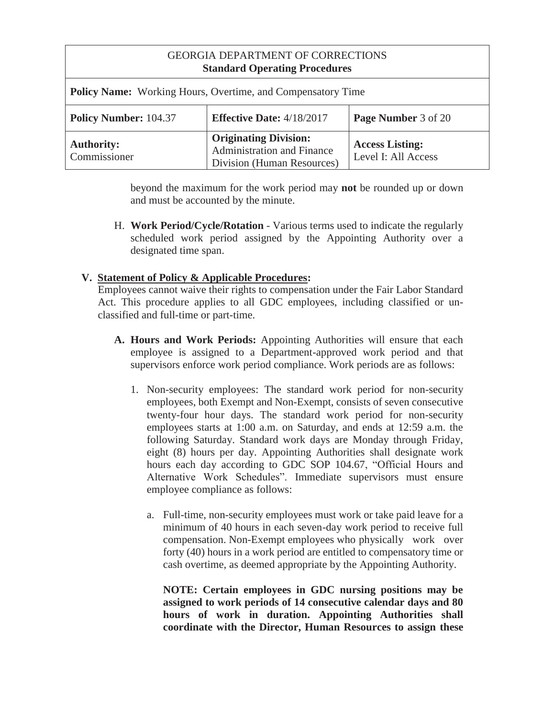| GEORGIA DEPARTMENT OF CORRECTIONS<br><b>Standard Operating Procedures</b> |                                                                                                 |                                               |  |
|---------------------------------------------------------------------------|-------------------------------------------------------------------------------------------------|-----------------------------------------------|--|
| <b>Policy Name:</b> Working Hours, Overtime, and Compensatory Time        |                                                                                                 |                                               |  |
| <b>Policy Number: 104.37</b>                                              | <b>Effective Date: 4/18/2017</b>                                                                | Page Number 3 of 20                           |  |
| <b>Authority:</b><br>Commissioner                                         | <b>Originating Division:</b><br><b>Administration and Finance</b><br>Division (Human Resources) | <b>Access Listing:</b><br>Level I: All Access |  |

beyond the maximum for the work period may **not** be rounded up or down and must be accounted by the minute.

H. **Work Period/Cycle/Rotation** - Various terms used to indicate the regularly scheduled work period assigned by the Appointing Authority over a designated time span.

# **V. Statement of Policy & Applicable Procedures:**

Employees cannot waive their rights to compensation under the Fair Labor Standard Act. This procedure applies to all GDC employees, including classified or unclassified and full-time or part-time.

- **A. Hours and Work Periods:** Appointing Authorities will ensure that each employee is assigned to a Department-approved work period and that supervisors enforce work period compliance. Work periods are as follows:
	- 1. Non-security employees: The standard work period for non-security employees, both Exempt and Non-Exempt, consists of seven consecutive twenty-four hour days. The standard work period for non-security employees starts at 1:00 a.m. on Saturday, and ends at 12:59 a.m. the following Saturday. Standard work days are Monday through Friday, eight (8) hours per day. Appointing Authorities shall designate work hours each day according to GDC SOP 104.67, "Official Hours and Alternative Work Schedules". Immediate supervisors must ensure employee compliance as follows:
		- a. Full-time, non-security employees must work or take paid leave for a minimum of 40 hours in each seven-day work period to receive full compensation. Non-Exempt employees who physically work over forty (40) hours in a work period are entitled to compensatory time or cash overtime, as deemed appropriate by the Appointing Authority.

**NOTE: Certain employees in GDC nursing positions may be assigned to work periods of 14 consecutive calendar days and 80 hours of work in duration. Appointing Authorities shall coordinate with the Director, Human Resources to assign these**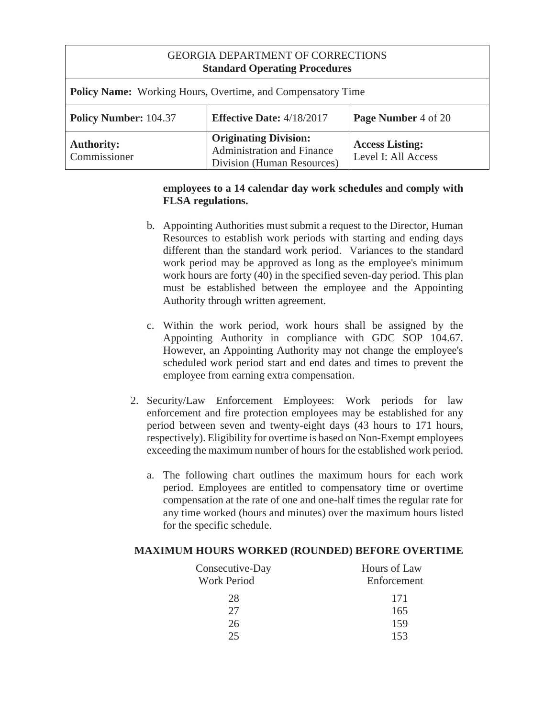| <b>GEORGIA DEPARTMENT OF CORRECTIONS</b><br><b>Standard Operating Procedures</b>        |                                                                                                 |                                               |  |
|-----------------------------------------------------------------------------------------|-------------------------------------------------------------------------------------------------|-----------------------------------------------|--|
| <b>Policy Name:</b> Working Hours, Overtime, and Compensatory Time                      |                                                                                                 |                                               |  |
| <b>Policy Number: 104.37</b><br><b>Effective Date: 4/18/2017</b><br>Page Number 4 of 20 |                                                                                                 |                                               |  |
| <b>Authority:</b><br>Commissioner                                                       | <b>Originating Division:</b><br><b>Administration and Finance</b><br>Division (Human Resources) | <b>Access Listing:</b><br>Level I: All Access |  |

## **employees to a 14 calendar day work schedules and comply with FLSA regulations.**

- b. Appointing Authorities must submit a request to the Director, Human Resources to establish work periods with starting and ending days different than the standard work period. Variances to the standard work period may be approved as long as the employee's minimum work hours are forty (40) in the specified seven-day period. This plan must be established between the employee and the Appointing Authority through written agreement.
- c. Within the work period, work hours shall be assigned by the Appointing Authority in compliance with GDC SOP 104.67. However, an Appointing Authority may not change the employee's scheduled work period start and end dates and times to prevent the employee from earning extra compensation.
- 2. Security/Law Enforcement Employees: Work periods for law enforcement and fire protection employees may be established for any period between seven and twenty-eight days (43 hours to 171 hours, respectively). Eligibility for overtime is based on Non-Exempt employees exceeding the maximum number of hours for the established work period.
	- a. The following chart outlines the maximum hours for each work period. Employees are entitled to compensatory time or overtime compensation at the rate of one and one-half times the regular rate for any time worked (hours and minutes) over the maximum hours listed for the specific schedule.

### **MAXIMUM HOURS WORKED (ROUNDED) BEFORE OVERTIME**

| Consecutive-Day<br><b>Work Period</b> | Hours of Law<br>Enforcement |
|---------------------------------------|-----------------------------|
| 28                                    | 171                         |
| 27                                    | 165                         |
| 26                                    | 159                         |
| 25                                    | 153                         |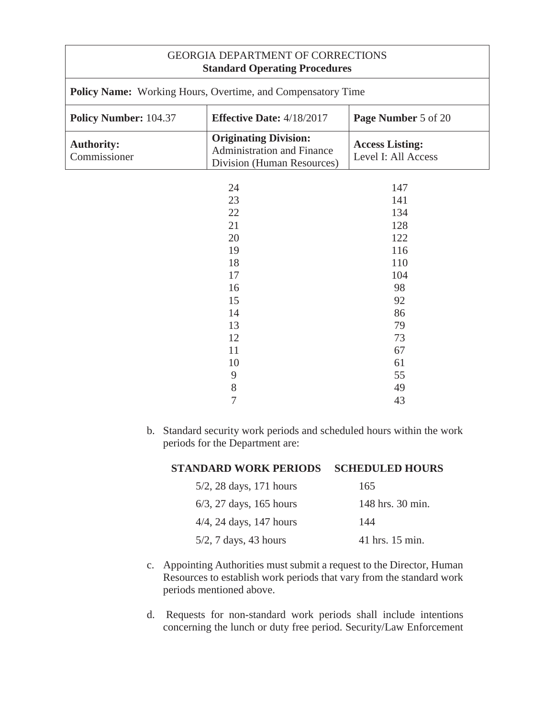| <b>GEORGIA DEPARTMENT OF CORRECTIONS</b><br><b>Standard Operating Procedures</b>        |                                                                                                 |                                               |  |
|-----------------------------------------------------------------------------------------|-------------------------------------------------------------------------------------------------|-----------------------------------------------|--|
| Policy Name: Working Hours, Overtime, and Compensatory Time                             |                                                                                                 |                                               |  |
| <b>Policy Number: 104.37</b><br><b>Effective Date: 4/18/2017</b><br>Page Number 5 of 20 |                                                                                                 |                                               |  |
| <b>Authority:</b><br>Commissioner                                                       | <b>Originating Division:</b><br><b>Administration and Finance</b><br>Division (Human Resources) | <b>Access Listing:</b><br>Level I: All Access |  |
| 24<br>147<br>23<br>141<br>22<br>134                                                     |                                                                                                 |                                               |  |
|                                                                                         | 21<br>20<br>19<br>18                                                                            | 128<br>122<br>116<br>110                      |  |
|                                                                                         | 17<br>16<br>15                                                                                  | 104<br>98<br>92                               |  |
|                                                                                         | 14<br>13<br>12                                                                                  | 86<br>79<br>73                                |  |
|                                                                                         | 11<br>10<br>9<br>8                                                                              | 67<br>61<br>55<br>49                          |  |

b. Standard security work periods and scheduled hours within the work periods for the Department are:

7 43

| <b>STANDARD WORK PERIODS</b> | <b>SCHEDULED HOURS</b> |
|------------------------------|------------------------|
| $5/2$ , 28 days, 171 hours   | 165                    |
| $6/3$ , 27 days, 165 hours   | 148 hrs. 30 min.       |
| $4/4$ , 24 days, 147 hours   | 144                    |
| $5/2$ , 7 days, 43 hours     | 41 hrs. 15 min.        |

- c. Appointing Authorities must submit a request to the Director, Human Resources to establish work periods that vary from the standard work periods mentioned above.
- d. Requests for non-standard work periods shall include intentions concerning the lunch or duty free period. Security/Law Enforcement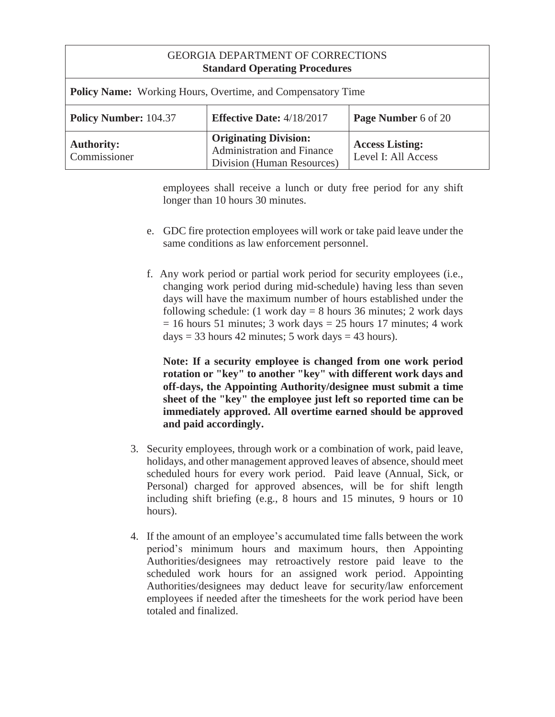| <b>GEORGIA DEPARTMENT OF CORRECTIONS</b><br><b>Standard Operating Procedures</b> |                                                                                                 |                                               |  |
|----------------------------------------------------------------------------------|-------------------------------------------------------------------------------------------------|-----------------------------------------------|--|
| <b>Policy Name:</b> Working Hours, Overtime, and Compensatory Time               |                                                                                                 |                                               |  |
| <b>Policy Number: 104.37</b>                                                     | <b>Effective Date: 4/18/2017</b>                                                                | Page Number 6 of 20                           |  |
| <b>Authority:</b><br>Commissioner                                                | <b>Originating Division:</b><br><b>Administration and Finance</b><br>Division (Human Resources) | <b>Access Listing:</b><br>Level I: All Access |  |

employees shall receive a lunch or duty free period for any shift longer than 10 hours 30 minutes.

- e. GDC fire protection employees will work or take paid leave under the same conditions as law enforcement personnel.
- f. Any work period or partial work period for security employees (i.e., changing work period during mid-schedule) having less than seven days will have the maximum number of hours established under the following schedule: (1 work day  $= 8$  hours 36 minutes; 2 work days  $= 16$  hours 51 minutes; 3 work days  $= 25$  hours 17 minutes; 4 work days = 33 hours 42 minutes; 5 work days = 43 hours).

**Note: If a security employee is changed from one work period rotation or "key" to another "key" with different work days and off-days, the Appointing Authority/designee must submit a time sheet of the "key" the employee just left so reported time can be immediately approved. All overtime earned should be approved and paid accordingly.** 

- 3. Security employees, through work or a combination of work, paid leave, holidays, and other management approved leaves of absence, should meet scheduled hours for every work period. Paid leave (Annual, Sick, or Personal) charged for approved absences, will be for shift length including shift briefing (e.g., 8 hours and 15 minutes, 9 hours or 10 hours).
- 4. If the amount of an employee's accumulated time falls between the work period's minimum hours and maximum hours, then Appointing Authorities/designees may retroactively restore paid leave to the scheduled work hours for an assigned work period. Appointing Authorities/designees may deduct leave for security/law enforcement employees if needed after the timesheets for the work period have been totaled and finalized.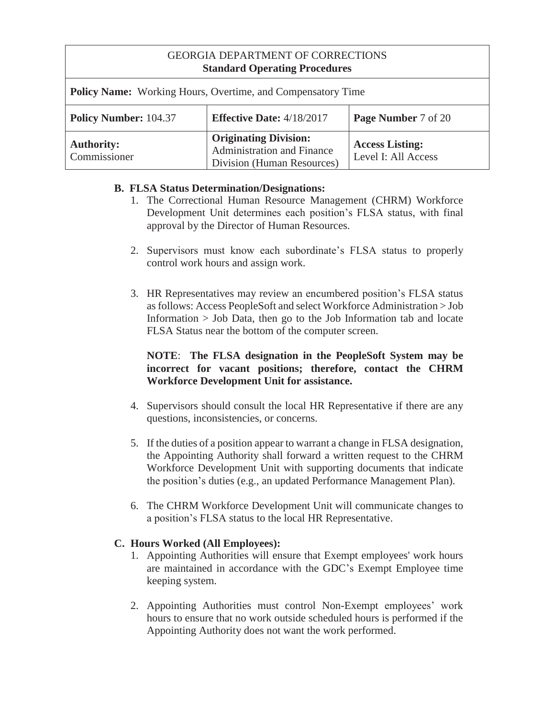| <b>GEORGIA DEPARTMENT OF CORRECTIONS</b> |  |
|------------------------------------------|--|
| <b>Standard Operating Procedures</b>     |  |

| <b>Policy Name:</b> Working Hours, Overtime, and Compensatory Time                      |                                                                                          |                                               |
|-----------------------------------------------------------------------------------------|------------------------------------------------------------------------------------------|-----------------------------------------------|
| <b>Policy Number: 104.37</b><br><b>Effective Date: 4/18/2017</b><br>Page Number 7 of 20 |                                                                                          |                                               |
| <b>Authority:</b><br>Commissioner                                                       | <b>Originating Division:</b><br>Administration and Finance<br>Division (Human Resources) | <b>Access Listing:</b><br>Level I: All Access |

## **B. FLSA Status Determination/Designations:**

- 1. The Correctional Human Resource Management (CHRM) Workforce Development Unit determines each position's FLSA status, with final approval by the Director of Human Resources.
- 2. Supervisors must know each subordinate's FLSA status to properly control work hours and assign work.
- 3. HR Representatives may review an encumbered position's FLSA status as follows: Access PeopleSoft and select Workforce Administration > Job Information > Job Data, then go to the Job Information tab and locate FLSA Status near the bottom of the computer screen.

## **NOTE**: **The FLSA designation in the PeopleSoft System may be incorrect for vacant positions; therefore, contact the CHRM Workforce Development Unit for assistance.**

- 4. Supervisors should consult the local HR Representative if there are any questions, inconsistencies, or concerns.
- 5. If the duties of a position appear to warrant a change in FLSA designation, the Appointing Authority shall forward a written request to the CHRM Workforce Development Unit with supporting documents that indicate the position's duties (e.g., an updated Performance Management Plan).
- 6. The CHRM Workforce Development Unit will communicate changes to a position's FLSA status to the local HR Representative.

## **C. Hours Worked (All Employees):**

- 1. Appointing Authorities will ensure that Exempt employees' work hours are maintained in accordance with the GDC's Exempt Employee time keeping system.
- 2. Appointing Authorities must control Non-Exempt employees' work hours to ensure that no work outside scheduled hours is performed if the Appointing Authority does not want the work performed.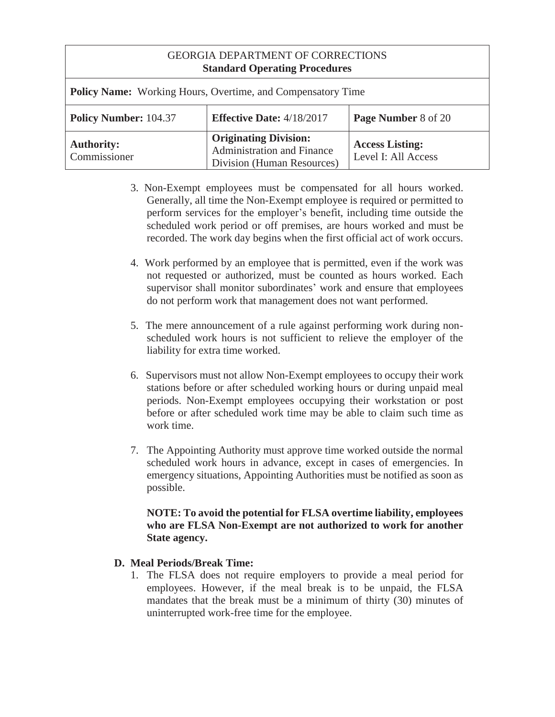| <b>GEORGIA DEPARTMENT OF CORRECTIONS</b> |  |
|------------------------------------------|--|
| <b>Standard Operating Procedures</b>     |  |

| <b>Policy Name:</b> Working Hours, Overtime, and Compensatory Time                               |                                                                                          |                                               |
|--------------------------------------------------------------------------------------------------|------------------------------------------------------------------------------------------|-----------------------------------------------|
| <b>Policy Number: 104.37</b><br><b>Effective Date:</b> $4/18/2017$<br><b>Page Number 8 of 20</b> |                                                                                          |                                               |
| <b>Authority:</b><br>Commissioner                                                                | <b>Originating Division:</b><br>Administration and Finance<br>Division (Human Resources) | <b>Access Listing:</b><br>Level I: All Access |

- 3. Non-Exempt employees must be compensated for all hours worked. Generally, all time the Non-Exempt employee is required or permitted to perform services for the employer's benefit, including time outside the scheduled work period or off premises, are hours worked and must be recorded. The work day begins when the first official act of work occurs.
- 4. Work performed by an employee that is permitted, even if the work was not requested or authorized, must be counted as hours worked. Each supervisor shall monitor subordinates' work and ensure that employees do not perform work that management does not want performed.
- 5. The mere announcement of a rule against performing work during nonscheduled work hours is not sufficient to relieve the employer of the liability for extra time worked.
- 6. Supervisors must not allow Non-Exempt employees to occupy their work stations before or after scheduled working hours or during unpaid meal periods. Non-Exempt employees occupying their workstation or post before or after scheduled work time may be able to claim such time as work time.
- 7. The Appointing Authority must approve time worked outside the normal scheduled work hours in advance, except in cases of emergencies. In emergency situations, Appointing Authorities must be notified as soon as possible.

### **NOTE: To avoid the potential for FLSA overtime liability, employees who are FLSA Non-Exempt are not authorized to work for another State agency.**

### **D. Meal Periods/Break Time:**

1. The FLSA does not require employers to provide a meal period for employees. However, if the meal break is to be unpaid, the FLSA mandates that the break must be a minimum of thirty (30) minutes of uninterrupted work-free time for the employee.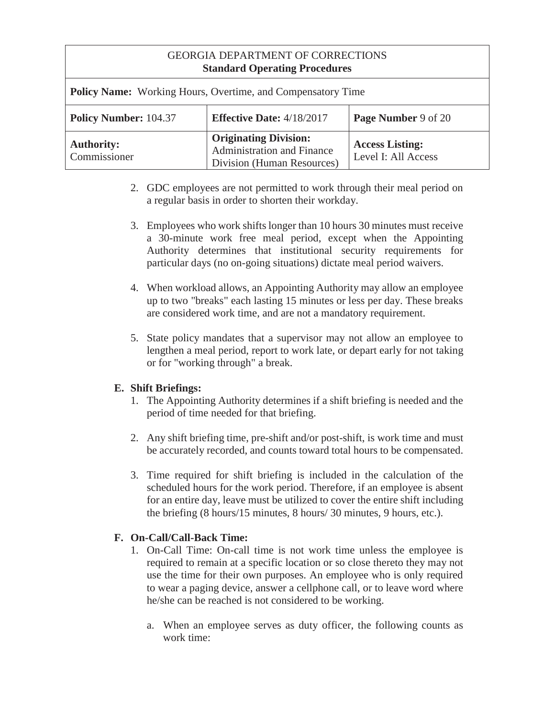| <b>Policy Name:</b> Working Hours, Overtime, and Compensatory Time |                                                                                          |                                               |  |
|--------------------------------------------------------------------|------------------------------------------------------------------------------------------|-----------------------------------------------|--|
| <b>Policy Number: 104.37</b>                                       | <b>Effective Date:</b> 4/18/2017                                                         | Page Number 9 of 20                           |  |
| <b>Authority:</b><br>Commissioner                                  | <b>Originating Division:</b><br>Administration and Finance<br>Division (Human Resources) | <b>Access Listing:</b><br>Level I: All Access |  |

- 2. GDC employees are not permitted to work through their meal period on a regular basis in order to shorten their workday.
- 3. Employees who work shifts longer than 10 hours 30 minutes must receive a 30-minute work free meal period, except when the Appointing Authority determines that institutional security requirements for particular days (no on-going situations) dictate meal period waivers.
- 4. When workload allows, an Appointing Authority may allow an employee up to two "breaks" each lasting 15 minutes or less per day. These breaks are considered work time, and are not a mandatory requirement.
- 5. State policy mandates that a supervisor may not allow an employee to lengthen a meal period, report to work late, or depart early for not taking or for "working through" a break.

# **E. Shift Briefings:**

- 1. The Appointing Authority determines if a shift briefing is needed and the period of time needed for that briefing.
- 2. Any shift briefing time, pre-shift and/or post-shift, is work time and must be accurately recorded, and counts toward total hours to be compensated.
- 3. Time required for shift briefing is included in the calculation of the scheduled hours for the work period. Therefore, if an employee is absent for an entire day, leave must be utilized to cover the entire shift including the briefing (8 hours/15 minutes, 8 hours/ 30 minutes, 9 hours, etc.).

# **F. On-Call/Call-Back Time:**

- 1. On-Call Time: On-call time is not work time unless the employee is required to remain at a specific location or so close thereto they may not use the time for their own purposes. An employee who is only required to wear a paging device, answer a cellphone call, or to leave word where he/she can be reached is not considered to be working.
	- a. When an employee serves as duty officer, the following counts as work time: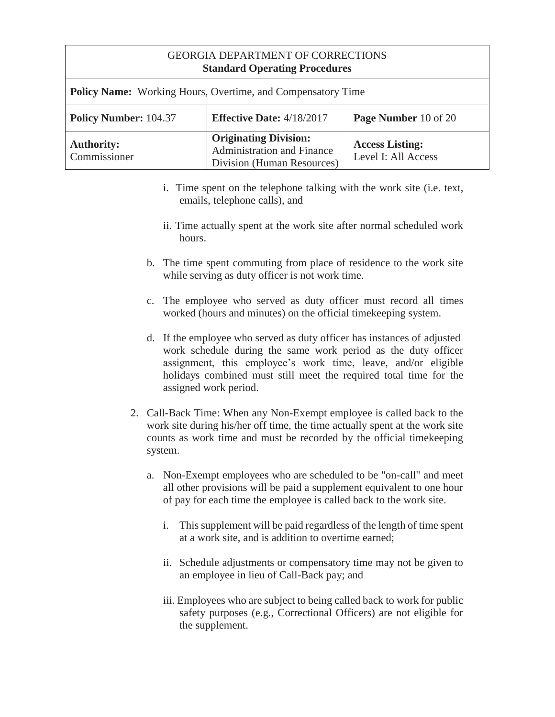| $\sim$ constants $\sim$ $\sim$ p constants of $\sim$ constants of  |                                                                                          |                                               |
|--------------------------------------------------------------------|------------------------------------------------------------------------------------------|-----------------------------------------------|
| <b>Policy Name:</b> Working Hours, Overtime, and Compensatory Time |                                                                                          |                                               |
| <b>Policy Number: 104.37</b>                                       | <b>Effective Date:</b> 4/18/2017                                                         | Page Number 10 of 20                          |
| <b>Authority:</b><br>Commissioner                                  | <b>Originating Division:</b><br>Administration and Finance<br>Division (Human Resources) | <b>Access Listing:</b><br>Level I: All Access |

- i. Time spent on the telephone talking with the work site (i.e. text, emails, telephone calls), and
- ii. Time actually spent at the work site after normal scheduled work hours.
- b. The time spent commuting from place of residence to the work site while serving as duty officer is not work time.
- c. The employee who served as duty officer must record all times worked (hours and minutes) on the official timekeeping system.
- d. If the employee who served as duty officer has instances of adjusted work schedule during the same work period as the duty officer assignment, this employee's work time, leave, and/or eligible holidays combined must still meet the required total time for the assigned work period.
- 2. Call-Back Time: When any Non-Exempt employee is called back to the work site during his/her off time, the time actually spent at the work site counts as work time and must be recorded by the official timekeeping system.
	- a. Non-Exempt employees who are scheduled to be "on-call" and meet all other provisions will be paid a supplement equivalent to one hour of pay for each time the employee is called back to the work site.
		- i. This supplement will be paid regardless of the length of time spent at a work site, and is addition to overtime earned;
		- ii. Schedule adjustments or compensatory time may not be given to an employee in lieu of Call-Back pay; and
		- iii. Employees who are subject to being called back to work for public safety purposes (e.g., Correctional Officers) are not eligible for the supplement.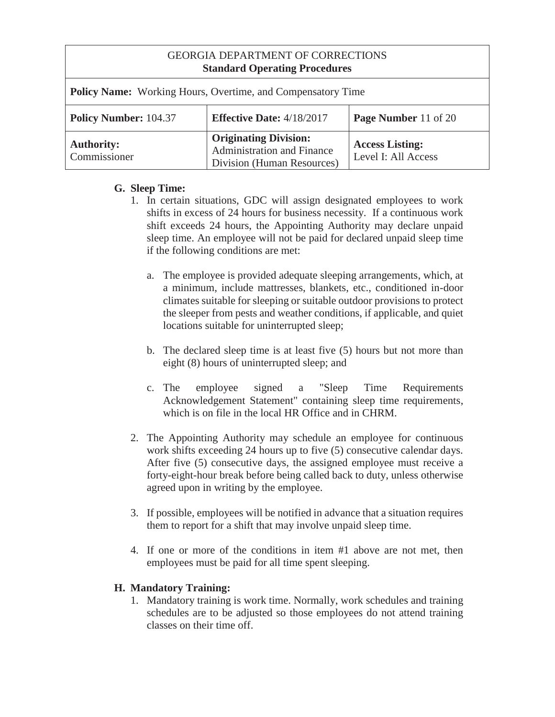| GEORGIA DEPARTMENT OF CORRECTIONS<br><b>Standard Operating Procedures</b> |                                                                                          |                                               |  |
|---------------------------------------------------------------------------|------------------------------------------------------------------------------------------|-----------------------------------------------|--|
| <b>Policy Name:</b> Working Hours, Overtime, and Compensatory Time        |                                                                                          |                                               |  |
| <b>Policy Number: 104.37</b>                                              | <b>Effective Date: 4/18/2017</b>                                                         | Page Number 11 of 20                          |  |
| <b>Authority:</b><br>Commissioner                                         | <b>Originating Division:</b><br>Administration and Finance<br>Division (Human Resources) | <b>Access Listing:</b><br>Level I: All Access |  |

# **G. Sleep Time:**

- 1. In certain situations, GDC will assign designated employees to work shifts in excess of 24 hours for business necessity. If a continuous work shift exceeds 24 hours, the Appointing Authority may declare unpaid sleep time. An employee will not be paid for declared unpaid sleep time if the following conditions are met:
	- a. The employee is provided adequate sleeping arrangements, which, at a minimum, include mattresses, blankets, etc., conditioned in-door climates suitable for sleeping or suitable outdoor provisions to protect the sleeper from pests and weather conditions, if applicable, and quiet locations suitable for uninterrupted sleep;
	- b. The declared sleep time is at least five (5) hours but not more than eight (8) hours of uninterrupted sleep; and
	- c. The employee signed a "Sleep Time Requirements Acknowledgement Statement" containing sleep time requirements, which is on file in the local HR Office and in CHRM.
- 2. The Appointing Authority may schedule an employee for continuous work shifts exceeding 24 hours up to five (5) consecutive calendar days. After five (5) consecutive days, the assigned employee must receive a forty-eight-hour break before being called back to duty, unless otherwise agreed upon in writing by the employee.
- 3. If possible, employees will be notified in advance that a situation requires them to report for a shift that may involve unpaid sleep time.
- 4. If one or more of the conditions in item #1 above are not met, then employees must be paid for all time spent sleeping.

## **H. Mandatory Training:**

1. Mandatory training is work time. Normally, work schedules and training schedules are to be adjusted so those employees do not attend training classes on their time off.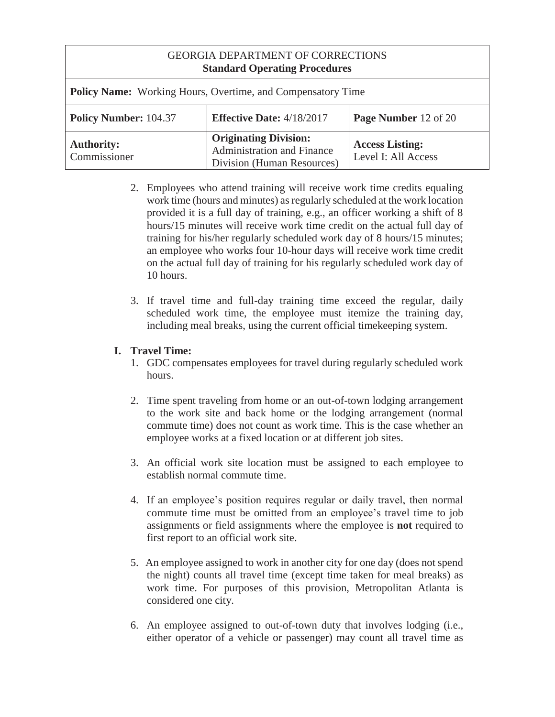| <b>Policy Name:</b> Working Hours, Overtime, and Compensatory Time |                                                                                          |                                               |
|--------------------------------------------------------------------|------------------------------------------------------------------------------------------|-----------------------------------------------|
| <b>Policy Number: 104.37</b>                                       | <b>Effective Date:</b> $4/18/2017$                                                       | <b>Page Number</b> 12 of 20                   |
| <b>Authority:</b><br>Commissioner                                  | <b>Originating Division:</b><br>Administration and Finance<br>Division (Human Resources) | <b>Access Listing:</b><br>Level I: All Access |

- 2. Employees who attend training will receive work time credits equaling work time (hours and minutes) as regularly scheduled at the work location provided it is a full day of training, e.g., an officer working a shift of 8 hours/15 minutes will receive work time credit on the actual full day of training for his/her regularly scheduled work day of 8 hours/15 minutes; an employee who works four 10-hour days will receive work time credit on the actual full day of training for his regularly scheduled work day of 10 hours.
- 3. If travel time and full-day training time exceed the regular, daily scheduled work time, the employee must itemize the training day, including meal breaks, using the current official timekeeping system.

# **I. Travel Time:**

- 1. GDC compensates employees for travel during regularly scheduled work hours.
- 2. Time spent traveling from home or an out-of-town lodging arrangement to the work site and back home or the lodging arrangement (normal commute time) does not count as work time. This is the case whether an employee works at a fixed location or at different job sites.
- 3. An official work site location must be assigned to each employee to establish normal commute time.
- 4. If an employee's position requires regular or daily travel, then normal commute time must be omitted from an employee's travel time to job assignments or field assignments where the employee is **not** required to first report to an official work site.
- 5. An employee assigned to work in another city for one day (does not spend the night) counts all travel time (except time taken for meal breaks) as work time. For purposes of this provision, Metropolitan Atlanta is considered one city.
- 6. An employee assigned to out-of-town duty that involves lodging (i.e., either operator of a vehicle or passenger) may count all travel time as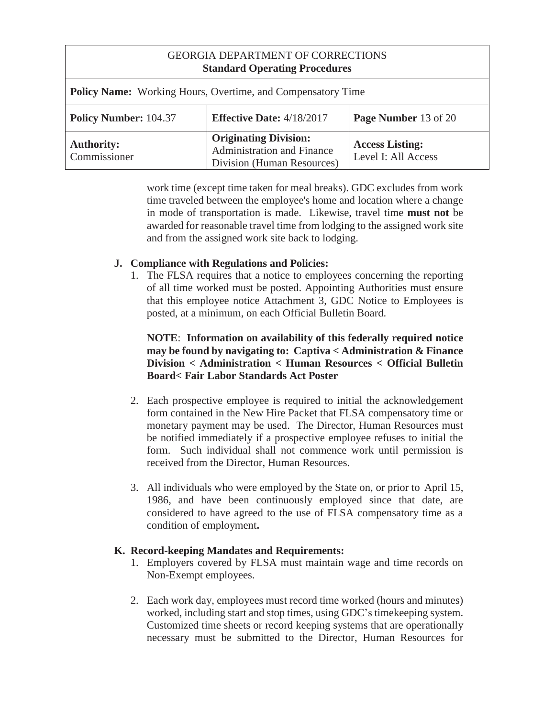| <b>GEORGIA DEPARTMENT OF CORRECTIONS</b><br><b>Standard Operating Procedures</b> |                                                                                                 |                                               |  |
|----------------------------------------------------------------------------------|-------------------------------------------------------------------------------------------------|-----------------------------------------------|--|
| <b>Policy Name:</b> Working Hours, Overtime, and Compensatory Time               |                                                                                                 |                                               |  |
| <b>Policy Number: 104.37</b>                                                     | <b>Effective Date: 4/18/2017</b>                                                                | <b>Page Number</b> 13 of 20                   |  |
| <b>Authority:</b><br>Commissioner                                                | <b>Originating Division:</b><br><b>Administration and Finance</b><br>Division (Human Resources) | <b>Access Listing:</b><br>Level I: All Access |  |

work time (except time taken for meal breaks). GDC excludes from work time traveled between the employee's home and location where a change in mode of transportation is made. Likewise, travel time **must not** be awarded for reasonable travel time from lodging to the assigned work site and from the assigned work site back to lodging.

## **J. Compliance with Regulations and Policies:**

1. The FLSA requires that a notice to employees concerning the reporting of all time worked must be posted. Appointing Authorities must ensure that this employee notice Attachment 3, GDC Notice to Employees is posted, at a minimum, on each Official Bulletin Board.

## **NOTE**: **Information on availability of this federally required notice may be found by navigating to: Captiva < Administration & Finance Division < Administration < Human Resources < Official Bulletin Board< Fair Labor Standards Act Poster**

- 2. Each prospective employee is required to initial the acknowledgement form contained in the New Hire Packet that FLSA compensatory time or monetary payment may be used. The Director, Human Resources must be notified immediately if a prospective employee refuses to initial the form. Such individual shall not commence work until permission is received from the Director, Human Resources.
- 3. All individuals who were employed by the State on, or prior to April 15, 1986, and have been continuously employed since that date, are considered to have agreed to the use of FLSA compensatory time as a condition of employment**.**

### **K. Record-keeping Mandates and Requirements:**

- 1. Employers covered by FLSA must maintain wage and time records on Non-Exempt employees.
- 2. Each work day, employees must record time worked (hours and minutes) worked, including start and stop times, using GDC's timekeeping system. Customized time sheets or record keeping systems that are operationally necessary must be submitted to the Director, Human Resources for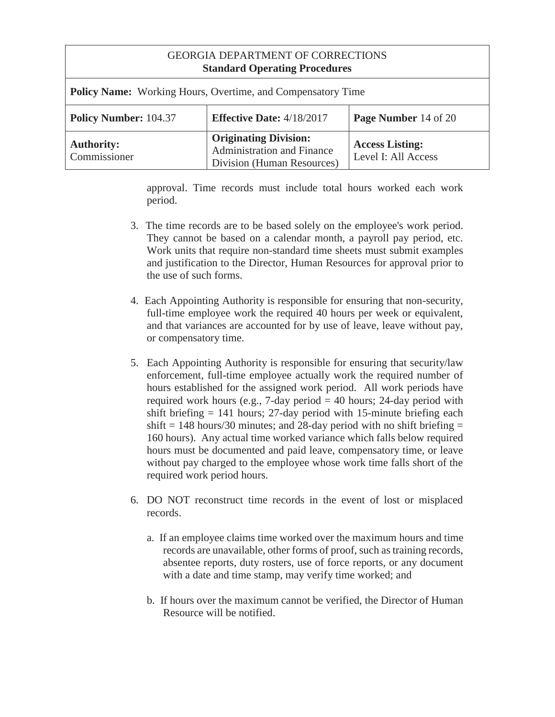| GEORGIA DEPARTMENT OF CORRECTIONS<br><b>Standard Operating Procedures</b> |                                                                                                 |                                               |  |
|---------------------------------------------------------------------------|-------------------------------------------------------------------------------------------------|-----------------------------------------------|--|
| <b>Policy Name:</b> Working Hours, Overtime, and Compensatory Time        |                                                                                                 |                                               |  |
| <b>Policy Number: 104.37</b>                                              | <b>Effective Date: 4/18/2017</b>                                                                | <b>Page Number</b> 14 of 20                   |  |
| <b>Authority:</b><br>Commissioner                                         | <b>Originating Division:</b><br><b>Administration and Finance</b><br>Division (Human Resources) | <b>Access Listing:</b><br>Level I: All Access |  |

approval. Time records must include total hours worked each work period.

- 3. The time records are to be based solely on the employee's work period. They cannot be based on a calendar month, a payroll pay period, etc. Work units that require non-standard time sheets must submit examples and justification to the Director, Human Resources for approval prior to the use of such forms.
- 4. Each Appointing Authority is responsible for ensuring that non-security, full-time employee work the required 40 hours per week or equivalent, and that variances are accounted for by use of leave, leave without pay, or compensatory time.
- 5. Each Appointing Authority is responsible for ensuring that security/law enforcement, full-time employee actually work the required number of hours established for the assigned work period. All work periods have required work hours (e.g., 7-day period  $= 40$  hours; 24-day period with shift briefing  $= 141$  hours; 27-day period with 15-minute briefing each shift  $= 148$  hours/30 minutes; and 28-day period with no shift briefing  $=$ 160 hours). Any actual time worked variance which falls below required hours must be documented and paid leave, compensatory time, or leave without pay charged to the employee whose work time falls short of the required work period hours.
- 6. DO NOT reconstruct time records in the event of lost or misplaced records.
	- a. If an employee claims time worked over the maximum hours and time records are unavailable, other forms of proof, such as training records, absentee reports, duty rosters, use of force reports, or any document with a date and time stamp, may verify time worked; and
	- b. If hours over the maximum cannot be verified, the Director of Human Resource will be notified.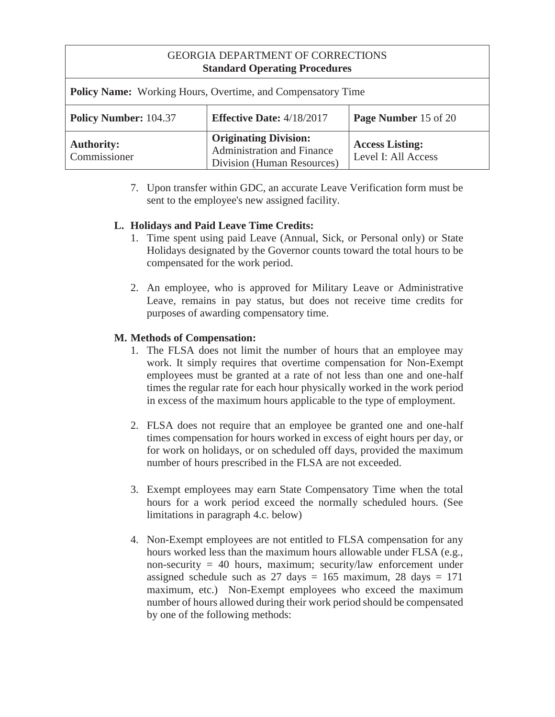| <b>Policy Name:</b> Working Hours, Overtime, and Compensatory Time                       |                                                                                          |                                               |  |
|------------------------------------------------------------------------------------------|------------------------------------------------------------------------------------------|-----------------------------------------------|--|
| <b>Policy Number: 104.37</b><br>Page Number 15 of 20<br><b>Effective Date: 4/18/2017</b> |                                                                                          |                                               |  |
| <b>Authority:</b><br>Commissioner                                                        | <b>Originating Division:</b><br>Administration and Finance<br>Division (Human Resources) | <b>Access Listing:</b><br>Level I: All Access |  |

7. Upon transfer within GDC, an accurate Leave Verification form must be sent to the employee's new assigned facility.

## **L. Holidays and Paid Leave Time Credits:**

- 1. Time spent using paid Leave (Annual, Sick, or Personal only) or State Holidays designated by the Governor counts toward the total hours to be compensated for the work period.
- 2. An employee, who is approved for Military Leave or Administrative Leave, remains in pay status, but does not receive time credits for purposes of awarding compensatory time.

## **M. Methods of Compensation:**

- 1. The FLSA does not limit the number of hours that an employee may work. It simply requires that overtime compensation for Non-Exempt employees must be granted at a rate of not less than one and one-half times the regular rate for each hour physically worked in the work period in excess of the maximum hours applicable to the type of employment.
- 2. FLSA does not require that an employee be granted one and one-half times compensation for hours worked in excess of eight hours per day, or for work on holidays, or on scheduled off days, provided the maximum number of hours prescribed in the FLSA are not exceeded.
- 3. Exempt employees may earn State Compensatory Time when the total hours for a work period exceed the normally scheduled hours. (See limitations in paragraph 4.c. below)
- 4. Non-Exempt employees are not entitled to FLSA compensation for any hours worked less than the maximum hours allowable under FLSA (e.g., non-security = 40 hours, maximum; security/law enforcement under assigned schedule such as  $27 \text{ days} = 165 \text{ maximum}$ ,  $28 \text{ days} = 171$ maximum, etc.) Non-Exempt employees who exceed the maximum number of hours allowed during their work period should be compensated by one of the following methods: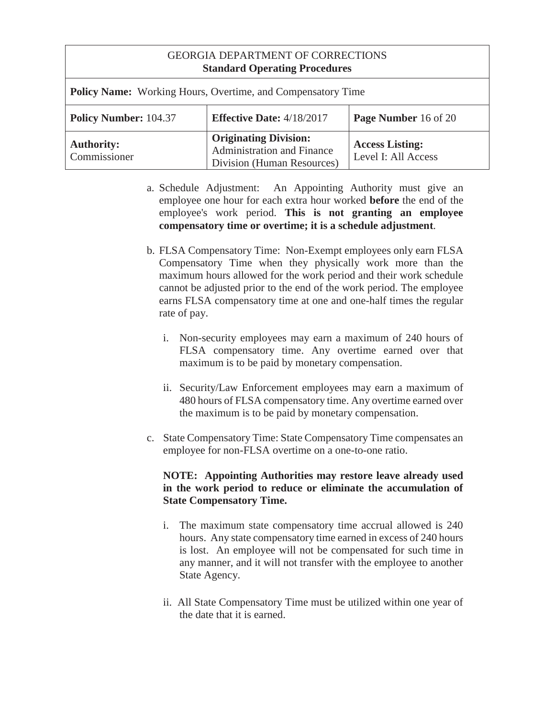| GEORGIA DEPARTMENT OF CORRECTIONS<br><b>Standard Operating Procedures</b> |                                                                                          |                                               |  |
|---------------------------------------------------------------------------|------------------------------------------------------------------------------------------|-----------------------------------------------|--|
| <b>Policy Name:</b> Working Hours, Overtime, and Compensatory Time        |                                                                                          |                                               |  |
| <b>Policy Number: 104.37</b>                                              | <b>Effective Date: 4/18/2017</b>                                                         | Page Number 16 of 20                          |  |
| <b>Authority:</b><br>Commissioner                                         | <b>Originating Division:</b><br>Administration and Finance<br>Division (Human Resources) | <b>Access Listing:</b><br>Level I: All Access |  |

- a. Schedule Adjustment: An Appointing Authority must give an employee one hour for each extra hour worked **before** the end of the employee's work period. **This is not granting an employee compensatory time or overtime; it is a schedule adjustment**.
- b. FLSA Compensatory Time: Non-Exempt employees only earn FLSA Compensatory Time when they physically work more than the maximum hours allowed for the work period and their work schedule cannot be adjusted prior to the end of the work period. The employee earns FLSA compensatory time at one and one-half times the regular rate of pay.
	- i. Non-security employees may earn a maximum of 240 hours of FLSA compensatory time. Any overtime earned over that maximum is to be paid by monetary compensation.
	- ii. Security/Law Enforcement employees may earn a maximum of 480 hours of FLSA compensatory time. Any overtime earned over the maximum is to be paid by monetary compensation.
- c. State Compensatory Time: State Compensatory Time compensates an employee for non-FLSA overtime on a one-to-one ratio.

### **NOTE: Appointing Authorities may restore leave already used in the work period to reduce or eliminate the accumulation of State Compensatory Time.**

- i. The maximum state compensatory time accrual allowed is 240 hours. Any state compensatory time earned in excess of 240 hours is lost. An employee will not be compensated for such time in any manner, and it will not transfer with the employee to another State Agency.
- ii. All State Compensatory Time must be utilized within one year of the date that it is earned.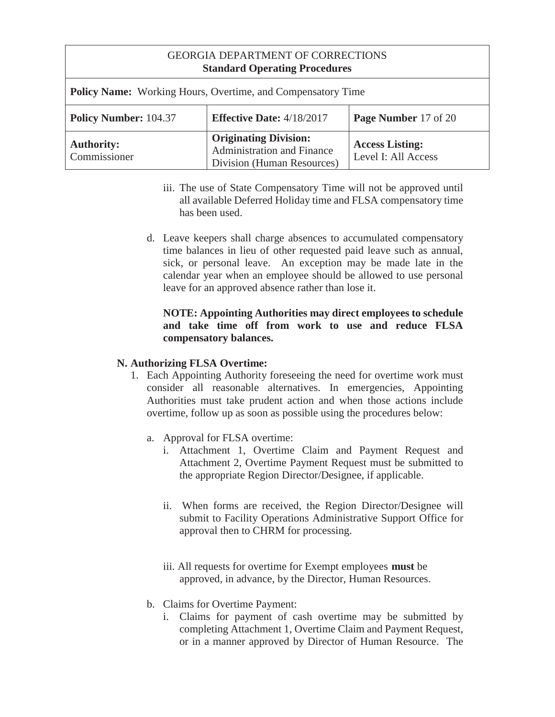| <b>GEORGIA DEPARTMENT OF CORRECTIONS</b><br><b>Standard Operating Procedures</b> |                                    |                             |
|----------------------------------------------------------------------------------|------------------------------------|-----------------------------|
| <b>Policy Name:</b> Working Hours, Overtime, and Compensatory Time               |                                    |                             |
| Policy Number: 104.37                                                            | <b>Effective Date:</b> $4/18/2017$ | <b>Page Number</b> 17 of 20 |

| <b>Authority:</b><br>Commissioner | <b>Originating Division:</b><br><b>Administration and Finance</b><br>Division (Human Resources) | <b>Access Listing:</b><br>Level I: All Access |
|-----------------------------------|-------------------------------------------------------------------------------------------------|-----------------------------------------------|

- iii. The use of State Compensatory Time will not be approved until all available Deferred Holiday time and FLSA compensatory time has been used.
- d. Leave keepers shall charge absences to accumulated compensatory time balances in lieu of other requested paid leave such as annual, sick, or personal leave. An exception may be made late in the calendar year when an employee should be allowed to use personal leave for an approved absence rather than lose it.

## **NOTE: Appointing Authorities may direct employees to schedule and take time off from work to use and reduce FLSA compensatory balances.**

## **N. Authorizing FLSA Overtime:**

- 1. Each Appointing Authority foreseeing the need for overtime work must consider all reasonable alternatives. In emergencies, Appointing Authorities must take prudent action and when those actions include overtime, follow up as soon as possible using the procedures below:
	- a. Approval for FLSA overtime:
		- i. Attachment 1, Overtime Claim and Payment Request and Attachment 2, Overtime Payment Request must be submitted to the appropriate Region Director/Designee, if applicable.
		- ii. When forms are received, the Region Director/Designee will submit to Facility Operations Administrative Support Office for approval then to CHRM for processing.
		- iii. All requests for overtime for Exempt employees **must** be approved, in advance, by the Director, Human Resources.
	- b. Claims for Overtime Payment:
		- i. Claims for payment of cash overtime may be submitted by completing Attachment 1, Overtime Claim and Payment Request, or in a manner approved by Director of Human Resource. The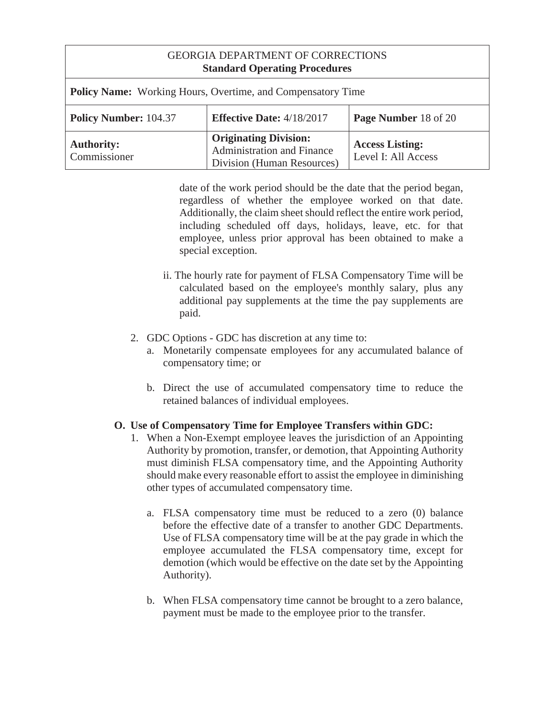| <b>Policy Name:</b> Working Hours, Overtime, and Compensatory Time                              |                                                                                          |                                               |
|-------------------------------------------------------------------------------------------------|------------------------------------------------------------------------------------------|-----------------------------------------------|
| <b>Effective Date: 4/18/2017</b><br><b>Policy Number: 104.37</b><br><b>Page Number</b> 18 of 20 |                                                                                          |                                               |
| <b>Authority:</b><br>Commissioner                                                               | <b>Originating Division:</b><br>Administration and Finance<br>Division (Human Resources) | <b>Access Listing:</b><br>Level I: All Access |

date of the work period should be the date that the period began, regardless of whether the employee worked on that date. Additionally, the claim sheet should reflect the entire work period, including scheduled off days, holidays, leave, etc. for that employee, unless prior approval has been obtained to make a special exception.

- ii. The hourly rate for payment of FLSA Compensatory Time will be calculated based on the employee's monthly salary, plus any additional pay supplements at the time the pay supplements are paid.
- 2. GDC Options GDC has discretion at any time to:
	- a. Monetarily compensate employees for any accumulated balance of compensatory time; or
	- b. Direct the use of accumulated compensatory time to reduce the retained balances of individual employees.

## **O. Use of Compensatory Time for Employee Transfers within GDC:**

- 1. When a Non-Exempt employee leaves the jurisdiction of an Appointing Authority by promotion, transfer, or demotion, that Appointing Authority must diminish FLSA compensatory time, and the Appointing Authority should make every reasonable effort to assist the employee in diminishing other types of accumulated compensatory time.
	- a. FLSA compensatory time must be reduced to a zero (0) balance before the effective date of a transfer to another GDC Departments. Use of FLSA compensatory time will be at the pay grade in which the employee accumulated the FLSA compensatory time, except for demotion (which would be effective on the date set by the Appointing Authority).
	- b. When FLSA compensatory time cannot be brought to a zero balance, payment must be made to the employee prior to the transfer.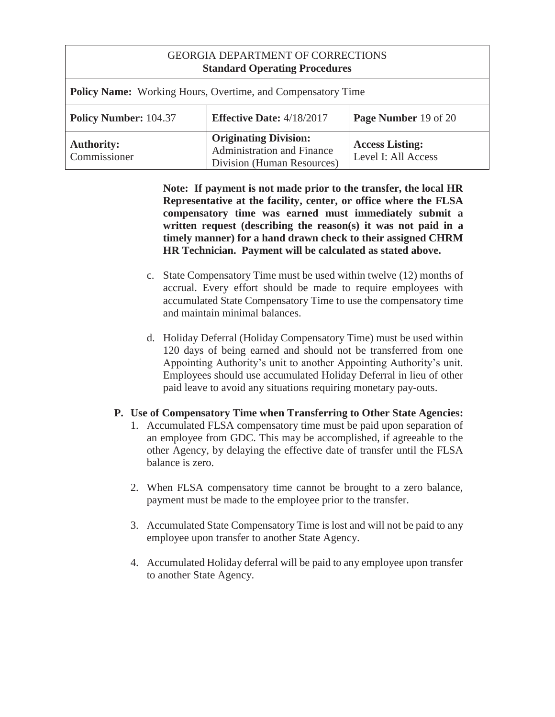| <b>GEORGIA DEPARTMENT OF CORRECTIONS</b><br><b>Standard Operating Procedures</b> |                                                                                                 |                                               |
|----------------------------------------------------------------------------------|-------------------------------------------------------------------------------------------------|-----------------------------------------------|
| <b>Policy Name:</b> Working Hours, Overtime, and Compensatory Time               |                                                                                                 |                                               |
| <b>Policy Number: 104.37</b>                                                     | <b>Effective Date: 4/18/2017</b>                                                                | Page Number 19 of 20                          |
| <b>Authority:</b><br>Commissioner                                                | <b>Originating Division:</b><br><b>Administration and Finance</b><br>Division (Human Resources) | <b>Access Listing:</b><br>Level I: All Access |

**Note: If payment is not made prior to the transfer, the local HR Representative at the facility, center, or office where the FLSA compensatory time was earned must immediately submit a written request (describing the reason(s) it was not paid in a timely manner) for a hand drawn check to their assigned CHRM HR Technician. Payment will be calculated as stated above.** 

- c. State Compensatory Time must be used within twelve (12) months of accrual. Every effort should be made to require employees with accumulated State Compensatory Time to use the compensatory time and maintain minimal balances.
- d. Holiday Deferral (Holiday Compensatory Time) must be used within 120 days of being earned and should not be transferred from one Appointing Authority's unit to another Appointing Authority's unit. Employees should use accumulated Holiday Deferral in lieu of other paid leave to avoid any situations requiring monetary pay-outs.

### **P. Use of Compensatory Time when Transferring to Other State Agencies:**

- 1. Accumulated FLSA compensatory time must be paid upon separation of an employee from GDC. This may be accomplished, if agreeable to the other Agency, by delaying the effective date of transfer until the FLSA balance is zero.
- 2. When FLSA compensatory time cannot be brought to a zero balance, payment must be made to the employee prior to the transfer.
- 3. Accumulated State Compensatory Time is lost and will not be paid to any employee upon transfer to another State Agency.
- 4. Accumulated Holiday deferral will be paid to any employee upon transfer to another State Agency.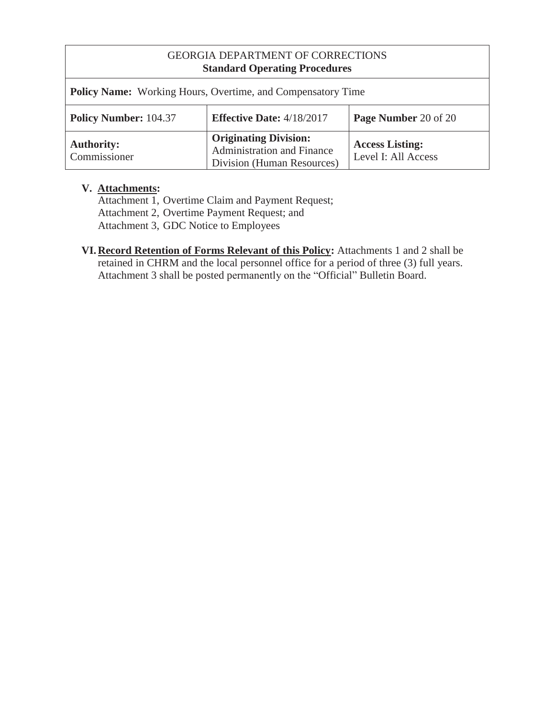| Policy Name: Working Hours, Overtime, and Compensatory Time |                                                                                          |                                               |
|-------------------------------------------------------------|------------------------------------------------------------------------------------------|-----------------------------------------------|
| <b>Policy Number: 104.37</b>                                | <b>Effective Date: 4/18/2017</b>                                                         | Page Number 20 of 20                          |
| <b>Authority:</b><br>Commissioner                           | <b>Originating Division:</b><br>Administration and Finance<br>Division (Human Resources) | <b>Access Listing:</b><br>Level I: All Access |

## **V. Attachments:**

 Attachment 1, Overtime Claim and Payment Request; Attachment 2, Overtime Payment Request; and Attachment 3, GDC Notice to Employees

**VI. Record Retention of Forms Relevant of this Policy:** Attachments 1 and 2 shall be retained in CHRM and the local personnel office for a period of three (3) full years. Attachment 3 shall be posted permanently on the "Official" Bulletin Board.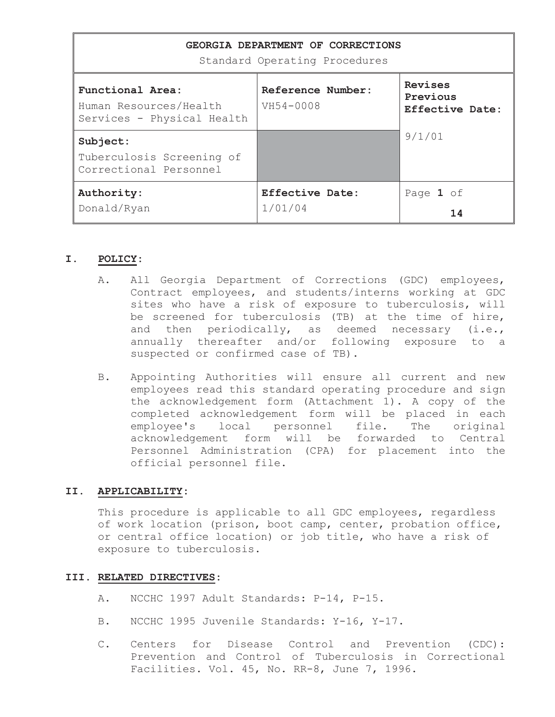| GEORGIA DEPARTMENT OF CORRECTIONS<br>Standard Operating Procedures       |                                |                                        |  |
|--------------------------------------------------------------------------|--------------------------------|----------------------------------------|--|
| Functional Area:<br>Human Resources/Health<br>Services - Physical Health | Reference Number:<br>VH54-0008 | Revises<br>Previous<br>Effective Date: |  |
| Subject:                                                                 |                                | 9/1/01                                 |  |
| Tuberculosis Screening of<br>Correctional Personnel                      |                                |                                        |  |
| Authority:                                                               | <b>Effective Date:</b>         | Page 1 of                              |  |
| Donald/Ryan                                                              | 1/01/04                        | 14                                     |  |

#### **I. POLICY:**

- A. All Georgia Department of Corrections (GDC) employees, Contract employees, and students/interns working at GDC sites who have a risk of exposure to tuberculosis, will be screened for tuberculosis (TB) at the time of hire, and then periodically, as deemed necessary (i.e., annually thereafter and/or following exposure to a suspected or confirmed case of TB).
- B. Appointing Authorities will ensure all current and new employees read this standard operating procedure and sign the acknowledgement form (Attachment 1). A copy of the completed acknowledgement form will be placed in each employee's local personnel file. The original acknowledgement form will be forwarded to Central Personnel Administration (CPA) for placement into the official personnel file.

#### **II. APPLICABILITY:**

This procedure is applicable to all GDC employees, regardless of work location (prison, boot camp, center, probation office, or central office location) or job title, who have a risk of exposure to tuberculosis.

#### **III. RELATED DIRECTIVES:**

- A. NCCHC 1997 Adult Standards: P-14, P-15.
- B. NCCHC 1995 Juvenile Standards: Y-16, Y-17.
- C. Centers for Disease Control and Prevention (CDC): Prevention and Control of Tuberculosis in Correctional Facilities. Vol. 45, No. RR-8, June 7, 1996.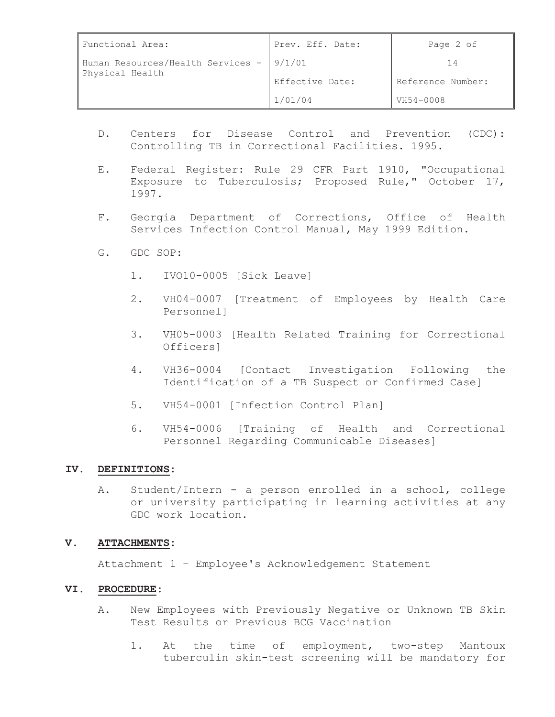| Functional Area:                                     | Prev. Eff. Date: | Page 2 of         |
|------------------------------------------------------|------------------|-------------------|
| Human Resources/Health Services -<br>Physical Health | 9/1/01           |                   |
|                                                      | Effective Date:  | Reference Number: |
|                                                      | 1/01/04          | VH54-0008         |

- D. Centers for Disease Control and Prevention (CDC): Controlling TB in Correctional Facilities. 1995.
- E. Federal Register: Rule 29 CFR Part 1910, "Occupational Exposure to Tuberculosis; Proposed Rule," October 17, 1997.
- F. Georgia Department of Corrections, Office of Health Services Infection Control Manual, May 1999 Edition.
- G. GDC SOP:
	- 1. IVO10-0005 [Sick Leave]
	- 2. VH04-0007 [Treatment of Employees by Health Care Personnel]
	- 3. VH05-0003 [Health Related Training for Correctional Officers]
	- 4. VH36-0004 [Contact Investigation Following the Identification of a TB Suspect or Confirmed Case]
	- 5. VH54-0001 [Infection Control Plan]
	- 6. VH54-0006 [Training of Health and Correctional Personnel Regarding Communicable Diseases]

#### **IV. DEFINITIONS:**

A. Student/Intern - a person enrolled in a school, college or university participating in learning activities at any GDC work location.

#### **V. ATTACHMENTS:**

Attachment 1 – Employee's Acknowledgement Statement

#### **VI. PROCEDURE:**

- A. New Employees with Previously Negative or Unknown TB Skin Test Results or Previous BCG Vaccination
	- 1. At the time of employment, two-step Mantoux tuberculin skin-test screening will be mandatory for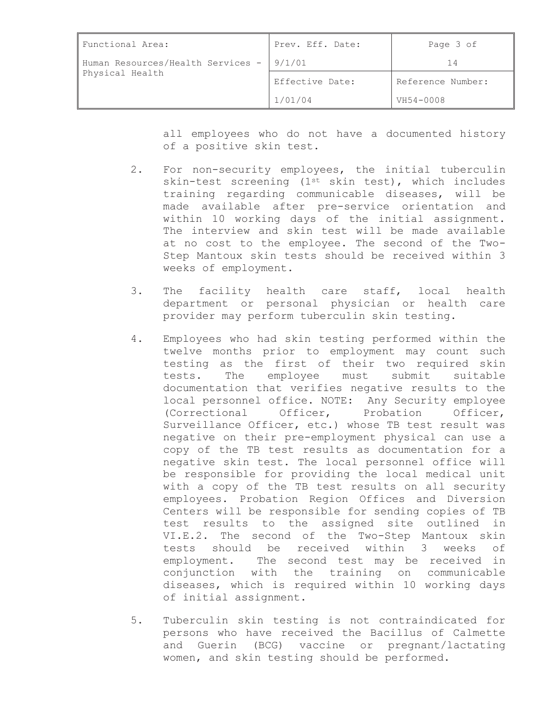| Functional Area:                                     | Prev. Eff. Date: | Page 3 of         |
|------------------------------------------------------|------------------|-------------------|
| Human Resources/Health Services -<br>Physical Health | 9/1/01           | 14                |
|                                                      | Effective Date:  | Reference Number: |
|                                                      | 1/01/04          | VH54-0008         |

all employees who do not have a documented history of a positive skin test.

- 2. For non-security employees, the initial tuberculin skin-test screening (1<sup>st</sup> skin test), which includes training regarding communicable diseases, will be made available after pre-service orientation and within 10 working days of the initial assignment. The interview and skin test will be made available at no cost to the employee. The second of the Two-Step Mantoux skin tests should be received within 3 weeks of employment.
- 3. The facility health care staff, local health department or personal physician or health care provider may perform tuberculin skin testing.
- 4. Employees who had skin testing performed within the twelve months prior to employment may count such testing as the first of their two required skin tests. The employee must submit suitable documentation that verifies negative results to the local personnel office. NOTE: Any Security employee (Correctional Officer, Probation Officer, Surveillance Officer, etc.) whose TB test result was negative on their pre-employment physical can use a copy of the TB test results as documentation for a negative skin test. The local personnel office will be responsible for providing the local medical unit with a copy of the TB test results on all security employees. Probation Region Offices and Diversion Centers will be responsible for sending copies of TB test results to the assigned site outlined in VI.E.2. The second of the Two-Step Mantoux skin tests should be received within 3 weeks of employment. The second test may be received in conjunction with the training on communicable diseases, which is required within 10 working days of initial assignment.
- 5. Tuberculin skin testing is not contraindicated for persons who have received the Bacillus of Calmette and Guerin (BCG) vaccine or pregnant/lactating women, and skin testing should be performed.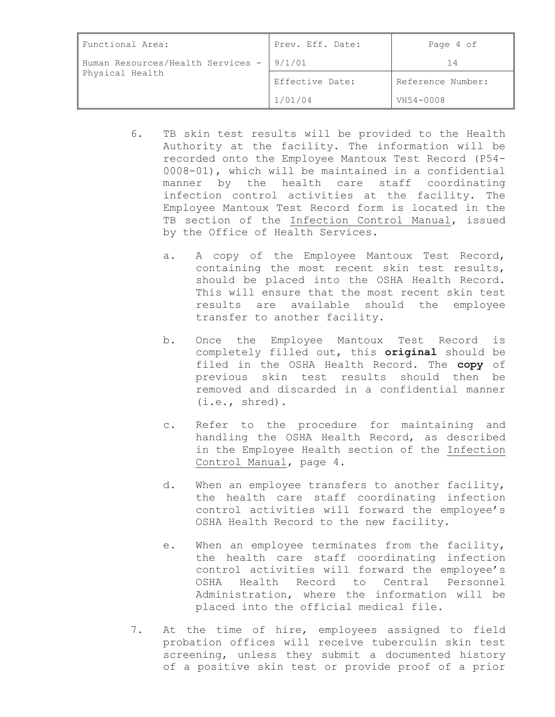| Functional Area:                                              | Prev. Eff. Date: | Page 4 of         |
|---------------------------------------------------------------|------------------|-------------------|
| Human Resources/Health Services -   9/1/01<br>Physical Health |                  | 14                |
|                                                               | Effective Date:  | Reference Number: |
|                                                               | 1/01/04          | VH54-0008         |

- 6. TB skin test results will be provided to the Health Authority at the facility. The information will be recorded onto the Employee Mantoux Test Record (P54- 0008-01), which will be maintained in a confidential manner by the health care staff coordinating infection control activities at the facility. The Employee Mantoux Test Record form is located in the TB section of the Infection Control Manual, issued by the Office of Health Services.
	- a. A copy of the Employee Mantoux Test Record, containing the most recent skin test results, should be placed into the OSHA Health Record. This will ensure that the most recent skin test results are available should the employee transfer to another facility.
	- b. Once the Employee Mantoux Test Record is completely filled out, this **original** should be filed in the OSHA Health Record. The **copy** of previous skin test results should then be removed and discarded in a confidential manner (i.e., shred).
	- c. Refer to the procedure for maintaining and handling the OSHA Health Record, as described in the Employee Health section of the Infection Control Manual, page 4.
	- d. When an employee transfers to another facility, the health care staff coordinating infection control activities will forward the employee's OSHA Health Record to the new facility.
	- e. When an employee terminates from the facility, the health care staff coordinating infection control activities will forward the employee's OSHA Health Record to Central Personnel Administration, where the information will be placed into the official medical file.
- 7. At the time of hire, employees assigned to field probation offices will receive tuberculin skin test screening, unless they submit a documented history of a positive skin test or provide proof of a prior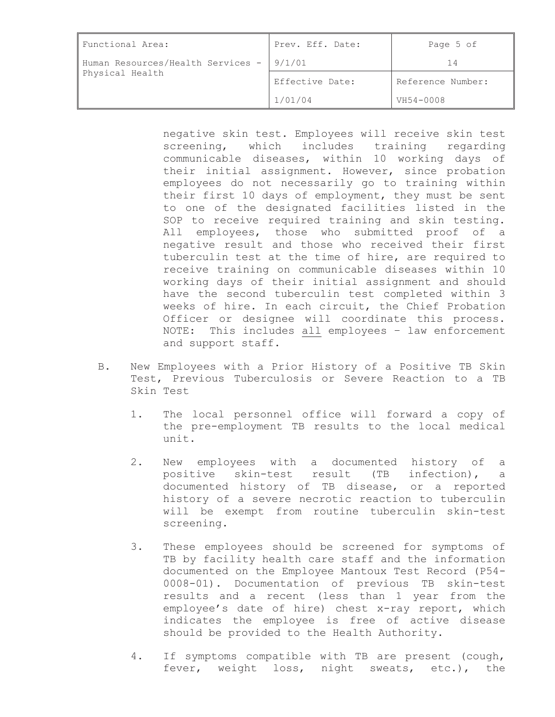| Functional Area:                                            | Prev. Eff. Date: | Page 5 of         |
|-------------------------------------------------------------|------------------|-------------------|
| Human Resources/Health Services - 9/1/01<br>Physical Health |                  |                   |
|                                                             | Effective Date:  | Reference Number: |
|                                                             | 1/01/04          | VH54-0008         |

negative skin test. Employees will receive skin test screening, which includes training regarding communicable diseases, within 10 working days of their initial assignment. However, since probation employees do not necessarily go to training within their first 10 days of employment, they must be sent to one of the designated facilities listed in the SOP to receive required training and skin testing. All employees, those who submitted proof of a negative result and those who received their first tuberculin test at the time of hire, are required to receive training on communicable diseases within 10 working days of their initial assignment and should have the second tuberculin test completed within 3 weeks of hire. In each circuit, the Chief Probation Officer or designee will coordinate this process. NOTE: This includes all employees – law enforcement and support staff.

- B. New Employees with a Prior History of a Positive TB Skin Test, Previous Tuberculosis or Severe Reaction to a TB Skin Test
	- 1. The local personnel office will forward a copy of the pre-employment TB results to the local medical unit.
	- 2. New employees with a documented history of a positive skin-test result (TB infection), a documented history of TB disease, or a reported history of a severe necrotic reaction to tuberculin will be exempt from routine tuberculin skin-test screening.
	- 3. These employees should be screened for symptoms of TB by facility health care staff and the information documented on the Employee Mantoux Test Record (P54- 0008-01). Documentation of previous TB skin-test results and a recent (less than 1 year from the employee's date of hire) chest x-ray report, which indicates the employee is free of active disease should be provided to the Health Authority.
	- 4. If symptoms compatible with TB are present (cough, fever, weight loss, night sweats, etc.), the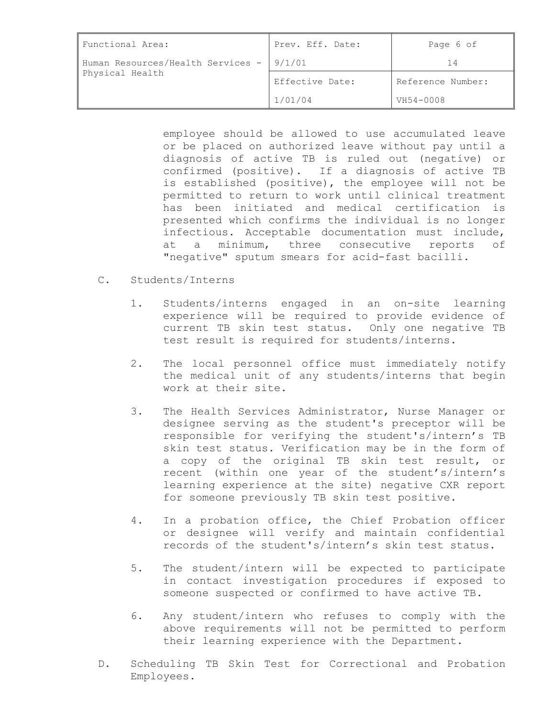| Functional Area:                                            | Prev. Eff. Date: | Page 6 of         |
|-------------------------------------------------------------|------------------|-------------------|
| Human Resources/Health Services - 9/1/01<br>Physical Health |                  |                   |
|                                                             | Effective Date:  | Reference Number: |
|                                                             | 1/01/04          | VH54-0008         |

employee should be allowed to use accumulated leave or be placed on authorized leave without pay until a diagnosis of active TB is ruled out (negative) or confirmed (positive). If a diagnosis of active TB is established (positive), the employee will not be permitted to return to work until clinical treatment has been initiated and medical certification is presented which confirms the individual is no longer infectious. Acceptable documentation must include, at a minimum, three consecutive reports of "negative" sputum smears for acid-fast bacilli.

- C. Students/Interns
	- 1. Students/interns engaged in an on-site learning experience will be required to provide evidence of current TB skin test status. Only one negative TB test result is required for students/interns.
	- 2. The local personnel office must immediately notify the medical unit of any students/interns that begin work at their site.
	- 3. The Health Services Administrator, Nurse Manager or designee serving as the student's preceptor will be responsible for verifying the student's/intern's TB skin test status. Verification may be in the form of a copy of the original TB skin test result, or recent (within one year of the student's/intern's learning experience at the site) negative CXR report for someone previously TB skin test positive.
	- 4. In a probation office, the Chief Probation officer or designee will verify and maintain confidential records of the student's/intern's skin test status.
	- 5. The student/intern will be expected to participate in contact investigation procedures if exposed to someone suspected or confirmed to have active TB.
	- 6. Any student/intern who refuses to comply with the above requirements will not be permitted to perform their learning experience with the Department.
- D. Scheduling TB Skin Test for Correctional and Probation Employees.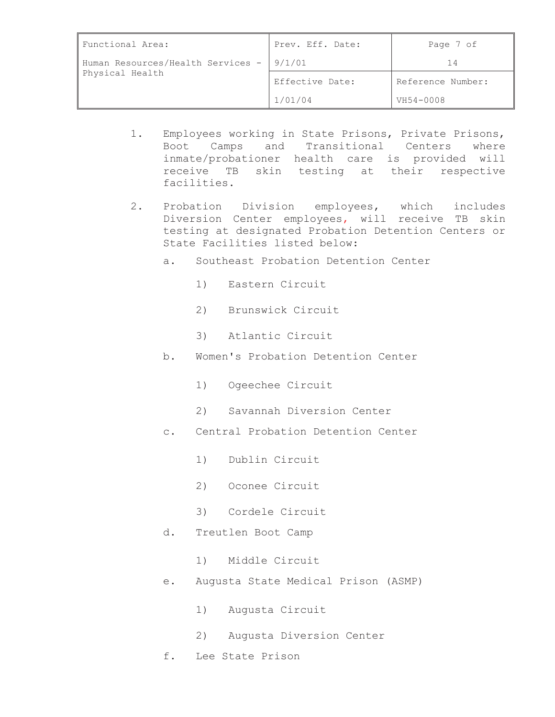| Functional Area:                                             | Prev. Eff. Date: | Page 7 of         |
|--------------------------------------------------------------|------------------|-------------------|
| Human Resources/Health Services - 19/1/01<br>Physical Health |                  | 14                |
|                                                              | Effective Date:  | Reference Number: |
|                                                              | 1/01/04          | VH54-0008         |

- 1. Employees working in State Prisons, Private Prisons, Boot Camps and Transitional Centers where inmate/probationer health care is provided will receive TB skin testing at their respective facilities.
- 2. Probation Division employees, which includes Diversion Center employees, will receive TB skin testing at designated Probation Detention Centers or State Facilities listed below:
	- a. Southeast Probation Detention Center
		- 1) Eastern Circuit
		- 2) Brunswick Circuit
		- 3) Atlantic Circuit
	- b. Women's Probation Detention Center
		- 1) Ogeechee Circuit
		- 2) Savannah Diversion Center
	- c. Central Probation Detention Center
		- 1) Dublin Circuit
		- 2) Oconee Circuit
		- 3) Cordele Circuit
	- d. Treutlen Boot Camp
		- 1) Middle Circuit
	- e. Augusta State Medical Prison (ASMP)
		- 1) Augusta Circuit
		- 2) Augusta Diversion Center
	- f. Lee State Prison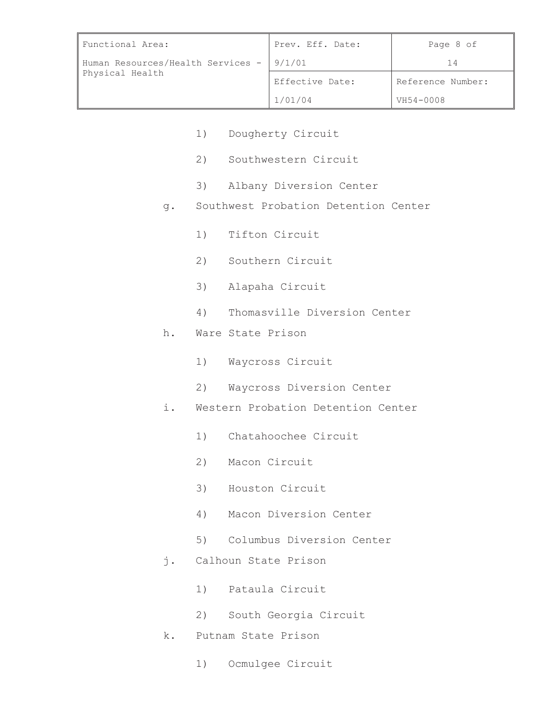| Functional Area:                                              | Prev. Eff. Date: | Page 8 of         |
|---------------------------------------------------------------|------------------|-------------------|
| Human Resources/Health Services -   9/1/01<br>Physical Health |                  |                   |
|                                                               | Effective Date:  | Reference Number: |
|                                                               | 1/01/04          | VH54-0008         |

- 1) Dougherty Circuit
- 2) Southwestern Circuit
- 3) Albany Diversion Center
- g. Southwest Probation Detention Center
	- 1) Tifton Circuit
	- 2) Southern Circuit
	- 3) Alapaha Circuit
	- 4) Thomasville Diversion Center
- h. Ware State Prison
	- 1) Waycross Circuit
	- 2) Waycross Diversion Center
- i. Western Probation Detention Center
	- 1) Chatahoochee Circuit
	- 2) Macon Circuit
	- 3) Houston Circuit
	- 4) Macon Diversion Center
	- 5) Columbus Diversion Center
- j. Calhoun State Prison
	- 1) Pataula Circuit
	- 2) South Georgia Circuit
- k. Putnam State Prison
	- 1) Ocmulgee Circuit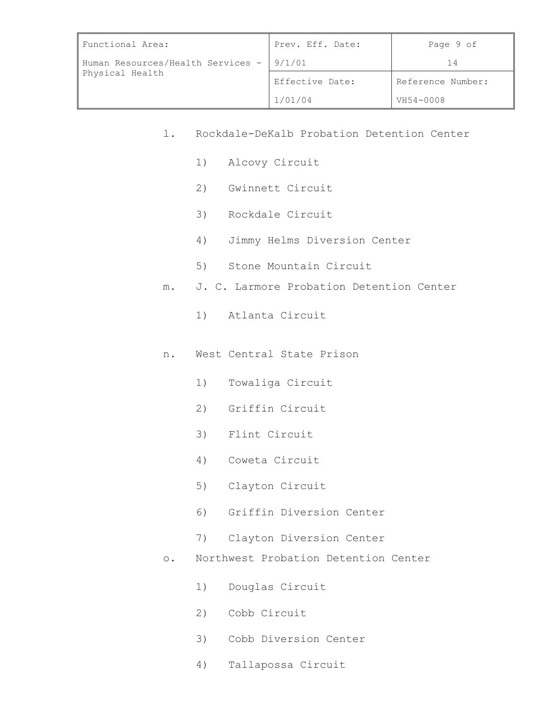| Functional Area:                                              | Prev. Eff. Date: | Page 9 of         |
|---------------------------------------------------------------|------------------|-------------------|
| Human Resources/Health Services -   9/1/01<br>Physical Health |                  | 14                |
|                                                               | Effective Date:  | Reference Number: |
|                                                               | 1/01/04          | VH54-0008         |

- l. Rockdale-DeKalb Probation Detention Center
	- 1) Alcovy Circuit
	- 2) Gwinnett Circuit
	- 3) Rockdale Circuit
	- 4) Jimmy Helms Diversion Center
	- 5) Stone Mountain Circuit
- m. J. C. Larmore Probation Detention Center
	- 1) Atlanta Circuit
- n. West Central State Prison
	- 1) Towaliga Circuit
	- 2) Griffin Circuit
	- 3) Flint Circuit
	- 4) Coweta Circuit
	- 5) Clayton Circuit
	- 6) Griffin Diversion Center
	- 7) Clayton Diversion Center
- o. Northwest Probation Detention Center
	- 1) Douglas Circuit
	- 2) Cobb Circuit
	- 3) Cobb Diversion Center
	- 4) Tallapossa Circuit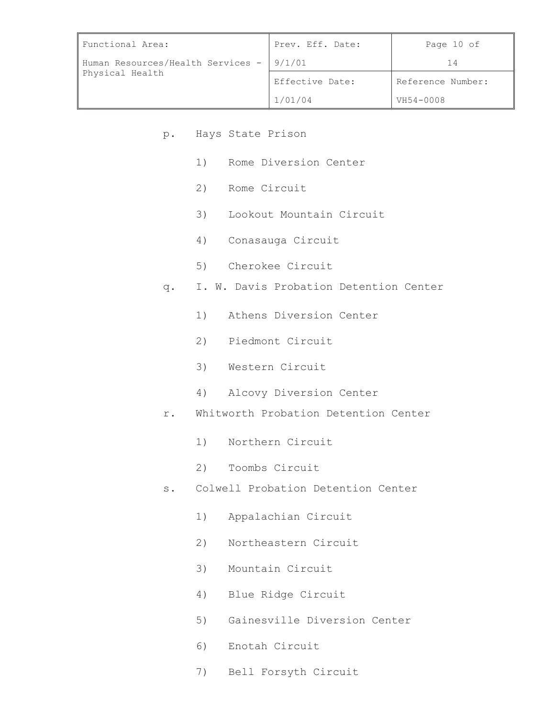| Functional Area:                                            | Prev. Eff. Date: | Page 10 of        |
|-------------------------------------------------------------|------------------|-------------------|
| Human Resources/Health Services - 9/1/01<br>Physical Health |                  | 14                |
|                                                             | Effective Date:  | Reference Number: |
|                                                             | 1/01/04          | VH54-0008         |

- p. Hays State Prison
	- 1) Rome Diversion Center
	- 2) Rome Circuit
	- 3) Lookout Mountain Circuit
	- 4) Conasauga Circuit
	- 5) Cherokee Circuit
- q. I. W. Davis Probation Detention Center
	- 1) Athens Diversion Center
	- 2) Piedmont Circuit
	- 3) Western Circuit
	- 4) Alcovy Diversion Center
- r. Whitworth Probation Detention Center
	- 1) Northern Circuit
	- 2) Toombs Circuit
- s. Colwell Probation Detention Center
	- 1) Appalachian Circuit
	- 2) Northeastern Circuit
	- 3) Mountain Circuit
	- 4) Blue Ridge Circuit
	- 5) Gainesville Diversion Center
	- 6) Enotah Circuit
	- 7) Bell Forsyth Circuit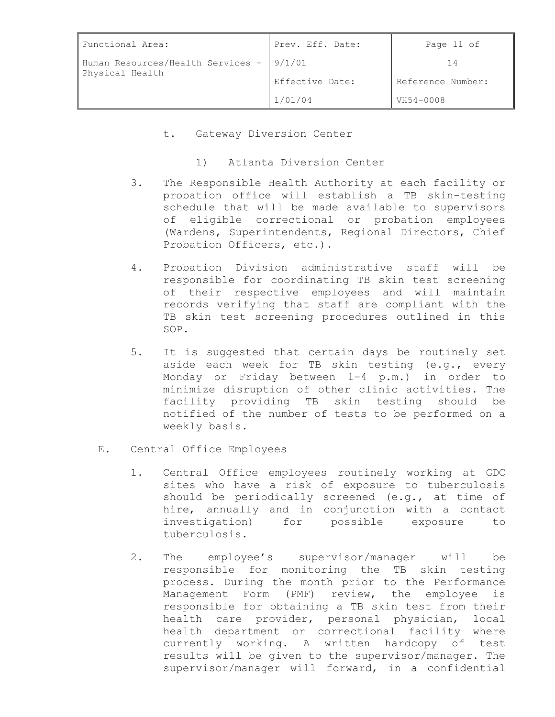| Functional Area:                                             | Prev. Eff. Date: | Page 11 of        |
|--------------------------------------------------------------|------------------|-------------------|
| Human Resources/Health Services - 19/1/01<br>Physical Health |                  | 14                |
|                                                              | Effective Date:  | Reference Number: |
|                                                              | 1/01/04          | VH54-0008         |

t. Gateway Diversion Center

1) Atlanta Diversion Center

- 3. The Responsible Health Authority at each facility or probation office will establish a TB skin-testing schedule that will be made available to supervisors of eligible correctional or probation employees (Wardens, Superintendents, Regional Directors, Chief Probation Officers, etc.).
- 4. Probation Division administrative staff will be responsible for coordinating TB skin test screening of their respective employees and will maintain records verifying that staff are compliant with the TB skin test screening procedures outlined in this SOP.
- 5. It is suggested that certain days be routinely set aside each week for TB skin testing (e.g., every Monday or Friday between 1-4 p.m.) in order to minimize disruption of other clinic activities. The facility providing TB skin testing should be notified of the number of tests to be performed on a weekly basis.
- E. Central Office Employees
	- 1. Central Office employees routinely working at GDC sites who have a risk of exposure to tuberculosis should be periodically screened (e.g., at time of hire, annually and in conjunction with a contact investigation) for possible exposure to tuberculosis.
	- 2. The employee's supervisor/manager will be responsible for monitoring the TB skin testing process. During the month prior to the Performance Management Form (PMF) review, the employee is responsible for obtaining a TB skin test from their health care provider, personal physician, local health department or correctional facility where currently working. A written hardcopy of test results will be given to the supervisor/manager. The supervisor/manager will forward, in a confidential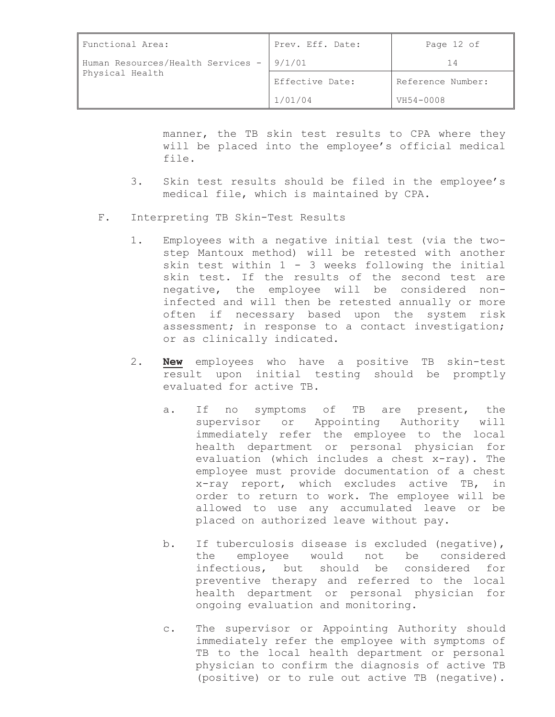| Functional Area:                                     | Prev. Eff. Date: | Page 12 of        |
|------------------------------------------------------|------------------|-------------------|
| Human Resources/Health Services -<br>Physical Health | 9/1/01           |                   |
|                                                      | Effective Date:  | Reference Number: |
|                                                      | 1/01/04          | VH54-0008         |

manner, the TB skin test results to CPA where they will be placed into the employee's official medical file.

- 3. Skin test results should be filed in the employee's medical file, which is maintained by CPA.
- F. Interpreting TB Skin-Test Results
	- 1. Employees with a negative initial test (via the twostep Mantoux method) will be retested with another skin test within  $1 - 3$  weeks following the initial skin test. If the results of the second test are negative, the employee will be considered noninfected and will then be retested annually or more often if necessary based upon the system risk assessment; in response to a contact investigation; or as clinically indicated.
	- 2. **New** employees who have a positive TB skin-test result upon initial testing should be promptly evaluated for active TB.
		- a. If no symptoms of TB are present, the supervisor or Appointing Authority will immediately refer the employee to the local health department or personal physician for evaluation (which includes a chest x-ray). The employee must provide documentation of a chest x-ray report, which excludes active TB, in order to return to work. The employee will be allowed to use any accumulated leave or be placed on authorized leave without pay.
		- b. If tuberculosis disease is excluded (negative), the employee would not be considered infectious, but should be considered for preventive therapy and referred to the local health department or personal physician for ongoing evaluation and monitoring.
		- c. The supervisor or Appointing Authority should immediately refer the employee with symptoms of TB to the local health department or personal physician to confirm the diagnosis of active TB (positive) or to rule out active TB (negative).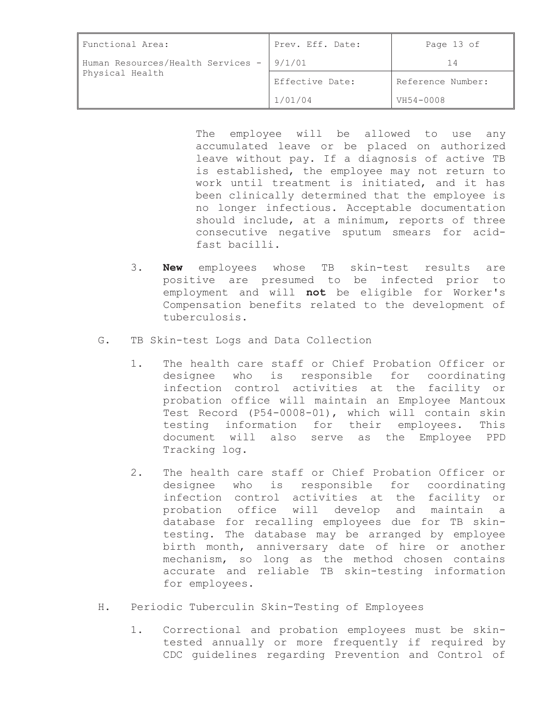| Functional Area:                                             | Prev. Eff. Date: | Page 13 of        |
|--------------------------------------------------------------|------------------|-------------------|
| Human Resources/Health Services - 19/1/01<br>Physical Health |                  |                   |
|                                                              | Effective Date:  | Reference Number: |
|                                                              | 1/01/04          | VH54-0008         |

The employee will be allowed to use any accumulated leave or be placed on authorized leave without pay. If a diagnosis of active TB is established, the employee may not return to work until treatment is initiated, and it has been clinically determined that the employee is no longer infectious. Acceptable documentation should include, at a minimum, reports of three consecutive negative sputum smears for acidfast bacilli.

- 3. **New** employees whose TB skin-test results are positive are presumed to be infected prior to employment and will **not** be eligible for Worker's Compensation benefits related to the development of tuberculosis.
- G. TB Skin-test Logs and Data Collection
	- 1. The health care staff or Chief Probation Officer or designee who is responsible for coordinating infection control activities at the facility or probation office will maintain an Employee Mantoux Test Record (P54-0008-01), which will contain skin testing information for their employees. This document will also serve as the Employee PPD Tracking log.
	- 2. The health care staff or Chief Probation Officer or designee who is responsible for coordinating infection control activities at the facility or probation office will develop and maintain a database for recalling employees due for TB skintesting. The database may be arranged by employee birth month, anniversary date of hire or another mechanism, so long as the method chosen contains accurate and reliable TB skin-testing information for employees.
- H. Periodic Tuberculin Skin-Testing of Employees
	- 1. Correctional and probation employees must be skintested annually or more frequently if required by CDC guidelines regarding Prevention and Control of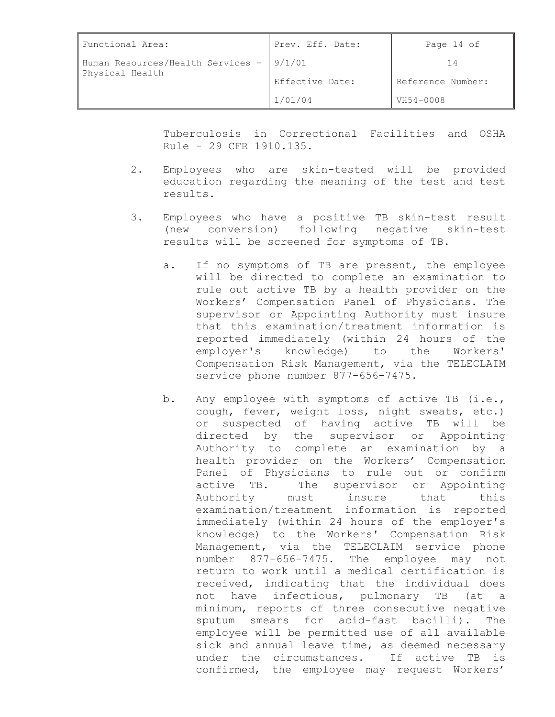| Functional Area:                                     | Prev. Eff. Date: | Page 14 of        |
|------------------------------------------------------|------------------|-------------------|
| Human Resources/Health Services -<br>Physical Health | 9/1/01           |                   |
|                                                      | Effective Date:  | Reference Number: |
|                                                      | 1/01/04          | VH54-0008         |

Tuberculosis in Correctional Facilities and OSHA Rule - 29 CFR 1910.135.

- 2. Employees who are skin-tested will be provided education regarding the meaning of the test and test results.
- 3. Employees who have a positive TB skin-test result (new conversion) following negative skin-test results will be screened for symptoms of TB.
	- a. If no symptoms of TB are present, the employee will be directed to complete an examination to rule out active TB by a health provider on the Workers' Compensation Panel of Physicians. The supervisor or Appointing Authority must insure that this examination/treatment information is reported immediately (within 24 hours of the employer's knowledge) to the Workers' Compensation Risk Management, via the TELECLAIM service phone number 877-656-7475.
	- b. Any employee with symptoms of active TB (i.e., cough, fever, weight loss, night sweats, etc.) or suspected of having active TB will be directed by the supervisor or Appointing Authority to complete an examination by a health provider on the Workers' Compensation Panel of Physicians to rule out or confirm active TB. The supervisor or Appointing Authority must insure that this examination/treatment information is reported immediately (within 24 hours of the employer's knowledge) to the Workers' Compensation Risk Management, via the TELECLAIM service phone number 877-656-7475. The employee may not return to work until a medical certification is received, indicating that the individual does not have infectious, pulmonary TB (at a minimum, reports of three consecutive negative sputum smears for acid-fast bacilli). The employee will be permitted use of all available sick and annual leave time, as deemed necessary under the circumstances. If active TB is confirmed, the employee may request Workers'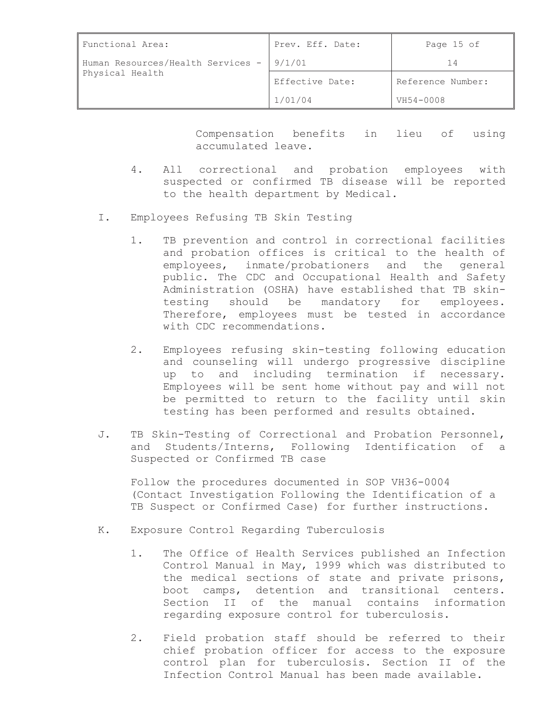| Functional Area:                                            | Prev. Eff. Date: | Page 15 of        |
|-------------------------------------------------------------|------------------|-------------------|
| Human Resources/Health Services - 9/1/01<br>Physical Health |                  |                   |
|                                                             | Effective Date:  | Reference Number: |
|                                                             | 1/01/04          | VH54-0008         |

Compensation benefits in lieu of using accumulated leave.

- 4. All correctional and probation employees with suspected or confirmed TB disease will be reported to the health department by Medical.
- I. Employees Refusing TB Skin Testing
	- 1. TB prevention and control in correctional facilities and probation offices is critical to the health of employees, inmate/probationers and the general public. The CDC and Occupational Health and Safety Administration (OSHA) have established that TB skintesting should be mandatory for employees. Therefore, employees must be tested in accordance with CDC recommendations.
	- 2. Employees refusing skin-testing following education and counseling will undergo progressive discipline up to and including termination if necessary. Employees will be sent home without pay and will not be permitted to return to the facility until skin testing has been performed and results obtained.
- J. TB Skin-Testing of Correctional and Probation Personnel, and Students/Interns, Following Identification of a Suspected or Confirmed TB case

Follow the procedures documented in SOP VH36-0004 (Contact Investigation Following the Identification of a TB Suspect or Confirmed Case) for further instructions.

- K. Exposure Control Regarding Tuberculosis
	- 1. The Office of Health Services published an Infection Control Manual in May, 1999 which was distributed to the medical sections of state and private prisons, boot camps, detention and transitional centers. Section II of the manual contains information regarding exposure control for tuberculosis.
	- 2. Field probation staff should be referred to their chief probation officer for access to the exposure control plan for tuberculosis. Section II of the Infection Control Manual has been made available.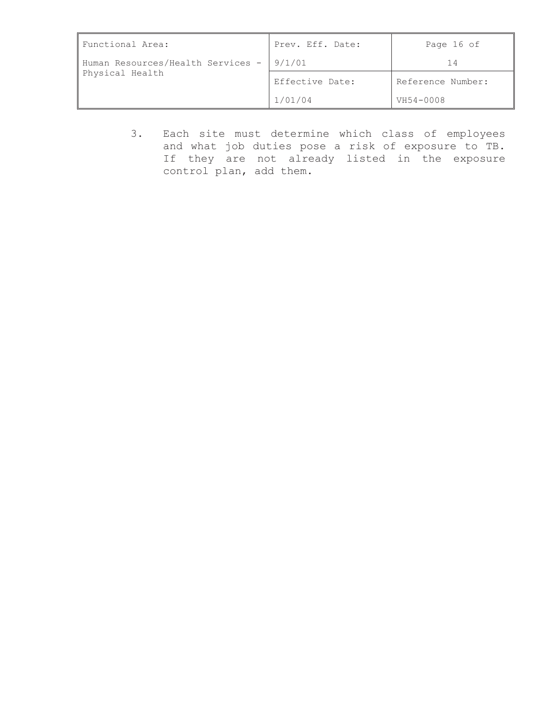| Functional Area:                                              | Prev. Eff. Date: | Page 16 of        |
|---------------------------------------------------------------|------------------|-------------------|
| Human Resources/Health Services -   9/1/01<br>Physical Health |                  | 14                |
|                                                               | Effective Date:  | Reference Number: |
|                                                               | 1/01/04          | VH54-0008         |

3. Each site must determine which class of employees and what job duties pose a risk of exposure to TB. If they are not already listed in the exposure control plan, add them.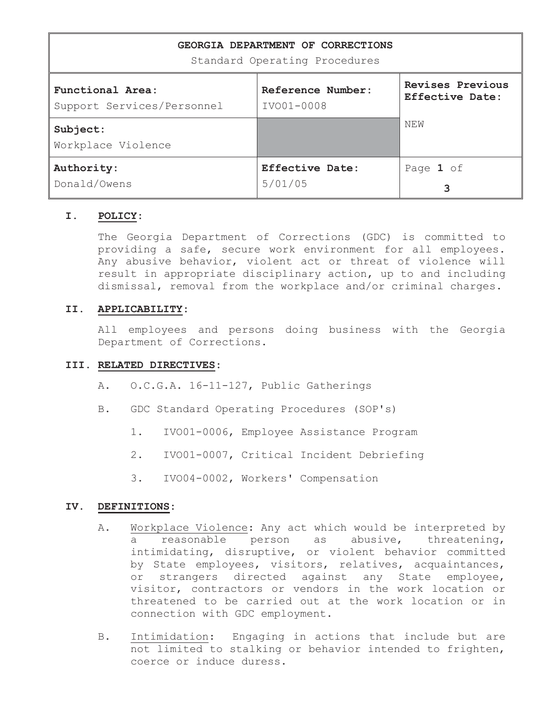| GEORGIA DEPARTMENT OF CORRECTIONS<br>Standard Operating Procedures |                        |                  |
|--------------------------------------------------------------------|------------------------|------------------|
| Functional Area:                                                   | Reference Number:      | Revises Previous |
| Support Services/Personnel                                         | IVO01-0008             | Effective Date:  |
| Subject:<br>Workplace Violence                                     |                        | NEW              |
| Authority:                                                         | <b>Effective Date:</b> | Page 1 of        |
| Donald/Owens                                                       | 5/01/05                | 3                |

# **I. POLICY:**

The Georgia Department of Corrections (GDC) is committed to providing a safe, secure work environment for all employees. Any abusive behavior, violent act or threat of violence will result in appropriate disciplinary action, up to and including dismissal, removal from the workplace and/or criminal charges.

# **II. APPLICABILITY:**

All employees and persons doing business with the Georgia Department of Corrections.

# **III. RELATED DIRECTIVES:**

- A. O.C.G.A. 16-11-127, Public Gatherings
- B. GDC Standard Operating Procedures (SOP's)
	- 1. IVO01-0006, Employee Assistance Program
	- 2. IVO01-0007, Critical Incident Debriefing
	- 3. IVO04-0002, Workers' Compensation

# **IV. DEFINITIONS:**

- A. Workplace Violence: Any act which would be interpreted by a reasonable person as abusive, threatening, intimidating, disruptive, or violent behavior committed by State employees, visitors, relatives, acquaintances, or strangers directed against any State employee, visitor, contractors or vendors in the work location or threatened to be carried out at the work location or in connection with GDC employment.
- B. Intimidation: Engaging in actions that include but are not limited to stalking or behavior intended to frighten, coerce or induce duress.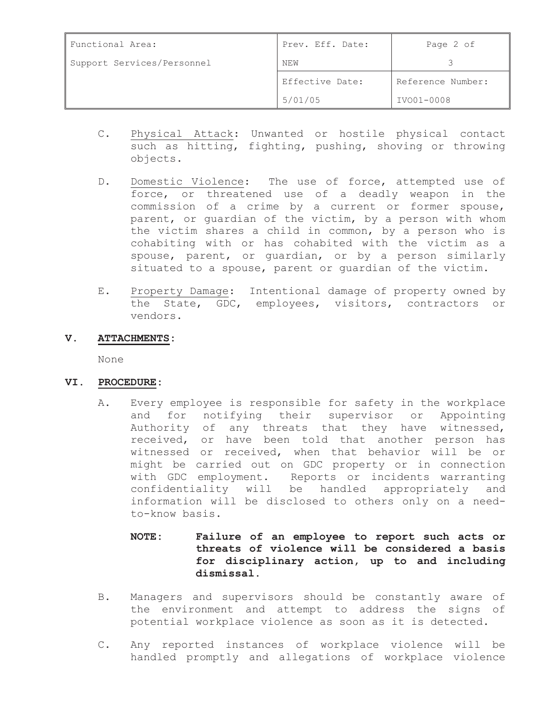| Functional Area:           | Prev. Eff. Date: | Page 2 of         |
|----------------------------|------------------|-------------------|
| Support Services/Personnel | NEW              |                   |
|                            | Effective Date:  | Reference Number: |
|                            | 5/01/05          | IVO01-0008        |

- C. Physical Attack: Unwanted or hostile physical contact such as hitting, fighting, pushing, shoving or throwing objects.
- D. Domestic Violence: The use of force, attempted use of force, or threatened use of a deadly weapon in the commission of a crime by a current or former spouse, parent, or guardian of the victim, by a person with whom the victim shares a child in common, by a person who is cohabiting with or has cohabited with the victim as a spouse, parent, or guardian, or by a person similarly situated to a spouse, parent or guardian of the victim.
- E. Property Damage: Intentional damage of property owned by the State, GDC, employees, visitors, contractors or vendors.
- **V. ATTACHMENTS:**

None

# **VI. PROCEDURE:**

- A. Every employee is responsible for safety in the workplace and for notifying their supervisor or Appointing Authority of any threats that they have witnessed, received, or have been told that another person has witnessed or received, when that behavior will be or might be carried out on GDC property or in connection with GDC employment. Reports or incidents warranting confidentiality will be handled appropriately and information will be disclosed to others only on a needto-know basis.
	- **NOTE: Failure of an employee to report such acts or threats of violence will be considered a basis for disciplinary action, up to and including dismissal.**
- B. Managers and supervisors should be constantly aware of the environment and attempt to address the signs of potential workplace violence as soon as it is detected.
- C. Any reported instances of workplace violence will be handled promptly and allegations of workplace violence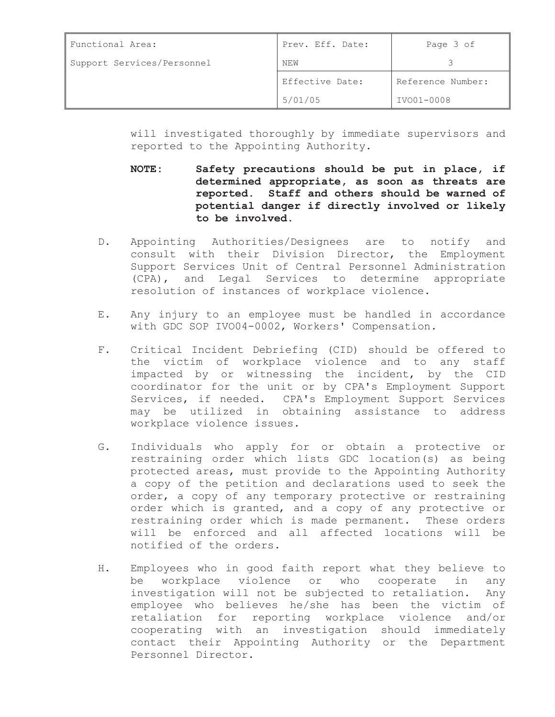| Functional Area:           | Prev. Eff. Date: | Page 3 of         |
|----------------------------|------------------|-------------------|
| Support Services/Personnel | NEW              |                   |
|                            | Effective Date:  | Reference Number: |
|                            | 5/01/05          | IVO01-0008        |

will investigated thoroughly by immediate supervisors and reported to the Appointing Authority.

- **NOTE: Safety precautions should be put in place, if determined appropriate, as soon as threats are reported. Staff and others should be warned of potential danger if directly involved or likely to be involved.**
- D. Appointing Authorities/Designees are to notify and consult with their Division Director, the Employment Support Services Unit of Central Personnel Administration (CPA), and Legal Services to determine appropriate resolution of instances of workplace violence.
- E. Any injury to an employee must be handled in accordance with GDC SOP IVO04-0002, Workers' Compensation.
- F. Critical Incident Debriefing (CID) should be offered to the victim of workplace violence and to any staff impacted by or witnessing the incident, by the CID coordinator for the unit or by CPA's Employment Support Services, if needed. CPA's Employment Support Services may be utilized in obtaining assistance to address workplace violence issues.
- G. Individuals who apply for or obtain a protective or restraining order which lists GDC location(s) as being protected areas, must provide to the Appointing Authority a copy of the petition and declarations used to seek the order, a copy of any temporary protective or restraining order which is granted, and a copy of any protective or restraining order which is made permanent. These orders will be enforced and all affected locations will be notified of the orders.
- H. Employees who in good faith report what they believe to be workplace violence or who cooperate in any investigation will not be subjected to retaliation. Any employee who believes he/she has been the victim of retaliation for reporting workplace violence and/or cooperating with an investigation should immediately contact their Appointing Authority or the Department Personnel Director.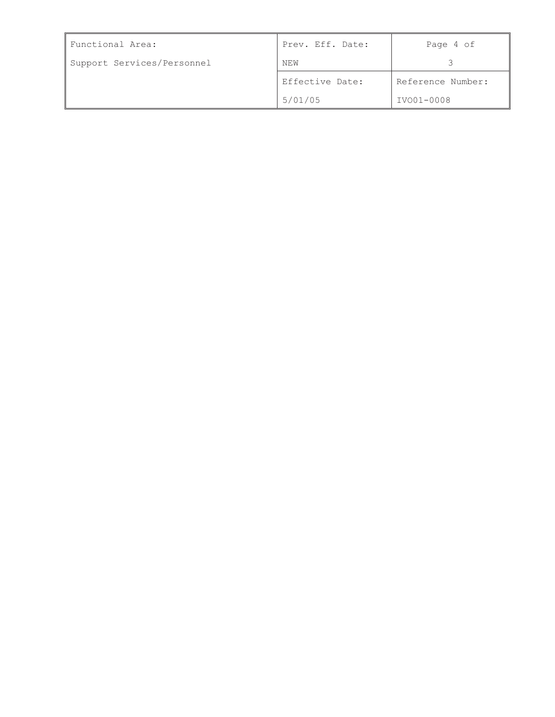| Functional Area:           | Prev. Eff. Date: | Page 4 of         |
|----------------------------|------------------|-------------------|
| Support Services/Personnel | NEW              |                   |
|                            | Effective Date:  | Reference Number: |
|                            | 5/01/05          | IVO01-0008        |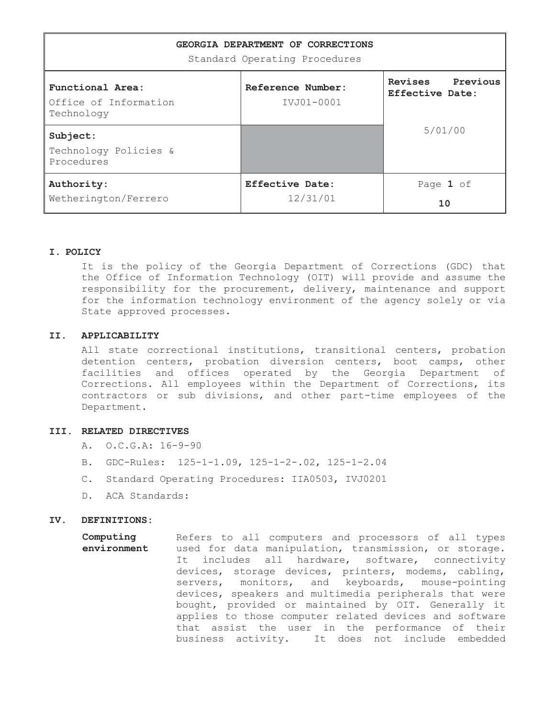| GEORGIA DEPARTMENT OF CORRECTIONS<br>Standard Operating Procedures |                                 |                                        |  |
|--------------------------------------------------------------------|---------------------------------|----------------------------------------|--|
| Functional Area:<br>Office of Information<br>Technology            | Reference Number:<br>IVJ01-0001 | Revises<br>Previous<br>Effective Date: |  |
| Subject:<br>Technology Policies &<br>Procedures                    |                                 | 5/01/00                                |  |
| Authority:<br>Wetherington/Ferrero                                 | Effective Date:<br>12/31/01     | Page 1 of<br>10                        |  |

### **I. POLICY**

It is the policy of the Georgia Department of Corrections (GDC) that the Office of Information Technology (OIT) will provide and assume the responsibility for the procurement, delivery, maintenance and support for the information technology environment of the agency solely or via State approved processes.

### **II. APPLICABILITY**

All state correctional institutions, transitional centers, probation detention centers, probation diversion centers, boot camps, other facilities and offices operated by the Georgia Department of Corrections. All employees within the Department of Corrections, its contractors or sub divisions, and other part-time employees of the Department.

### **III. RELATED DIRECTIVES**

- A. O.C.G.A: 16-9-90
- B. GDC-Rules: 125-1-1.09, 125-1-2-.02, 125-1-2.04
- C. Standard Operating Procedures: IIA0503, IVJ0201
- D. ACA Standards:

#### **IV. DEFINITIONS:**

**Computing environment**  Refers to all computers and processors of all types used for data manipulation, transmission, or storage. It includes all hardware, software, connectivity devices, storage devices, printers, modems, cabling, servers, monitors, and keyboards, mouse-pointing devices, speakers and multimedia peripherals that were bought, provided or maintained by OIT. Generally it applies to those computer related devices and software that assist the user in the performance of their business activity. It does not include embedded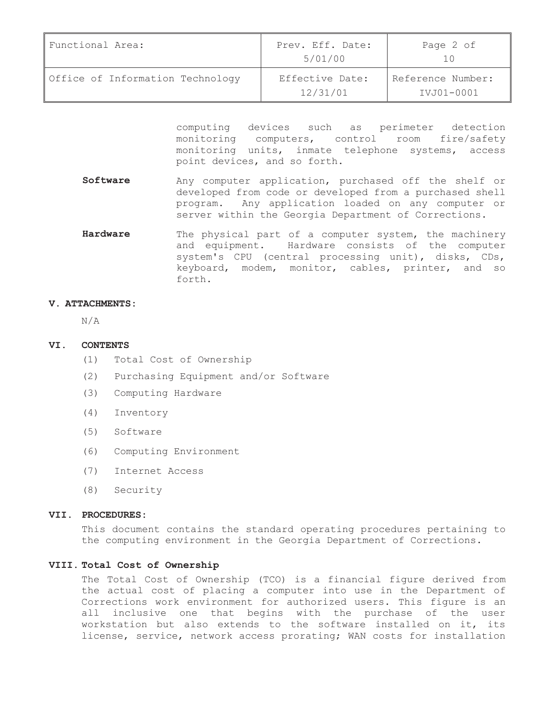| Functional Area:                 | Prev. Eff. Date:<br>5/01/00 | Page 2 of                       |
|----------------------------------|-----------------------------|---------------------------------|
| Office of Information Technology | Effective Date:<br>12/31/01 | Reference Number:<br>IVJ01-0001 |

computing devices such as perimeter detection monitoring computers, control room fire/safety monitoring units, inmate telephone systems, access point devices, and so forth.

- **Software** Any computer application, purchased off the shelf or developed from code or developed from a purchased shell program. Any application loaded on any computer or server within the Georgia Department of Corrections.
- Hardware The physical part of a computer system, the machinery and equipment. Hardware consists of the computer system's CPU (central processing unit), disks, CDs, keyboard, modem, monitor, cables, printer, and so forth.

### **V. ATTACHMENTS:**

N/A

#### **VI. CONTENTS**

- (1) Total Cost of Ownership
- (2) Purchasing Equipment and/or Software
- (3) Computing Hardware
- (4) Inventory
- (5) Software
- (6) Computing Environment
- (7) Internet Access
- (8) Security

#### **VII. PROCEDURES:**

This document contains the standard operating procedures pertaining to the computing environment in the Georgia Department of Corrections.

# **VIII. Total Cost of Ownership**

The Total Cost of Ownership (TCO) is a financial figure derived from the actual cost of placing a computer into use in the Department of Corrections work environment for authorized users. This figure is an all inclusive one that begins with the purchase of the user workstation but also extends to the software installed on it, its license, service, network access prorating; WAN costs for installation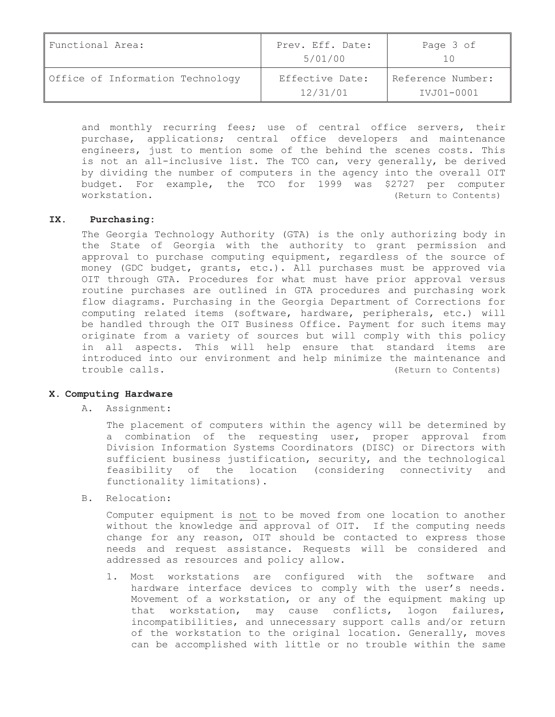| Functional Area:                 | Prev. Eff. Date:<br>5/01/00 | Page 3 of                       |
|----------------------------------|-----------------------------|---------------------------------|
| Office of Information Technology | Effective Date:<br>12/31/01 | Reference Number:<br>IVJ01-0001 |

and monthly recurring fees; use of central office servers, their purchase, applications; central office developers and maintenance engineers, just to mention some of the behind the scenes costs. This is not an all-inclusive list. The TCO can, very generally, be derived by dividing the number of computers in the agency into the overall OIT budget. For example, the TCO for 1999 was \$2727 per computer workstation.  $(Return to Contents)$ 

## **IX. Purchasing:**

The Georgia Technology Authority (GTA) is the only authorizing body in the State of Georgia with the authority to grant permission and approval to purchase computing equipment, regardless of the source of money (GDC budget, grants, etc.). All purchases must be approved via OIT through GTA. Procedures for what must have prior approval versus routine purchases are outlined in GTA procedures and purchasing work flow diagrams. Purchasing in the Georgia Department of Corrections for computing related items (software, hardware, peripherals, etc.) will be handled through the OIT Business Office. Payment for such items may originate from a variety of sources but will comply with this policy in all aspects. This will help ensure that standard items are introduced into our environment and help minimize the maintenance and trouble calls.  $(Return to Contents)$ 

#### **X. Computing Hardware**

A. Assignment:

The placement of computers within the agency will be determined by a combination of the requesting user, proper approval from Division Information Systems Coordinators (DISC) or Directors with sufficient business justification, security, and the technological feasibility of the location (considering connectivity and functionality limitations).

B. Relocation:

Computer equipment is not to be moved from one location to another without the knowledge and approval of OIT. If the computing needs change for any reason, OIT should be contacted to express those needs and request assistance. Requests will be considered and addressed as resources and policy allow.

1. Most workstations are configured with the software and hardware interface devices to comply with the user's needs. Movement of a workstation, or any of the equipment making up that workstation, may cause conflicts, logon failures, incompatibilities, and unnecessary support calls and/or return of the workstation to the original location. Generally, moves can be accomplished with little or no trouble within the same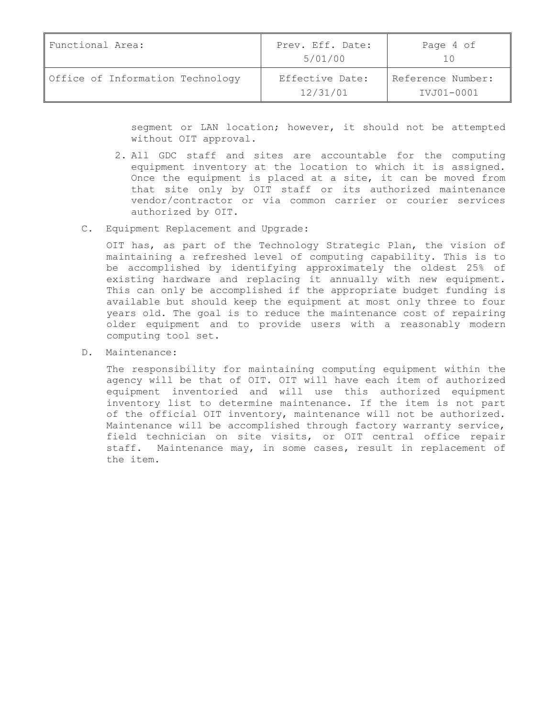| Functional Area:                 | Prev. Eff. Date:<br>5/01/00 | Page 4 of                       |
|----------------------------------|-----------------------------|---------------------------------|
| Office of Information Technology | Effective Date:<br>12/31/01 | Reference Number:<br>IVJ01-0001 |

segment or LAN location; however, it should not be attempted without OIT approval.

- 2. All GDC staff and sites are accountable for the computing equipment inventory at the location to which it is assigned. Once the equipment is placed at a site, it can be moved from that site only by OIT staff or its authorized maintenance vendor/contractor or via common carrier or courier services authorized by OIT.
- C. Equipment Replacement and Upgrade:

OIT has, as part of the Technology Strategic Plan, the vision of maintaining a refreshed level of computing capability. This is to be accomplished by identifying approximately the oldest 25% of existing hardware and replacing it annually with new equipment. This can only be accomplished if the appropriate budget funding is available but should keep the equipment at most only three to four years old. The goal is to reduce the maintenance cost of repairing older equipment and to provide users with a reasonably modern computing tool set.

D. Maintenance:

The responsibility for maintaining computing equipment within the agency will be that of OIT. OIT will have each item of authorized equipment inventoried and will use this authorized equipment inventory list to determine maintenance. If the item is not part of the official OIT inventory, maintenance will not be authorized. Maintenance will be accomplished through factory warranty service, field technician on site visits, or OIT central office repair staff. Maintenance may, in some cases, result in replacement of the item.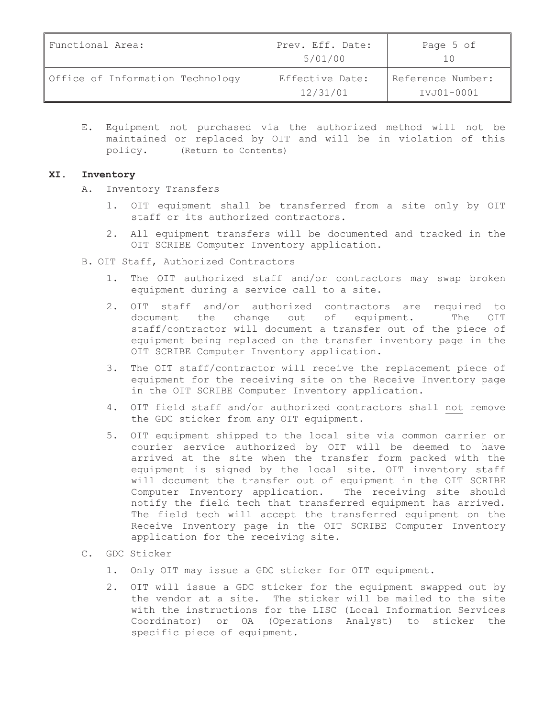| Functional Area:                 | Prev. Eff. Date:<br>5/01/00 | Page 5 of                       |
|----------------------------------|-----------------------------|---------------------------------|
| Office of Information Technology | Effective Date:<br>12/31/01 | Reference Number:<br>IVJ01-0001 |

E. Equipment not purchased via the authorized method will not be maintained or replaced by OIT and will be in violation of this policy. (Return to Contents)

## **XI. Inventory**

- A. Inventory Transfers
	- OIT equipment shall be transferred from a site only by OIT staff or its authorized contractors.
	- 2. All equipment transfers will be documented and tracked in the OIT SCRIBE Computer Inventory application.
- B. OIT Staff, Authorized Contractors
	- 1. The OIT authorized staff and/or contractors may swap broken equipment during a service call to a site.
	- 2. OIT staff and/or authorized contractors are required to document the change out of equipment. The OIT staff/contractor will document a transfer out of the piece of equipment being replaced on the transfer inventory page in the OIT SCRIBE Computer Inventory application.
	- 3. The OIT staff/contractor will receive the replacement piece of equipment for the receiving site on the Receive Inventory page in the OIT SCRIBE Computer Inventory application.
	- 4. OIT field staff and/or authorized contractors shall not remove the GDC sticker from any OIT equipment.
	- 5. OIT equipment shipped to the local site via common carrier or courier service authorized by OIT will be deemed to have arrived at the site when the transfer form packed with the equipment is signed by the local site. OIT inventory staff will document the transfer out of equipment in the OIT SCRIBE Computer Inventory application. The receiving site should notify the field tech that transferred equipment has arrived. The field tech will accept the transferred equipment on the Receive Inventory page in the OIT SCRIBE Computer Inventory application for the receiving site.
- C. GDC Sticker
	- 1. Only OIT may issue a GDC sticker for OIT equipment.
	- 2. OIT will issue a GDC sticker for the equipment swapped out by the vendor at a site. The sticker will be mailed to the site with the instructions for the LISC (Local Information Services Coordinator) or OA (Operations Analyst) to sticker the specific piece of equipment.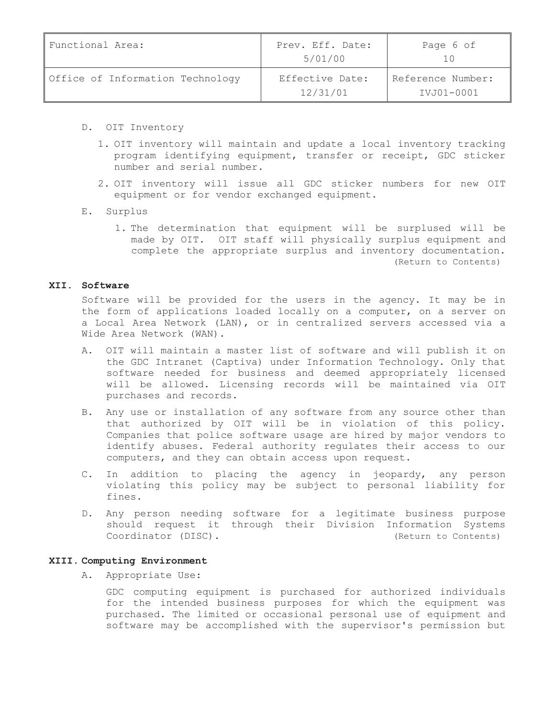| Functional Area:                 | Prev. Eff. Date:<br>5/01/00 | Page 6 of                       |
|----------------------------------|-----------------------------|---------------------------------|
| Office of Information Technology | Effective Date:<br>12/31/01 | Reference Number:<br>IVJ01-0001 |

- D. OIT Inventory
	- 1. OIT inventory will maintain and update a local inventory tracking program identifying equipment, transfer or receipt, GDC sticker number and serial number.
	- 2. OIT inventory will issue all GDC sticker numbers for new OIT equipment or for vendor exchanged equipment.
- E. Surplus
	- 1. The determination that equipment will be surplused will be made by OIT. OIT staff will physically surplus equipment and complete the appropriate surplus and inventory documentation. (Return to Contents)

## **XII. Software**

Software will be provided for the users in the agency. It may be in the form of applications loaded locally on a computer, on a server on a Local Area Network (LAN), or in centralized servers accessed via a Wide Area Network (WAN).

- A. OIT will maintain a master list of software and will publish it on the GDC Intranet (Captiva) under Information Technology. Only that software needed for business and deemed appropriately licensed will be allowed. Licensing records will be maintained via OIT purchases and records.
- B. Any use or installation of any software from any source other than that authorized by OIT will be in violation of this policy. Companies that police software usage are hired by major vendors to identify abuses. Federal authority regulates their access to our computers, and they can obtain access upon request.
- C. In addition to placing the agency in jeopardy, any person violating this policy may be subject to personal liability for fines.
- D. Any person needing software for a legitimate business purpose should request it through their Division Information Systems Coordinator (DISC). (Return to Contents)

## **XIII. Computing Environment**

A. Appropriate Use:

GDC computing equipment is purchased for authorized individuals for the intended business purposes for which the equipment was purchased. The limited or occasional personal use of equipment and software may be accomplished with the supervisor's permission but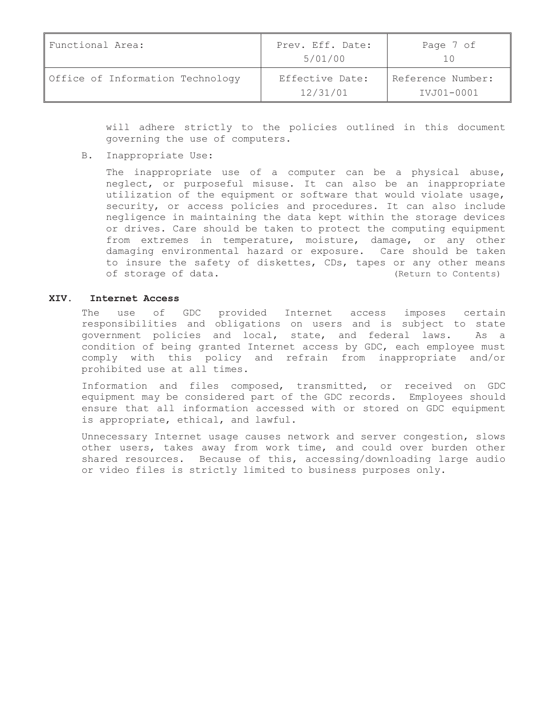| Functional Area:                 | Prev. Eff. Date:<br>5/01/00 | Page 7 of                       |
|----------------------------------|-----------------------------|---------------------------------|
| Office of Information Technology | Effective Date:<br>12/31/01 | Reference Number:<br>IVJ01-0001 |

will adhere strictly to the policies outlined in this document governing the use of computers.

B. Inappropriate Use:

The inappropriate use of a computer can be a physical abuse, neglect, or purposeful misuse. It can also be an inappropriate utilization of the equipment or software that would violate usage, security, or access policies and procedures. It can also include negligence in maintaining the data kept within the storage devices or drives. Care should be taken to protect the computing equipment from extremes in temperature, moisture, damage, or any other damaging environmental hazard or exposure. Care should be taken to insure the safety of diskettes, CDs, tapes or any other means of storage of data. (Return to Contents)

#### **XIV. Internet Access**

The use of GDC provided Internet access imposes certain responsibilities and obligations on users and is subject to state government policies and local, state, and federal laws. As a condition of being granted Internet access by GDC, each employee must comply with this policy and refrain from inappropriate and/or prohibited use at all times.

Information and files composed, transmitted, or received on GDC equipment may be considered part of the GDC records. Employees should ensure that all information accessed with or stored on GDC equipment is appropriate, ethical, and lawful.

Unnecessary Internet usage causes network and server congestion, slows other users, takes away from work time, and could over burden other shared resources. Because of this, accessing/downloading large audio or video files is strictly limited to business purposes only.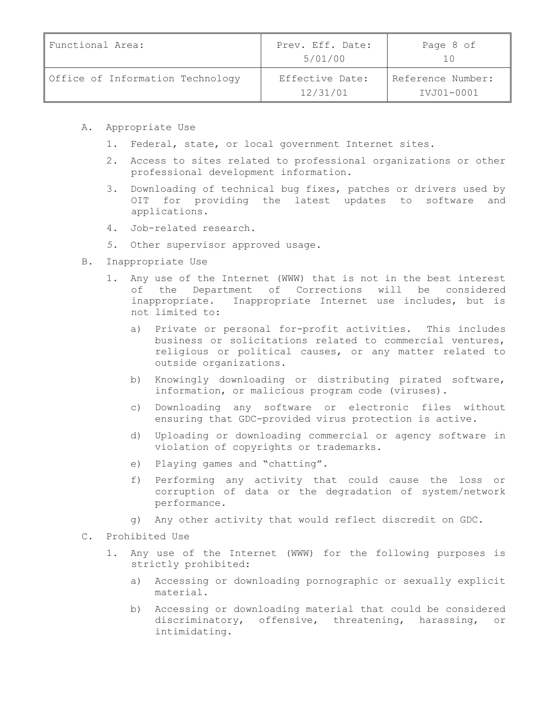| Functional Area:                 | Prev. Eff. Date:<br>5/01/00 | Page 8 of                       |
|----------------------------------|-----------------------------|---------------------------------|
| Office of Information Technology | Effective Date:<br>12/31/01 | Reference Number:<br>IVJ01-0001 |

- A. Appropriate Use
	- 1. Federal, state, or local government Internet sites.
	- 2. Access to sites related to professional organizations or other professional development information.
	- 3. Downloading of technical bug fixes, patches or drivers used by OIT for providing the latest updates to software and applications.
	- 4. Job-related research.
	- *5.* Other supervisor approved usage.
- B. Inappropriate Use
	- 1. Any use of the Internet (WWW) that is not in the best interest of the Department of Corrections will be considered inappropriate. Inappropriate Internet use includes, but is not limited to:
		- a) Private or personal for-profit activities. This includes business or solicitations related to commercial ventures, religious or political causes, or any matter related to outside organizations.
		- b) Knowingly downloading or distributing pirated software, information, or malicious program code (viruses).
		- c) Downloading any software or electronic files without ensuring that GDC-provided virus protection is active.
		- d) Uploading or downloading commercial or agency software in violation of copyrights or trademarks.
		- e) Playing games and "chatting".
		- f) Performing any activity that could cause the loss or corruption of data or the degradation of system/network performance.
		- g) Any other activity that would reflect discredit on GDC.
- C. Prohibited Use
	- 1. Any use of the Internet (WWW) for the following purposes is strictly prohibited:
		- a) Accessing or downloading pornographic or sexually explicit material.
		- b) Accessing or downloading material that could be considered discriminatory, offensive, threatening, harassing, or intimidating.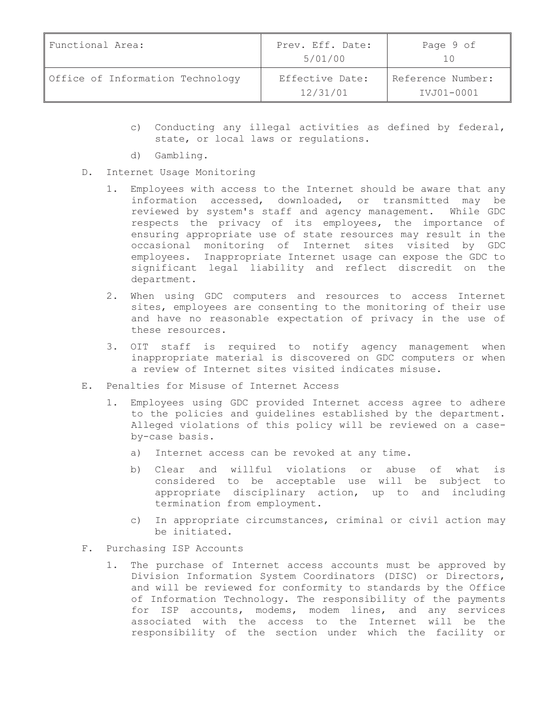| Functional Area:                 | Prev. Eff. Date:<br>5/01/00 | Page 9 of                       |
|----------------------------------|-----------------------------|---------------------------------|
| Office of Information Technology | Effective Date:<br>12/31/01 | Reference Number:<br>IVJ01-0001 |

- c) Conducting any illegal activities as defined by federal, state, or local laws or regulations.
- d) Gambling.
- D. Internet Usage Monitoring
	- 1. Employees with access to the Internet should be aware that any information accessed, downloaded, or transmitted may be reviewed by system's staff and agency management. While GDC respects the privacy of its employees, the importance of ensuring appropriate use of state resources may result in the occasional monitoring of Internet sites visited by GDC employees. Inappropriate Internet usage can expose the GDC to significant legal liability and reflect discredit on the department.
	- 2. When using GDC computers and resources to access Internet sites, employees are consenting to the monitoring of their use and have no reasonable expectation of privacy in the use of these resources.
	- 3. OIT staff is required to notify agency management when inappropriate material is discovered on GDC computers or when a review of Internet sites visited indicates misuse.
- E. Penalties for Misuse of Internet Access
	- 1. Employees using GDC provided Internet access agree to adhere to the policies and guidelines established by the department. Alleged violations of this policy will be reviewed on a caseby-case basis.
		- a) Internet access can be revoked at any time.
		- b) Clear and willful violations or abuse of what is considered to be acceptable use will be subject to appropriate disciplinary action, up to and including termination from employment.
		- c) In appropriate circumstances, criminal or civil action may be initiated.
- F. Purchasing ISP Accounts
	- 1. The purchase of Internet access accounts must be approved by Division Information System Coordinators (DISC) or Directors, and will be reviewed for conformity to standards by the Office of Information Technology. The responsibility of the payments for ISP accounts, modems, modem lines, and any services associated with the access to the Internet will be the responsibility of the section under which the facility or